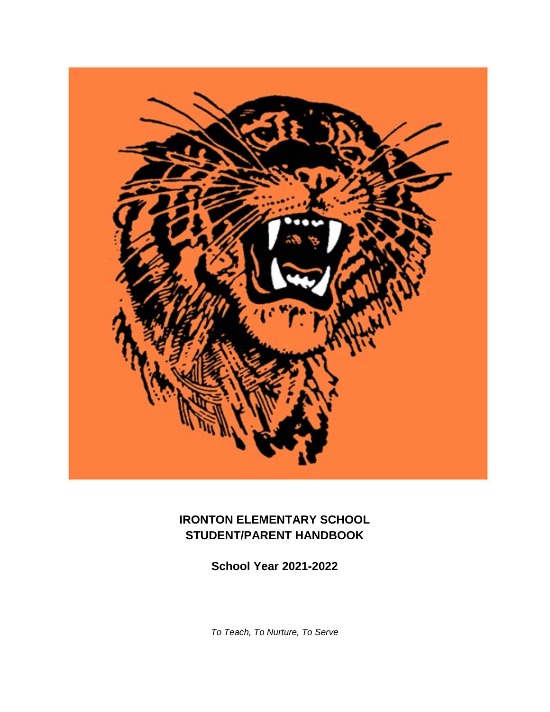

# **IRONTON ELEMENTARY SCHOOL STUDENT/PARENT HANDBOOK**

**School Year 2021-2022**

*To Teach, To Nurture, To Serve*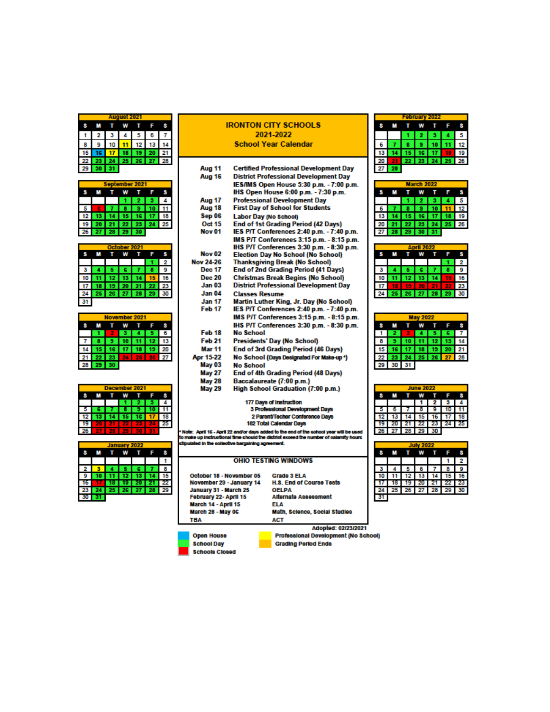| August 2021 |  |    |  |                 |                |  |  |  |
|-------------|--|----|--|-----------------|----------------|--|--|--|
|             |  |    |  |                 |                |  |  |  |
|             |  | з  |  | 5               | 6              |  |  |  |
| 8           |  | 10 |  | 12 <sup>1</sup> | 13             |  |  |  |
| 15          |  |    |  |                 | 7 18 19 20 21  |  |  |  |
| 22          |  |    |  |                 | 24 25 26 27 28 |  |  |  |
| 29          |  | 31 |  |                 |                |  |  |  |

| September 2021 |    |             |     |                |           |   |  |  |
|----------------|----|-------------|-----|----------------|-----------|---|--|--|
|                |    |             |     |                |           |   |  |  |
|                |    |             |     | 2 L            |           | 4 |  |  |
|                |    |             | I8. |                | $9$ 10 11 |   |  |  |
| 12             |    |             |     | 14 15 16 17 18 |           |   |  |  |
| 19             | 20 |             |     | 21 22 23 24 25 |           |   |  |  |
| 26             |    | 27 28 29 30 |     |                |           |   |  |  |

| October 2021 |  |    |    |  |    |    |  |  |  |  |
|--------------|--|----|----|--|----|----|--|--|--|--|
|              |  |    |    |  |    |    |  |  |  |  |
|              |  |    |    |  |    |    |  |  |  |  |
|              |  |    | c  |  |    |    |  |  |  |  |
|              |  |    |    |  |    |    |  |  |  |  |
|              |  |    |    |  |    | 23 |  |  |  |  |
|              |  | 26 | 27 |  | 25 | 30 |  |  |  |  |
|              |  |    |    |  |    |    |  |  |  |  |

| November 2021 |       |                 |         |  |         |    |  |  |  |
|---------------|-------|-----------------|---------|--|---------|----|--|--|--|
|               |       |                 |         |  |         |    |  |  |  |
|               |       |                 |         |  |         | 6  |  |  |  |
|               |       | э               | $10$ 11 |  | $12$ 13 |    |  |  |  |
|               | $-15$ | 16 17 18        |         |  | 19      | 20 |  |  |  |
| 21            | 22    | 23 <sup>°</sup> |         |  |         | 27 |  |  |  |
| 28            |       | 30              |         |  |         |    |  |  |  |

| December 2021 |  |  |  |    |  |    |  |  |
|---------------|--|--|--|----|--|----|--|--|
|               |  |  |  |    |  |    |  |  |
|               |  |  |  | 2. |  |    |  |  |
|               |  |  |  |    |  | 1  |  |  |
| 12            |  |  |  |    |  | 18 |  |  |
|               |  |  |  |    |  |    |  |  |
|               |  |  |  |    |  |    |  |  |

| January 2022 |                 |    |    |    |    |  |  |
|--------------|-----------------|----|----|----|----|--|--|
|              |                 |    |    |    |    |  |  |
|              |                 |    |    |    |    |  |  |
|              |                 |    |    |    | 8  |  |  |
|              |                 |    | 13 |    |    |  |  |
|              |                 |    |    |    |    |  |  |
|              | 25 <sub>1</sub> | 26 | 27 | 28 | 29 |  |  |
|              |                 |    |    |    |    |  |  |
|              |                 |    |    |    |    |  |  |

#### **IRONTON CITY SCHOOLS** 2021-2022 **School Year Calendar**

| Aug 11            | <b>Certified Professional Development Day</b> |
|-------------------|-----------------------------------------------|
| Aug 16            | <b>District Professional Development Day</b>  |
|                   | IES/IMS Open House 5:30 p.m. - 7:00 p.m.      |
|                   | IHS Open House 6:00 p.m. - 7:30 p.m.          |
| Aug 17            | <b>Professional Development Day</b>           |
| Aug 18            | <b>First Day of School for Students</b>       |
| Sep 06            | <b>Labor Day (No School)</b>                  |
| <b>Oct 15</b>     | <b>End of 1st Grading Period (42 Days)</b>    |
| Nov <sub>01</sub> | IES P/T Conferences 2:40 p.m. - 7:40 p.m.     |
|                   | IMS P/T Conferences 3:15 p.m. - 8:15 p.m.     |
|                   | IHS P/T Conferences 3:30 p.m. - 8:30 p.m.     |
| <b>Nov 02</b>     | <b>Election Day No School (No School)</b>     |
| Nov 24-26         | <b>Thanksgiving Break (No School)</b>         |
| <b>Dec 17</b>     | <b>End of 2nd Grading Period (41 Days)</b>    |
| <b>Dec 20</b>     | <b>Christmas Break Begins (No School)</b>     |
| <b>Jan 03</b>     | <b>District Professional Development Day</b>  |
| Jan 04            | <b>Classes Resume</b>                         |
| <b>Jan 17</b>     | Martin Luther King, Jr. Day (No School)       |
| Feb 17            | IES P/T Conferences 2:40 p.m. - 7:40 p.m.     |
|                   | IMS P/T Conferences 3:15 p.m. - 8:15 p.m.     |
|                   | IHS P/T Conferences 3:30 p.m. - 8:30 p.m.     |
| Feb <sub>18</sub> | <b>No School</b>                              |
| <b>Feb 21</b>     | <b>Presidents' Day (No School)</b>            |
| <b>Mar 11</b>     | End of 3rd Grading Period (46 Days)           |
| Apr 15-22         | No School (Days Designated For Make-up *)     |
| May 03            | <b>No School</b>                              |
| <b>May 27</b>     | End of 4th Grading Period (48 Days)           |
| <b>May 28</b>     | Baccalaureate (7:00 p.m.)                     |
| <b>May 29</b>     | High School Graduation (7:00 p.m.)            |
|                   | 177 Days of Instruction                       |
|                   | 3 Professional Development Days               |
|                   | 2 Parent/Techer Conference Days               |
|                   | 182 Total Calendar Days                       |

Note: April 15 - April 22 and/or days added to the end of the sohool year will be used<br>make up instructional time should the district exceed the number of calamity hours<br>ipulated in the collective bargaining agreement.

|  | <b>OHIO TESTING WINDOWS</b> |
|--|-----------------------------|

October 18 - November 05 November 29 - January 14 November 25 - January<br>January 31 - March 25<br>February 22- April 15<br>March 28 - May 06<br>March 28 - May 06 **TBA** 

| <b>Grade 3 ELA</b>              |
|---------------------------------|
| <b>H.S. End of Course Tests</b> |
| <b>OELPA</b>                    |
| <b>Alternate Assessment</b>     |
| ELA                             |
| Math, Science, Social Studies   |
| ACT                             |

**Open House School Day** Schools Closed



| <b>March 2022</b> |  |    |           |        |    |                 |  |  |
|-------------------|--|----|-----------|--------|----|-----------------|--|--|
|                   |  |    |           |        |    |                 |  |  |
|                   |  |    | $\bullet$ |        |    | 5               |  |  |
|                   |  |    |           | 9 I 10 |    | 12 <sup>1</sup> |  |  |
| 13                |  |    | 15 16 17  |        |    | 19              |  |  |
| 20                |  | 22 | 23 24     |        | 25 | 26              |  |  |
|                   |  | 29 | 30        |        |    |                 |  |  |

| orll 2022 |  |    |    |  |   |    |  |  |
|-----------|--|----|----|--|---|----|--|--|
|           |  |    |    |  |   |    |  |  |
|           |  |    |    |  |   |    |  |  |
|           |  |    |    |  |   | е  |  |  |
|           |  |    |    |  | 5 |    |  |  |
|           |  |    | п  |  |   | 23 |  |  |
|           |  | ١G | 27 |  |   |    |  |  |

| <b>May 2022</b> |                      |   |  |       |  |  |  |  |
|-----------------|----------------------|---|--|-------|--|--|--|--|
|                 |                      |   |  |       |  |  |  |  |
|                 |                      | ◆ |  | 4 5 6 |  |  |  |  |
| 8               | 9 10 11 12 13 14     |   |  |       |  |  |  |  |
|                 | 15 16 17 18 19 20 21 |   |  |       |  |  |  |  |
|                 | 22 23 24 25 26 27 28 |   |  |       |  |  |  |  |
|                 | 29 30 31             |   |  |       |  |  |  |  |

| <b>June 2022</b> |  |                      |             |                             |  |  |  |  |
|------------------|--|----------------------|-------------|-----------------------------|--|--|--|--|
|                  |  |                      | $\mathbf w$ |                             |  |  |  |  |
|                  |  |                      |             | $1 \quad 2 \quad 3 \quad 4$ |  |  |  |  |
|                  |  |                      |             | 7 8 9 10 11                 |  |  |  |  |
|                  |  | 12 13 14 15 16 17 18 |             |                             |  |  |  |  |
|                  |  | 19 20 21 22 23 24 25 |             |                             |  |  |  |  |
|                  |  | 26 27 28 29 30       |             |                             |  |  |  |  |

| <b>July 2022</b> |  |  |    |                      |   |    |  |  |
|------------------|--|--|----|----------------------|---|----|--|--|
|                  |  |  |    |                      |   |    |  |  |
|                  |  |  |    |                      |   | 2  |  |  |
| з                |  |  | 56 |                      | 8 | 9. |  |  |
|                  |  |  |    | 10 11 12 13 14 15 16 |   |    |  |  |
|                  |  |  |    | 18 19 20 21 22 23    |   |    |  |  |
|                  |  |  |    | 24 25 26 27 28 29 30 |   |    |  |  |
|                  |  |  |    |                      |   |    |  |  |

Adopted: 02/23/2021 Professional Development (No School) **Grading Period Ends**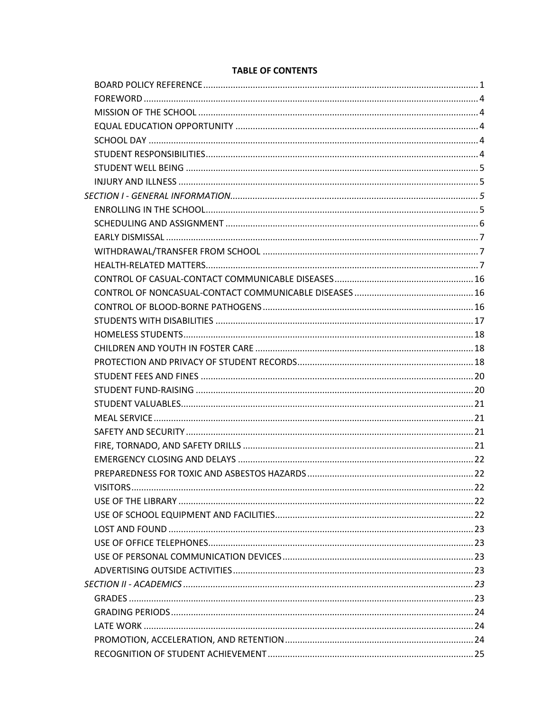# **TABLE OF CONTENTS**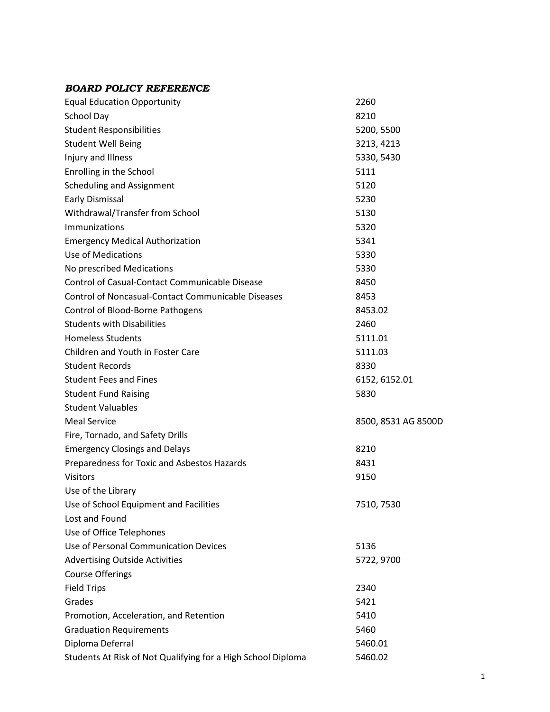## <span id="page-6-0"></span>*BOARD POLICY REFERENCE*

| <b>Equal Education Opportunity</b>                           | 2260                |
|--------------------------------------------------------------|---------------------|
| School Day                                                   | 8210                |
| <b>Student Responsibilities</b>                              | 5200, 5500          |
| <b>Student Well Being</b>                                    | 3213, 4213          |
| Injury and Illness                                           | 5330, 5430          |
| Enrolling in the School                                      | 5111                |
| <b>Scheduling and Assignment</b>                             | 5120                |
| <b>Early Dismissal</b>                                       | 5230                |
| Withdrawal/Transfer from School                              | 5130                |
| Immunizations                                                | 5320                |
| <b>Emergency Medical Authorization</b>                       | 5341                |
| <b>Use of Medications</b>                                    | 5330                |
| No prescribed Medications                                    | 5330                |
| Control of Casual-Contact Communicable Disease               | 8450                |
| <b>Control of Noncasual-Contact Communicable Diseases</b>    | 8453                |
| Control of Blood-Borne Pathogens                             | 8453.02             |
| <b>Students with Disabilities</b>                            | 2460                |
| <b>Homeless Students</b>                                     | 5111.01             |
| Children and Youth in Foster Care                            | 5111.03             |
| <b>Student Records</b>                                       | 8330                |
| <b>Student Fees and Fines</b>                                | 6152, 6152.01       |
| <b>Student Fund Raising</b>                                  | 5830                |
| <b>Student Valuables</b>                                     |                     |
| <b>Meal Service</b>                                          | 8500, 8531 AG 8500D |
| Fire, Tornado, and Safety Drills                             |                     |
| <b>Emergency Closings and Delays</b>                         | 8210                |
| Preparedness for Toxic and Asbestos Hazards                  | 8431                |
| Visitors                                                     | 9150                |
| Use of the Library                                           |                     |
| Use of School Equipment and Facilities                       | 7510, 7530          |
| Lost and Found                                               |                     |
| Use of Office Telephones                                     |                     |
| Use of Personal Communication Devices                        | 5136                |
| <b>Advertising Outside Activities</b>                        | 5722, 9700          |
| <b>Course Offerings</b>                                      |                     |
| <b>Field Trips</b>                                           | 2340                |
| Grades                                                       | 5421                |
| Promotion, Acceleration, and Retention                       | 5410                |
| <b>Graduation Requirements</b>                               | 5460                |
| Diploma Deferral                                             | 5460.01             |
| Students At Risk of Not Qualifying for a High School Diploma | 5460.02             |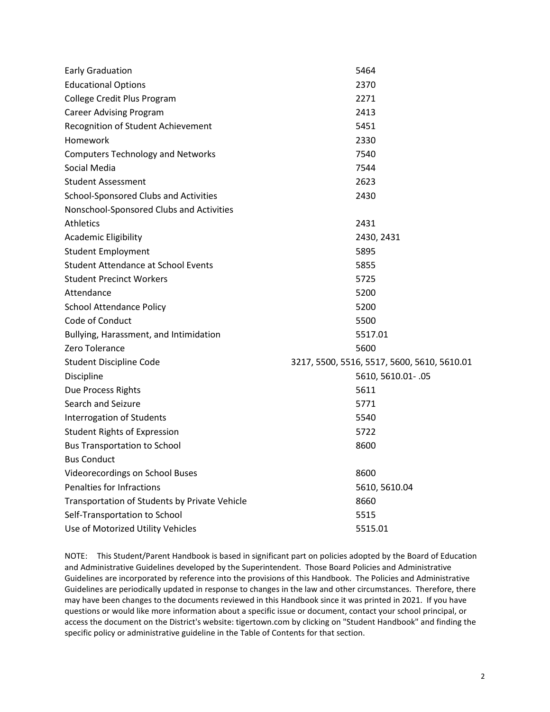| <b>Early Graduation</b>                       | 5464                                        |
|-----------------------------------------------|---------------------------------------------|
| <b>Educational Options</b>                    | 2370                                        |
| College Credit Plus Program                   | 2271                                        |
| <b>Career Advising Program</b>                | 2413                                        |
| Recognition of Student Achievement            | 5451                                        |
| Homework                                      | 2330                                        |
| <b>Computers Technology and Networks</b>      | 7540                                        |
| Social Media                                  | 7544                                        |
| <b>Student Assessment</b>                     | 2623                                        |
| School-Sponsored Clubs and Activities         | 2430                                        |
| Nonschool-Sponsored Clubs and Activities      |                                             |
| <b>Athletics</b>                              | 2431                                        |
| <b>Academic Eligibility</b>                   | 2430, 2431                                  |
| <b>Student Employment</b>                     | 5895                                        |
| <b>Student Attendance at School Events</b>    | 5855                                        |
| <b>Student Precinct Workers</b>               | 5725                                        |
| Attendance                                    | 5200                                        |
| <b>School Attendance Policy</b>               | 5200                                        |
| Code of Conduct                               | 5500                                        |
| Bullying, Harassment, and Intimidation        | 5517.01                                     |
| Zero Tolerance                                | 5600                                        |
| <b>Student Discipline Code</b>                | 3217, 5500, 5516, 5517, 5600, 5610, 5610.01 |
| Discipline                                    | 5610, 5610.01 -. 05                         |
| Due Process Rights                            | 5611                                        |
| Search and Seizure                            | 5771                                        |
| Interrogation of Students                     | 5540                                        |
| <b>Student Rights of Expression</b>           | 5722                                        |
| <b>Bus Transportation to School</b>           | 8600                                        |
| <b>Bus Conduct</b>                            |                                             |
| Videorecordings on School Buses               | 8600                                        |
| Penalties for Infractions                     | 5610, 5610.04                               |
| Transportation of Students by Private Vehicle | 8660                                        |
| Self-Transportation to School                 | 5515                                        |
| Use of Motorized Utility Vehicles             | 5515.01                                     |

NOTE: This Student/Parent Handbook is based in significant part on policies adopted by the Board of Education and Administrative Guidelines developed by the Superintendent. Those Board Policies and Administrative Guidelines are incorporated by reference into the provisions of this Handbook. The Policies and Administrative Guidelines are periodically updated in response to changes in the law and other circumstances. Therefore, there may have been changes to the documents reviewed in this Handbook since it was printed in 2021. If you have questions or would like more information about a specific issue or document, contact your school principal, or access the document on the District's website: tigertown.com by clicking on "Student Handbook" and finding the specific policy or administrative guideline in the Table of Contents for that section.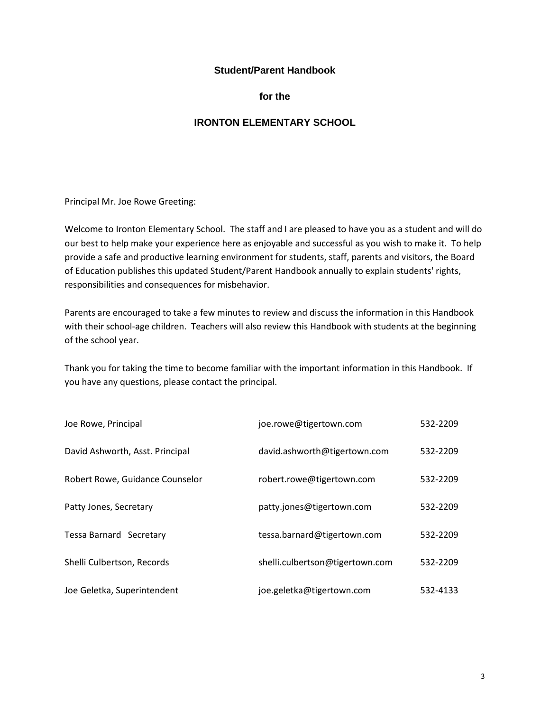#### **Student/Parent Handbook**

**for the**

# **IRONTON ELEMENTARY SCHOOL**

Principal Mr. Joe Rowe Greeting:

Welcome to Ironton Elementary School. The staff and I are pleased to have you as a student and will do our best to help make your experience here as enjoyable and successful as you wish to make it. To help provide a safe and productive learning environment for students, staff, parents and visitors, the Board of Education publishes this updated Student/Parent Handbook annually to explain students' rights, responsibilities and consequences for misbehavior.

Parents are encouraged to take a few minutes to review and discuss the information in this Handbook with their school-age children. Teachers will also review this Handbook with students at the beginning of the school year.

Thank you for taking the time to become familiar with the important information in this Handbook. If you have any questions, please contact the principal.

<span id="page-8-0"></span>

| Joe Rowe, Principal             | joe.rowe@tigertown.com          | 532-2209 |
|---------------------------------|---------------------------------|----------|
| David Ashworth, Asst. Principal | david.ashworth@tigertown.com    | 532-2209 |
| Robert Rowe, Guidance Counselor | robert.rowe@tigertown.com       | 532-2209 |
| Patty Jones, Secretary          | patty.jones@tigertown.com       | 532-2209 |
| <b>Tessa Barnard Secretary</b>  | tessa.barnard@tigertown.com     | 532-2209 |
| Shelli Culbertson, Records      | shelli.culbertson@tigertown.com | 532-2209 |
| Joe Geletka, Superintendent     | joe.geletka@tigertown.com       | 532-4133 |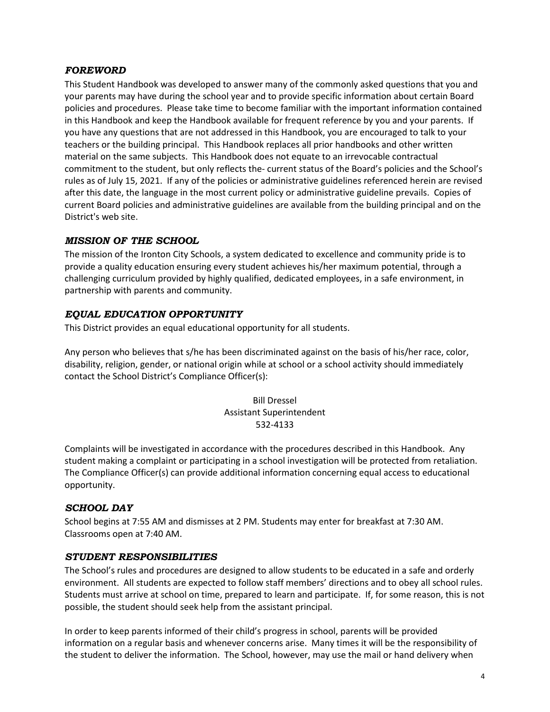#### *FOREWORD*

This Student Handbook was developed to answer many of the commonly asked questions that you and your parents may have during the school year and to provide specific information about certain Board policies and procedures. Please take time to become familiar with the important information contained in this Handbook and keep the Handbook available for frequent reference by you and your parents. If you have any questions that are not addressed in this Handbook, you are encouraged to talk to your teachers or the building principal. This Handbook replaces all prior handbooks and other written material on the same subjects. This Handbook does not equate to an irrevocable contractual commitment to the student, but only reflects the- current status of the Board's policies and the School's rules as of July 15, 2021. If any of the policies or administrative guidelines referenced herein are revised after this date, the language in the most current policy or administrative guideline prevails. Copies of current Board policies and administrative guidelines are available from the building principal and on the District's web site.

#### <span id="page-9-0"></span>*MISSION OF THE SCHOOL*

The mission of the Ironton City Schools, a system dedicated to excellence and community pride is to provide a quality education ensuring every student achieves his/her maximum potential, through a challenging curriculum provided by highly qualified, dedicated employees, in a safe environment, in partnership with parents and community.

#### <span id="page-9-1"></span>*EQUAL EDUCATION OPPORTUNITY*

This District provides an equal educational opportunity for all students.

Any person who believes that s/he has been discriminated against on the basis of his/her race, color, disability, religion, gender, or national origin while at school or a school activity should immediately contact the School District's Compliance Officer(s):

# Bill Dressel Assistant Superintendent 532-4133

Complaints will be investigated in accordance with the procedures described in this Handbook. Any student making a complaint or participating in a school investigation will be protected from retaliation. The Compliance Officer(s) can provide additional information concerning equal access to educational opportunity.

#### <span id="page-9-2"></span>*SCHOOL DAY*

School begins at 7:55 AM and dismisses at 2 PM. Students may enter for breakfast at 7:30 AM. Classrooms open at 7:40 AM.

#### <span id="page-9-3"></span>*STUDENT RESPONSIBILITIES*

The School's rules and procedures are designed to allow students to be educated in a safe and orderly environment. All students are expected to follow staff members' directions and to obey all school rules. Students must arrive at school on time, prepared to learn and participate. If, for some reason, this is not possible, the student should seek help from the assistant principal.

In order to keep parents informed of their child's progress in school, parents will be provided information on a regular basis and whenever concerns arise. Many times it will be the responsibility of the student to deliver the information. The School, however, may use the mail or hand delivery when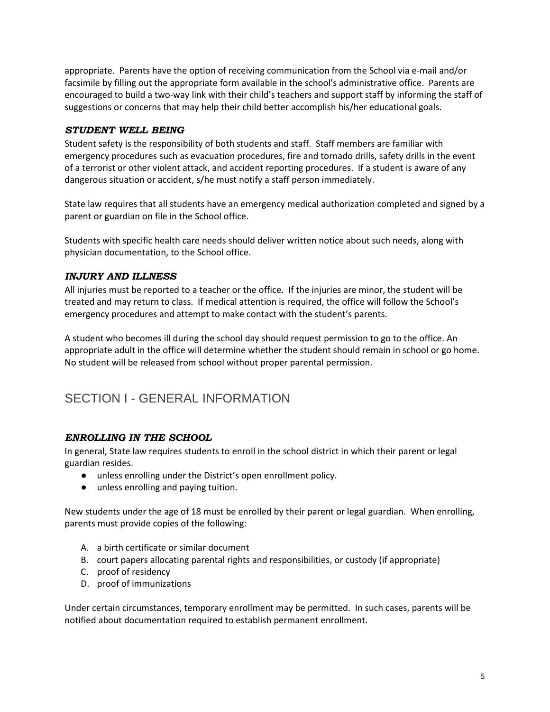appropriate. Parents have the option of receiving communication from the School via e-mail and/or facsimile by filling out the appropriate form available in the school's administrative office. Parents are encouraged to build a two-way link with their child's teachers and support staff by informing the staff of suggestions or concerns that may help their child better accomplish his/her educational goals.

### <span id="page-10-0"></span>*STUDENT WELL BEING*

Student safety is the responsibility of both students and staff. Staff members are familiar with emergency procedures such as evacuation procedures, fire and tornado drills, safety drills in the event of a terrorist or other violent attack, and accident reporting procedures. If a student is aware of any dangerous situation or accident, s/he must notify a staff person immediately.

State law requires that all students have an emergency medical authorization completed and signed by a parent or guardian on file in the School office.

Students with specific health care needs should deliver written notice about such needs, along with physician documentation, to the School office.

## <span id="page-10-1"></span>*INJURY AND ILLNESS*

All injuries must be reported to a teacher or the office. If the injuries are minor, the student will be treated and may return to class. If medical attention is required, the office will follow the School's emergency procedures and attempt to make contact with the student's parents.

A student who becomes ill during the school day should request permission to go to the office. An appropriate adult in the office will determine whether the student should remain in school or go home. No student will be released from school without proper parental permission.

# <span id="page-10-2"></span>SECTION I - GENERAL INFORMATION

## <span id="page-10-3"></span>*ENROLLING IN THE SCHOOL*

In general, State law requires students to enroll in the school district in which their parent or legal guardian resides.

- unless enrolling under the District's open enrollment policy.
- unless enrolling and paying tuition.

New students under the age of 18 must be enrolled by their parent or legal guardian. When enrolling, parents must provide copies of the following:

- A. a birth certificate or similar document
- B. court papers allocating parental rights and responsibilities, or custody (if appropriate)
- C. proof of residency
- D. proof of immunizations

Under certain circumstances, temporary enrollment may be permitted. In such cases, parents will be notified about documentation required to establish permanent enrollment.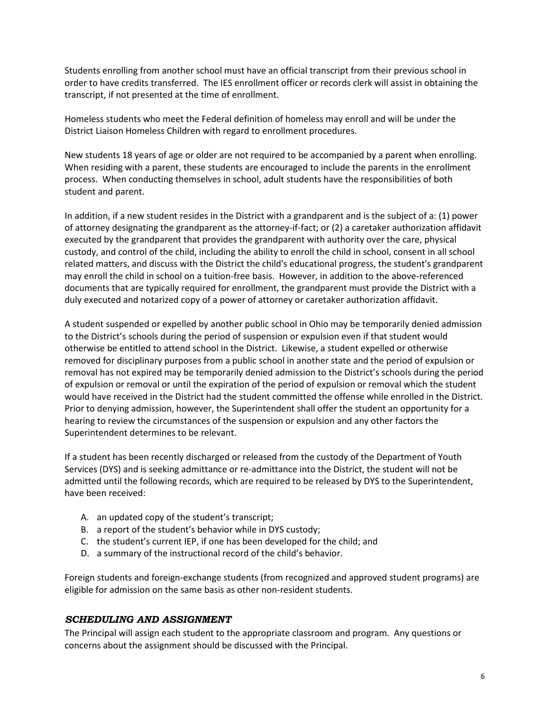Students enrolling from another school must have an official transcript from their previous school in order to have credits transferred. The IES enrollment officer or records clerk will assist in obtaining the transcript, if not presented at the time of enrollment.

Homeless students who meet the Federal definition of homeless may enroll and will be under the District Liaison Homeless Children with regard to enrollment procedures.

New students 18 years of age or older are not required to be accompanied by a parent when enrolling. When residing with a parent, these students are encouraged to include the parents in the enrollment process. When conducting themselves in school, adult students have the responsibilities of both student and parent.

In addition, if a new student resides in the District with a grandparent and is the subject of a: (1) power of attorney designating the grandparent as the attorney-if-fact; or (2) a caretaker authorization affidavit executed by the grandparent that provides the grandparent with authority over the care, physical custody, and control of the child, including the ability to enroll the child in school, consent in all school related matters, and discuss with the District the child's educational progress, the student's grandparent may enroll the child in school on a tuition-free basis. However, in addition to the above-referenced documents that are typically required for enrollment, the grandparent must provide the District with a duly executed and notarized copy of a power of attorney or caretaker authorization affidavit.

A student suspended or expelled by another public school in Ohio may be temporarily denied admission to the District's schools during the period of suspension or expulsion even if that student would otherwise be entitled to attend school in the District. Likewise, a student expelled or otherwise removed for disciplinary purposes from a public school in another state and the period of expulsion or removal has not expired may be temporarily denied admission to the District's schools during the period of expulsion or removal or until the expiration of the period of expulsion or removal which the student would have received in the District had the student committed the offense while enrolled in the District. Prior to denying admission, however, the Superintendent shall offer the student an opportunity for a hearing to review the circumstances of the suspension or expulsion and any other factors the Superintendent determines to be relevant.

If a student has been recently discharged or released from the custody of the Department of Youth Services (DYS) and is seeking admittance or re-admittance into the District, the student will not be admitted until the following records, which are required to be released by DYS to the Superintendent, have been received:

- A. an updated copy of the student's transcript;
- B. a report of the student's behavior while in DYS custody;
- C. the student's current IEP, if one has been developed for the child; and
- D. a summary of the instructional record of the child's behavior.

Foreign students and foreign-exchange students (from recognized and approved student programs) are eligible for admission on the same basis as other non-resident students.

## <span id="page-11-0"></span>*SCHEDULING AND ASSIGNMENT*

The Principal will assign each student to the appropriate classroom and program. Any questions or concerns about the assignment should be discussed with the Principal.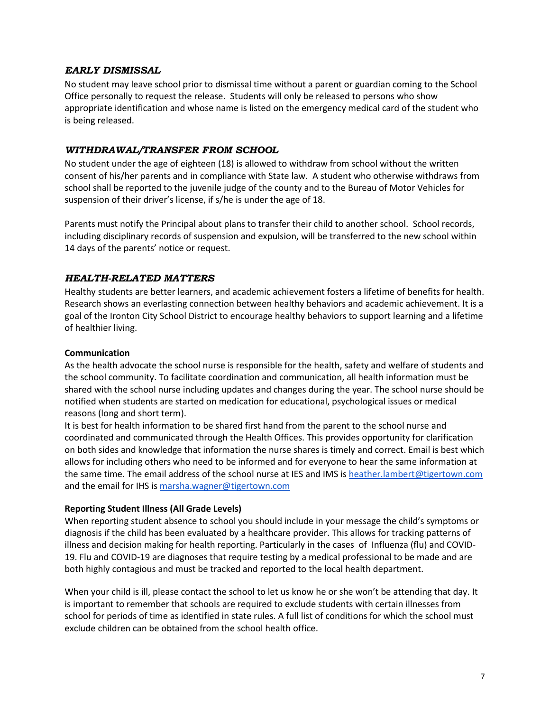### <span id="page-12-0"></span>*EARLY DISMISSAL*

No student may leave school prior to dismissal time without a parent or guardian coming to the School Office personally to request the release. Students will only be released to persons who show appropriate identification and whose name is listed on the emergency medical card of the student who is being released.

## <span id="page-12-1"></span>*WITHDRAWAL/TRANSFER FROM SCHOOL*

No student under the age of eighteen (18) is allowed to withdraw from school without the written consent of his/her parents and in compliance with State law. A student who otherwise withdraws from school shall be reported to the juvenile judge of the county and to the Bureau of Motor Vehicles for suspension of their driver's license, if s/he is under the age of 18.

Parents must notify the Principal about plans to transfer their child to another school. School records, including disciplinary records of suspension and expulsion, will be transferred to the new school within 14 days of the parents' notice or request.

#### <span id="page-12-2"></span>*HEALTH-RELATED MATTERS*

Healthy students are better learners, and academic achievement fosters a lifetime of benefits for health. Research shows an everlasting connection between healthy behaviors and academic achievement. It is a goal of the Ironton City School District to encourage healthy behaviors to support learning and a lifetime of healthier living.

#### **Communication**

As the health advocate the school nurse is responsible for the health, safety and welfare of students and the school community. To facilitate coordination and communication, all health information must be shared with the school nurse including updates and changes during the year. The school nurse should be notified when students are started on medication for educational, psychological issues or medical reasons (long and short term).

It is best for health information to be shared first hand from the parent to the school nurse and coordinated and communicated through the Health Offices. This provides opportunity for clarification on both sides and knowledge that information the nurse shares is timely and correct. Email is best which allows for including others who need to be informed and for everyone to hear the same information at the same time. The email address of the school nurse at IES and IMS i[s heather.lambert@tigertown.com](mailto:heather.lambert@tigertown.com) and the email for IHS is [marsha.wagner@tigertown.com](mailto:marsha.wagner@tigertown.com)

#### **Reporting Student Illness (All Grade Levels)**

When reporting student absence to school you should include in your message the child's symptoms or diagnosis if the child has been evaluated by a healthcare provider. This allows for tracking patterns of illness and decision making for health reporting. Particularly in the cases of Influenza (flu) and COVID-19. Flu and COVID-19 are diagnoses that require testing by a medical professional to be made and are both highly contagious and must be tracked and reported to the local health department.

When your child is ill, please contact the school to let us know he or she won't be attending that day. It is important to remember that schools are required to exclude students with certain illnesses from school for periods of time as identified in state rules. A full list of conditions for which the school must exclude children can be obtained from the school health office.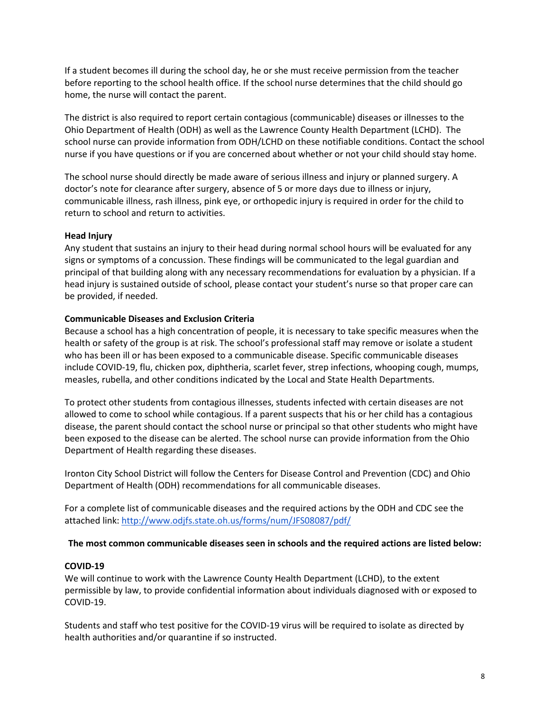If a student becomes ill during the school day, he or she must receive permission from the teacher before reporting to the school health office. If the school nurse determines that the child should go home, the nurse will contact the parent.

The district is also required to report certain contagious (communicable) diseases or illnesses to the Ohio Department of Health (ODH) as well as the Lawrence County Health Department (LCHD). The school nurse can provide information from ODH/LCHD on these notifiable conditions. Contact the school nurse if you have questions or if you are concerned about whether or not your child should stay home.

The school nurse should directly be made aware of serious illness and injury or planned surgery. A doctor's note for clearance after surgery, absence of 5 or more days due to illness or injury, communicable illness, rash illness, pink eye, or orthopedic injury is required in order for the child to return to school and return to activities.

#### **Head Injury**

Any student that sustains an injury to their head during normal school hours will be evaluated for any signs or symptoms of a concussion. These findings will be communicated to the legal guardian and principal of that building along with any necessary recommendations for evaluation by a physician. If a head injury is sustained outside of school, please contact your student's nurse so that proper care can be provided, if needed.

#### **Communicable Diseases and Exclusion Criteria**

Because a school has a high concentration of people, it is necessary to take specific measures when the health or safety of the group is at risk. The school's professional staff may remove or isolate a student who has been ill or has been exposed to a communicable disease. Specific communicable diseases include COVID-19, flu, chicken pox, diphtheria, scarlet fever, strep infections, whooping cough, mumps, measles, rubella, and other conditions indicated by the Local and State Health Departments.

To protect other students from contagious illnesses, students infected with certain diseases are not allowed to come to school while contagious. If a parent suspects that his or her child has a contagious disease, the parent should contact the school nurse or principal so that other students who might have been exposed to the disease can be alerted. The school nurse can provide information from the Ohio Department of Health regarding these diseases.

Ironton City School District will follow the Centers for Disease Control and Prevention (CDC) and Ohio Department of Health (ODH) recommendations for all communicable diseases.

For a complete list of communicable diseases and the required actions by the ODH and CDC see the attached link:<http://www.odjfs.state.oh.us/forms/num/JFS08087/pdf/>

#### **The most common communicable diseases seen in schools and the required actions are listed below:**

#### **COVID-19**

We will continue to work with the Lawrence County Health Department (LCHD), to the extent permissible by law, to provide confidential information about individuals diagnosed with or exposed to COVID-19.

Students and staff who test positive for the COVID-19 virus will be required to isolate as directed by health authorities and/or quarantine if so instructed.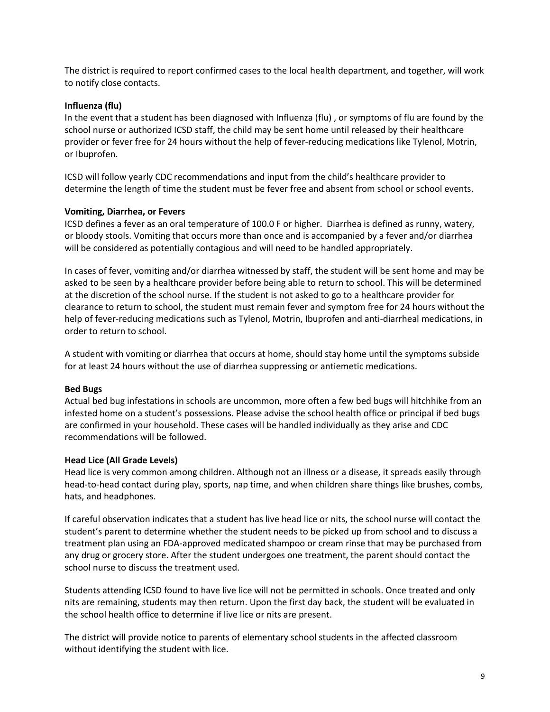The district is required to report confirmed cases to the local health department, and together, will work to notify close contacts.

#### **Influenza (flu)**

In the event that a student has been diagnosed with Influenza (flu) , or symptoms of flu are found by the school nurse or authorized ICSD staff, the child may be sent home until released by their healthcare provider or fever free for 24 hours without the help of fever-reducing medications like Tylenol, Motrin, or Ibuprofen.

ICSD will follow yearly CDC recommendations and input from the child's healthcare provider to determine the length of time the student must be fever free and absent from school or school events.

#### **Vomiting, Diarrhea, or Fevers**

ICSD defines a fever as an oral temperature of 100.0 F or higher. Diarrhea is defined as runny, watery, or bloody stools. Vomiting that occurs more than once and is accompanied by a fever and/or diarrhea will be considered as potentially contagious and will need to be handled appropriately.

In cases of fever, vomiting and/or diarrhea witnessed by staff, the student will be sent home and may be asked to be seen by a healthcare provider before being able to return to school. This will be determined at the discretion of the school nurse. If the student is not asked to go to a healthcare provider for clearance to return to school, the student must remain fever and symptom free for 24 hours without the help of fever-reducing medications such as Tylenol, Motrin, Ibuprofen and anti-diarrheal medications, in order to return to school.

A student with vomiting or diarrhea that occurs at home, should stay home until the symptoms subside for at least 24 hours without the use of diarrhea suppressing or antiemetic medications.

#### **Bed Bugs**

Actual bed bug infestations in schools are uncommon, more often a few bed bugs will hitchhike from an infested home on a student's possessions. Please advise the school health office or principal if bed bugs are confirmed in your household. These cases will be handled individually as they arise and CDC recommendations will be followed.

#### **Head Lice (All Grade Levels)**

Head lice is very common among children. Although not an illness or a disease, it spreads easily through head-to-head contact during play, sports, nap time, and when children share things like brushes, combs, hats, and headphones.

If careful observation indicates that a student has live head lice or nits, the school nurse will contact the student's parent to determine whether the student needs to be picked up from school and to discuss a treatment plan using an FDA-approved medicated shampoo or cream rinse that may be purchased from any drug or grocery store. After the student undergoes one treatment, the parent should contact the school nurse to discuss the treatment used.

Students attending ICSD found to have live lice will not be permitted in schools. Once treated and only nits are remaining, students may then return. Upon the first day back, the student will be evaluated in the school health office to determine if live lice or nits are present.

The district will provide notice to parents of elementary school students in the affected classroom without identifying the student with lice.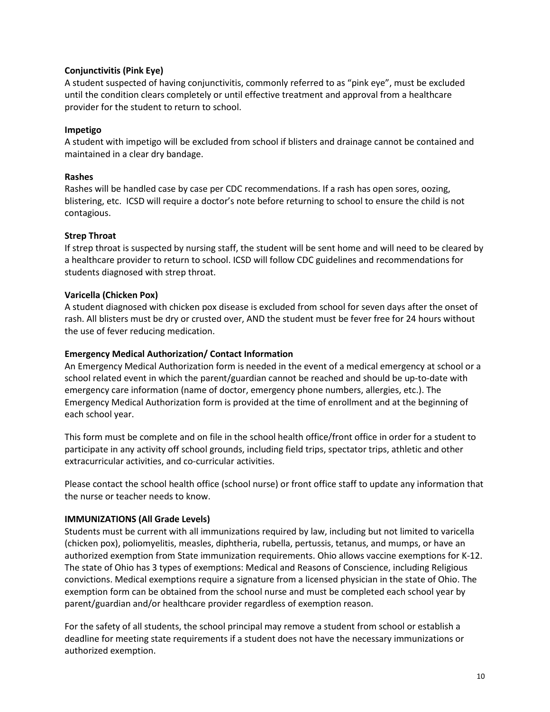#### **Conjunctivitis (Pink Eye)**

A student suspected of having conjunctivitis, commonly referred to as "pink eye", must be excluded until the condition clears completely or until effective treatment and approval from a healthcare provider for the student to return to school.

#### **Impetigo**

A student with impetigo will be excluded from school if blisters and drainage cannot be contained and maintained in a clear dry bandage.

#### **Rashes**

Rashes will be handled case by case per CDC recommendations. If a rash has open sores, oozing, blistering, etc. ICSD will require a doctor's note before returning to school to ensure the child is not contagious.

#### **Strep Throat**

If strep throat is suspected by nursing staff, the student will be sent home and will need to be cleared by a healthcare provider to return to school. ICSD will follow CDC guidelines and recommendations for students diagnosed with strep throat.

#### **Varicella (Chicken Pox)**

A student diagnosed with chicken pox disease is excluded from school for seven days after the onset of rash. All blisters must be dry or crusted over, AND the student must be fever free for 24 hours without the use of fever reducing medication.

#### **Emergency Medical Authorization/ Contact Information**

An Emergency Medical Authorization form is needed in the event of a medical emergency at school or a school related event in which the parent/guardian cannot be reached and should be up-to-date with emergency care information (name of doctor, emergency phone numbers, allergies, etc.). The Emergency Medical Authorization form is provided at the time of enrollment and at the beginning of each school year.

This form must be complete and on file in the school health office/front office in order for a student to participate in any activity off school grounds, including field trips, spectator trips, athletic and other extracurricular activities, and co-curricular activities.

Please contact the school health office (school nurse) or front office staff to update any information that the nurse or teacher needs to know.

#### **IMMUNIZATIONS (All Grade Levels)**

Students must be current with all immunizations required by law, including but not limited to varicella (chicken pox), poliomyelitis, measles, diphtheria, rubella, pertussis, tetanus, and mumps, or have an authorized exemption from State immunization requirements. Ohio allows vaccine exemptions for K-12. The state of Ohio has 3 types of exemptions: Medical and Reasons of Conscience, including Religious convictions. Medical exemptions require a signature from a licensed physician in the state of Ohio. The exemption form can be obtained from the school nurse and must be completed each school year by parent/guardian and/or healthcare provider regardless of exemption reason.

For the safety of all students, the school principal may remove a student from school or establish a deadline for meeting state requirements if a student does not have the necessary immunizations or authorized exemption.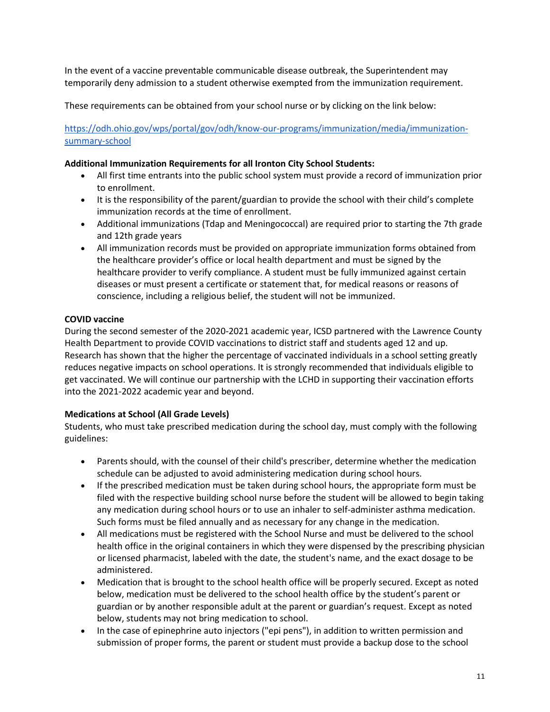In the event of a vaccine preventable communicable disease outbreak, the Superintendent may temporarily deny admission to a student otherwise exempted from the immunization requirement.

These requirements can be obtained from your school nurse or by clicking on the link below:

[https://odh.ohio.gov/wps/portal/gov/odh/know-our-programs/immunization/media/immunization](https://odh.ohio.gov/wps/portal/gov/odh/know-our-programs/immunization/media/immunization-summary-school)[summary-school](https://odh.ohio.gov/wps/portal/gov/odh/know-our-programs/immunization/media/immunization-summary-school)

#### **Additional Immunization Requirements for all Ironton City School Students:**

- All first time entrants into the public school system must provide a record of immunization prior to enrollment.
- It is the responsibility of the parent/guardian to provide the school with their child's complete immunization records at the time of enrollment.
- Additional immunizations (Tdap and Meningococcal) are required prior to starting the 7th grade and 12th grade years
- All immunization records must be provided on appropriate immunization forms obtained from the healthcare provider's office or local health department and must be signed by the healthcare provider to verify compliance. A student must be fully immunized against certain diseases or must present a certificate or statement that, for medical reasons or reasons of conscience, including a religious belief, the student will not be immunized.

## **COVID vaccine**

During the second semester of the 2020-2021 academic year, ICSD partnered with the Lawrence County Health Department to provide COVID vaccinations to district staff and students aged 12 and up. Research has shown that the higher the percentage of vaccinated individuals in a school setting greatly reduces negative impacts on school operations. It is strongly recommended that individuals eligible to get vaccinated. We will continue our partnership with the LCHD in supporting their vaccination efforts into the 2021-2022 academic year and beyond.

## **Medications at School (All Grade Levels)**

Students, who must take prescribed medication during the school day, must comply with the following guidelines:

- Parents should, with the counsel of their child's prescriber, determine whether the medication schedule can be adjusted to avoid administering medication during school hours.
- If the prescribed medication must be taken during school hours, the appropriate form must be filed with the respective building school nurse before the student will be allowed to begin taking any medication during school hours or to use an inhaler to self-administer asthma medication. Such forms must be filed annually and as necessary for any change in the medication.
- All medications must be registered with the School Nurse and must be delivered to the school health office in the original containers in which they were dispensed by the prescribing physician or licensed pharmacist, labeled with the date, the student's name, and the exact dosage to be administered.
- Medication that is brought to the school health office will be properly secured. Except as noted below, medication must be delivered to the school health office by the student's parent or guardian or by another responsible adult at the parent or guardian's request. Except as noted below, students may not bring medication to school.
- In the case of epinephrine auto injectors ("epi pens"), in addition to written permission and submission of proper forms, the parent or student must provide a backup dose to the school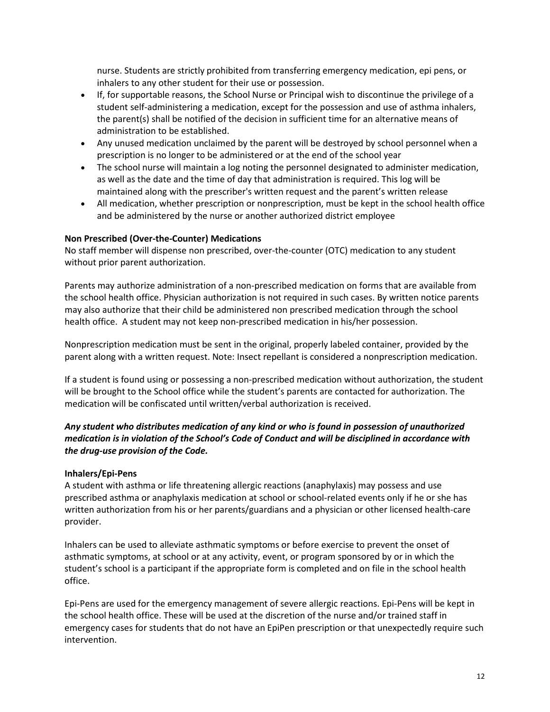nurse. Students are strictly prohibited from transferring emergency medication, epi pens, or inhalers to any other student for their use or possession.

- If, for supportable reasons, the School Nurse or Principal wish to discontinue the privilege of a student self-administering a medication, except for the possession and use of asthma inhalers, the parent(s) shall be notified of the decision in sufficient time for an alternative means of administration to be established.
- Any unused medication unclaimed by the parent will be destroyed by school personnel when a prescription is no longer to be administered or at the end of the school year
- The school nurse will maintain a log noting the personnel designated to administer medication, as well as the date and the time of day that administration is required. This log will be maintained along with the prescriber's written request and the parent's written release
- All medication, whether prescription or nonprescription, must be kept in the school health office and be administered by the nurse or another authorized district employee

#### **Non Prescribed (Over-the-Counter) Medications**

No staff member will dispense non prescribed, over-the-counter (OTC) medication to any student without prior parent authorization.

Parents may authorize administration of a non-prescribed medication on forms that are available from the school health office. Physician authorization is not required in such cases. By written notice parents may also authorize that their child be administered non prescribed medication through the school health office. A student may not keep non-prescribed medication in his/her possession.

Nonprescription medication must be sent in the original, properly labeled container, provided by the parent along with a written request. Note: Insect repellant is considered a nonprescription medication.

If a student is found using or possessing a non-prescribed medication without authorization, the student will be brought to the School office while the student's parents are contacted for authorization. The medication will be confiscated until written/verbal authorization is received.

## *Any student who distributes medication of any kind or who is found in possession of unauthorized medication is in violation of the School's Code of Conduct and will be disciplined in accordance with the drug-use provision of the Code.*

#### **Inhalers/Epi-Pens**

A student with asthma or life threatening allergic reactions (anaphylaxis) may possess and use prescribed asthma or anaphylaxis medication at school or school-related events only if he or she has written authorization from his or her parents/guardians and a physician or other licensed health-care provider.

Inhalers can be used to alleviate asthmatic symptoms or before exercise to prevent the onset of asthmatic symptoms, at school or at any activity, event, or program sponsored by or in which the student's school is a participant if the appropriate form is completed and on file in the school health office.

Epi-Pens are used for the emergency management of severe allergic reactions. Epi-Pens will be kept in the school health office. These will be used at the discretion of the nurse and/or trained staff in emergency cases for students that do not have an EpiPen prescription or that unexpectedly require such intervention.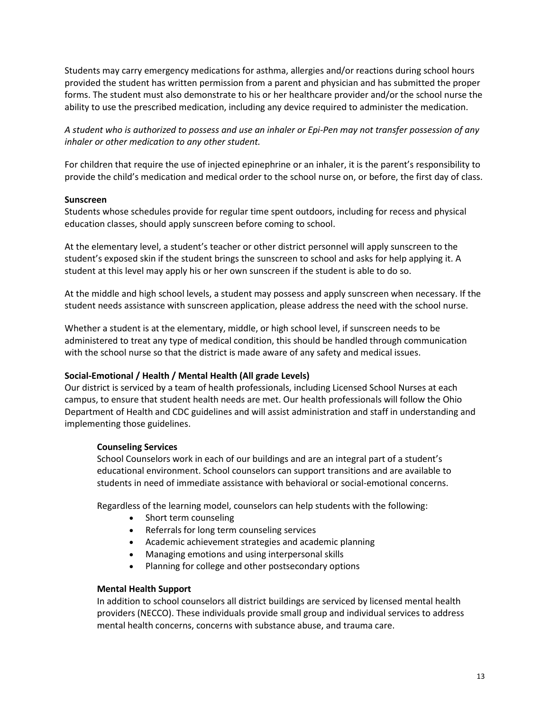Students may carry emergency medications for asthma, allergies and/or reactions during school hours provided the student has written permission from a parent and physician and has submitted the proper forms. The student must also demonstrate to his or her healthcare provider and/or the school nurse the ability to use the prescribed medication, including any device required to administer the medication.

*A student who is authorized to possess and use an inhaler or Epi-Pen may not transfer possession of any inhaler or other medication to any other student.*

For children that require the use of injected epinephrine or an inhaler, it is the parent's responsibility to provide the child's medication and medical order to the school nurse on, or before, the first day of class.

#### **Sunscreen**

Students whose schedules provide for regular time spent outdoors, including for recess and physical education classes, should apply sunscreen before coming to school.

At the elementary level, a student's teacher or other district personnel will apply sunscreen to the student's exposed skin if the student brings the sunscreen to school and asks for help applying it. A student at this level may apply his or her own sunscreen if the student is able to do so.

At the middle and high school levels, a student may possess and apply sunscreen when necessary. If the student needs assistance with sunscreen application, please address the need with the school nurse.

Whether a student is at the elementary, middle, or high school level, if sunscreen needs to be administered to treat any type of medical condition, this should be handled through communication with the school nurse so that the district is made aware of any safety and medical issues.

#### **Social-Emotional / Health / Mental Health (All grade Levels)**

Our district is serviced by a team of health professionals, including Licensed School Nurses at each campus, to ensure that student health needs are met. Our health professionals will follow the Ohio Department of Health and CDC guidelines and will assist administration and staff in understanding and implementing those guidelines.

#### **Counseling Services**

School Counselors work in each of our buildings and are an integral part of a student's educational environment. School counselors can support transitions and are available to students in need of immediate assistance with behavioral or social-emotional concerns.

Regardless of the learning model, counselors can help students with the following:

- Short term counseling
- Referrals for long term counseling services
- Academic achievement strategies and academic planning
- Managing emotions and using interpersonal skills
- Planning for college and other postsecondary options

#### **Mental Health Support**

In addition to school counselors all district buildings are serviced by licensed mental health providers (NECCO). These individuals provide small group and individual services to address mental health concerns, concerns with substance abuse, and trauma care.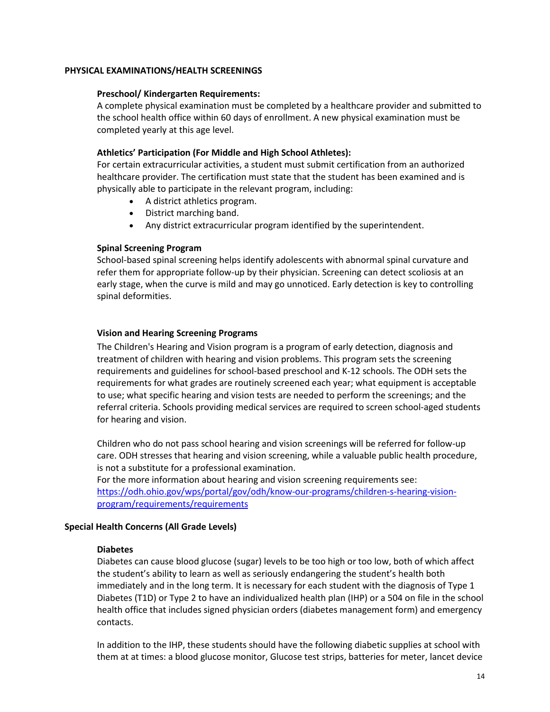#### **PHYSICAL EXAMINATIONS/HEALTH SCREENINGS**

#### **Preschool/ Kindergarten Requirements:**

A complete physical examination must be completed by a healthcare provider and submitted to the school health office within 60 days of enrollment. A new physical examination must be completed yearly at this age level.

#### **Athletics' Participation (For Middle and High School Athletes):**

For certain extracurricular activities, a student must submit certification from an authorized healthcare provider. The certification must state that the student has been examined and is physically able to participate in the relevant program, including:

- A district athletics program.
- District marching band.
- Any district extracurricular program identified by the superintendent.

#### **Spinal Screening Program**

School-based spinal screening helps identify adolescents with abnormal spinal curvature and refer them for appropriate follow-up by their physician. Screening can detect scoliosis at an early stage, when the curve is mild and may go unnoticed. Early detection is key to controlling spinal deformities.

#### **Vision and Hearing Screening Programs**

The Children's Hearing and Vision program is a program of early detection, diagnosis and treatment of children with hearing and vision problems. This program sets the screening requirements and guidelines for school-based preschool and K-12 schools. The ODH sets the requirements for what grades are routinely screened each year; what equipment is acceptable to use; what specific hearing and vision tests are needed to perform the screenings; and the referral criteria. Schools providing medical services are required to screen school-aged students for hearing and vision.

Children who do not pass school hearing and vision screenings will be referred for follow-up care. ODH stresses that hearing and vision screening, while a valuable public health procedure, is not a substitute for a professional examination.

For the more information about hearing and vision screening requirements see: [https://odh.ohio.gov/wps/portal/gov/odh/know-our-programs/children-s-hearing-vision](https://odh.ohio.gov/wps/portal/gov/odh/know-our-programs/children-s-hearing-vision-program/requirements/requirements)[program/requirements/requirements](https://odh.ohio.gov/wps/portal/gov/odh/know-our-programs/children-s-hearing-vision-program/requirements/requirements)

#### **Special Health Concerns (All Grade Levels)**

#### **Diabetes**

Diabetes can cause blood glucose (sugar) levels to be too high or too low, both of which affect the student's ability to learn as well as seriously endangering the student's health both immediately and in the long term. It is necessary for each student with the diagnosis of Type 1 Diabetes (T1D) or Type 2 to have an individualized health plan (IHP) or a 504 on file in the school health office that includes signed physician orders (diabetes management form) and emergency contacts.

In addition to the IHP, these students should have the following diabetic supplies at school with them at at times: a blood glucose monitor, Glucose test strips, batteries for meter, lancet device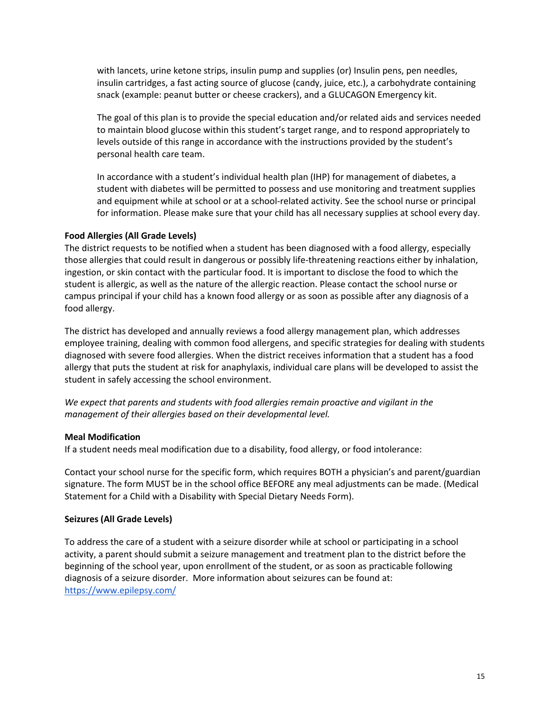with lancets, urine ketone strips, insulin pump and supplies (or) Insulin pens, pen needles, insulin cartridges, a fast acting source of glucose (candy, juice, etc.), a carbohydrate containing snack (example: peanut butter or cheese crackers), and a GLUCAGON Emergency kit.

The goal of this plan is to provide the special education and/or related aids and services needed to maintain blood glucose within this student's target range, and to respond appropriately to levels outside of this range in accordance with the instructions provided by the student's personal health care team.

In accordance with a student's individual health plan (IHP) for management of diabetes, a student with diabetes will be permitted to possess and use monitoring and treatment supplies and equipment while at school or at a school-related activity. See the school nurse or principal for information. Please make sure that your child has all necessary supplies at school every day.

#### **Food Allergies (All Grade Levels)**

The district requests to be notified when a student has been diagnosed with a food allergy, especially those allergies that could result in dangerous or possibly life-threatening reactions either by inhalation, ingestion, or skin contact with the particular food. It is important to disclose the food to which the student is allergic, as well as the nature of the allergic reaction. Please contact the school nurse or campus principal if your child has a known food allergy or as soon as possible after any diagnosis of a food allergy.

The district has developed and annually reviews a food allergy management plan, which addresses employee training, dealing with common food allergens, and specific strategies for dealing with students diagnosed with severe food allergies. When the district receives information that a student has a food allergy that puts the student at risk for anaphylaxis, individual care plans will be developed to assist the student in safely accessing the school environment.

*We expect that parents and students with food allergies remain proactive and vigilant in the management of their allergies based on their developmental level.*

#### **Meal Modification**

If a student needs meal modification due to a disability, food allergy, or food intolerance:

Contact your school nurse for the specific form, which requires BOTH a physician's and parent/guardian signature. The form MUST be in the school office BEFORE any meal adjustments can be made. (Medical Statement for a Child with a Disability with Special Dietary Needs Form).

## **Seizures (All Grade Levels)**

To address the care of a student with a seizure disorder while at school or participating in a school activity, a parent should submit a seizure management and treatment plan to the district before the beginning of the school year, upon enrollment of the student, or as soon as practicable following diagnosis of a seizure disorder. More information about seizures can be found at: <https://www.epilepsy.com/>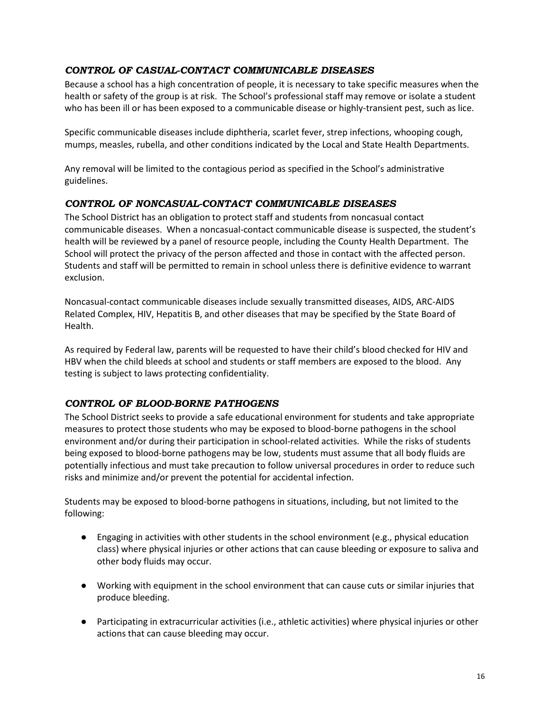# <span id="page-21-0"></span>*CONTROL OF CASUAL-CONTACT COMMUNICABLE DISEASES*

Because a school has a high concentration of people, it is necessary to take specific measures when the health or safety of the group is at risk. The School's professional staff may remove or isolate a student who has been ill or has been exposed to a communicable disease or highly-transient pest, such as lice.

Specific communicable diseases include diphtheria, scarlet fever, strep infections, whooping cough, mumps, measles, rubella, and other conditions indicated by the Local and State Health Departments.

Any removal will be limited to the contagious period as specified in the School's administrative guidelines.

## <span id="page-21-1"></span>*CONTROL OF NONCASUAL-CONTACT COMMUNICABLE DISEASES*

The School District has an obligation to protect staff and students from noncasual contact communicable diseases. When a noncasual-contact communicable disease is suspected, the student's health will be reviewed by a panel of resource people, including the County Health Department. The School will protect the privacy of the person affected and those in contact with the affected person. Students and staff will be permitted to remain in school unless there is definitive evidence to warrant exclusion.

Noncasual-contact communicable diseases include sexually transmitted diseases, AIDS, ARC-AIDS Related Complex, HIV, Hepatitis B, and other diseases that may be specified by the State Board of Health.

As required by Federal law, parents will be requested to have their child's blood checked for HIV and HBV when the child bleeds at school and students or staff members are exposed to the blood. Any testing is subject to laws protecting confidentiality.

## <span id="page-21-2"></span>*CONTROL OF BLOOD-BORNE PATHOGENS*

The School District seeks to provide a safe educational environment for students and take appropriate measures to protect those students who may be exposed to blood-borne pathogens in the school environment and/or during their participation in school-related activities. While the risks of students being exposed to blood-borne pathogens may be low, students must assume that all body fluids are potentially infectious and must take precaution to follow universal procedures in order to reduce such risks and minimize and/or prevent the potential for accidental infection.

Students may be exposed to blood-borne pathogens in situations, including, but not limited to the following:

- Engaging in activities with other students in the school environment (e.g., physical education class) where physical injuries or other actions that can cause bleeding or exposure to saliva and other body fluids may occur.
- Working with equipment in the school environment that can cause cuts or similar injuries that produce bleeding.
- Participating in extracurricular activities (i.e., athletic activities) where physical injuries or other actions that can cause bleeding may occur.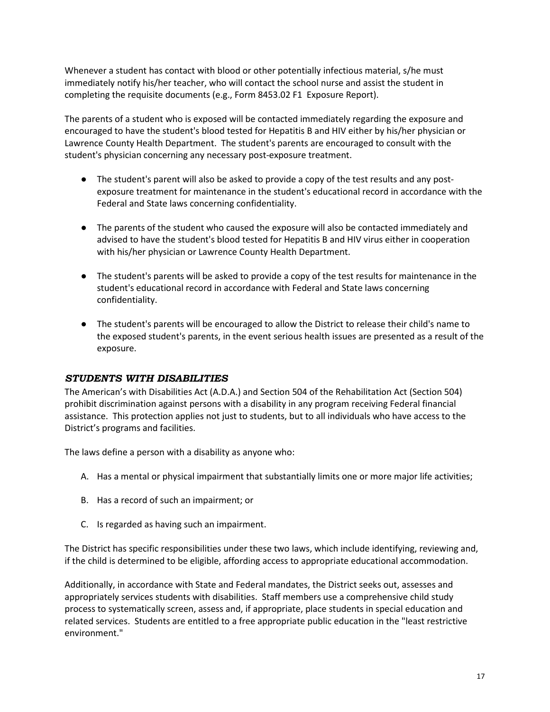Whenever a student has contact with blood or other potentially infectious material, s/he must immediately notify his/her teacher, who will contact the school nurse and assist the student in completing the requisite documents (e.g., Form 8453.02 F1 Exposure Report).

The parents of a student who is exposed will be contacted immediately regarding the exposure and encouraged to have the student's blood tested for Hepatitis B and HIV either by his/her physician or Lawrence County Health Department. The student's parents are encouraged to consult with the student's physician concerning any necessary post-exposure treatment.

- The student's parent will also be asked to provide a copy of the test results and any postexposure treatment for maintenance in the student's educational record in accordance with the Federal and State laws concerning confidentiality.
- The parents of the student who caused the exposure will also be contacted immediately and advised to have the student's blood tested for Hepatitis B and HIV virus either in cooperation with his/her physician or Lawrence County Health Department.
- The student's parents will be asked to provide a copy of the test results for maintenance in the student's educational record in accordance with Federal and State laws concerning confidentiality.
- The student's parents will be encouraged to allow the District to release their child's name to the exposed student's parents, in the event serious health issues are presented as a result of the exposure.

## <span id="page-22-0"></span>*STUDENTS WITH DISABILITIES*

The American's with Disabilities Act (A.D.A.) and Section 504 of the Rehabilitation Act (Section 504) prohibit discrimination against persons with a disability in any program receiving Federal financial assistance. This protection applies not just to students, but to all individuals who have access to the District's programs and facilities.

The laws define a person with a disability as anyone who:

- A. Has a mental or physical impairment that substantially limits one or more major life activities;
- B. Has a record of such an impairment; or
- C. Is regarded as having such an impairment.

The District has specific responsibilities under these two laws, which include identifying, reviewing and, if the child is determined to be eligible, affording access to appropriate educational accommodation.

Additionally, in accordance with State and Federal mandates, the District seeks out, assesses and appropriately services students with disabilities. Staff members use a comprehensive child study process to systematically screen, assess and, if appropriate, place students in special education and related services. Students are entitled to a free appropriate public education in the "least restrictive environment."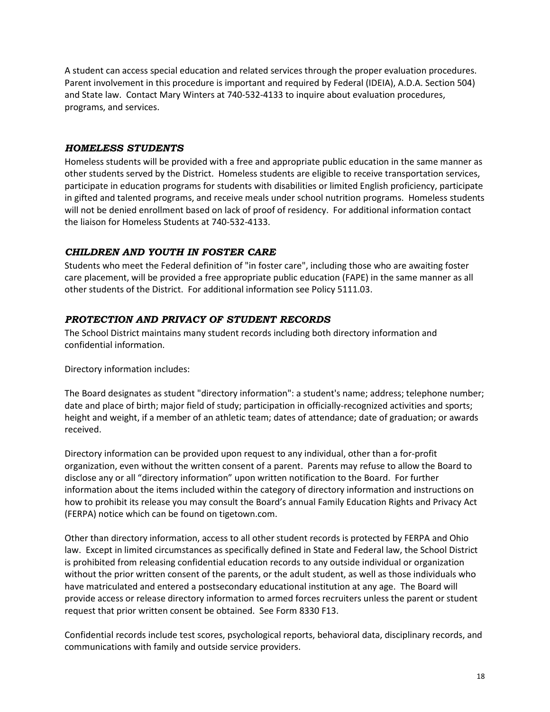A student can access special education and related services through the proper evaluation procedures. Parent involvement in this procedure is important and required by Federal (IDEIA), A.D.A. Section 504) and State law. Contact Mary Winters at 740-532-4133 to inquire about evaluation procedures, programs, and services.

### <span id="page-23-0"></span>*HOMELESS STUDENTS*

Homeless students will be provided with a free and appropriate public education in the same manner as other students served by the District. Homeless students are eligible to receive transportation services, participate in education programs for students with disabilities or limited English proficiency, participate in gifted and talented programs, and receive meals under school nutrition programs. Homeless students will not be denied enrollment based on lack of proof of residency. For additional information contact the liaison for Homeless Students at 740-532-4133.

## <span id="page-23-1"></span>*CHILDREN AND YOUTH IN FOSTER CARE*

Students who meet the Federal definition of "in foster care", including those who are awaiting foster care placement, will be provided a free appropriate public education (FAPE) in the same manner as all other students of the District. For additional information see Policy 5111.03.

#### <span id="page-23-2"></span>*PROTECTION AND PRIVACY OF STUDENT RECORDS*

The School District maintains many student records including both directory information and confidential information.

Directory information includes:

The Board designates as student "directory information": a student's name; address; telephone number; date and place of birth; major field of study; participation in officially-recognized activities and sports; height and weight, if a member of an athletic team; dates of attendance; date of graduation; or awards received.

Directory information can be provided upon request to any individual, other than a for-profit organization, even without the written consent of a parent. Parents may refuse to allow the Board to disclose any or all "directory information" upon written notification to the Board. For further information about the items included within the category of directory information and instructions on how to prohibit its release you may consult the Board's annual Family Education Rights and Privacy Act (FERPA) notice which can be found on tigetown.com.

Other than directory information, access to all other student records is protected by FERPA and Ohio law. Except in limited circumstances as specifically defined in State and Federal law, the School District is prohibited from releasing confidential education records to any outside individual or organization without the prior written consent of the parents, or the adult student, as well as those individuals who have matriculated and entered a postsecondary educational institution at any age. The Board will provide access or release directory information to armed forces recruiters unless the parent or student request that prior written consent be obtained. See Form 8330 F13.

Confidential records include test scores, psychological reports, behavioral data, disciplinary records, and communications with family and outside service providers.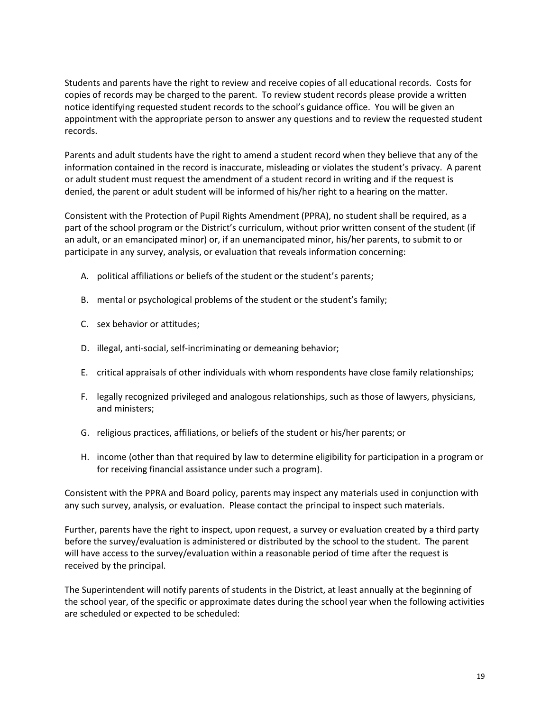Students and parents have the right to review and receive copies of all educational records. Costs for copies of records may be charged to the parent. To review student records please provide a written notice identifying requested student records to the school's guidance office. You will be given an appointment with the appropriate person to answer any questions and to review the requested student records.

Parents and adult students have the right to amend a student record when they believe that any of the information contained in the record is inaccurate, misleading or violates the student's privacy. A parent or adult student must request the amendment of a student record in writing and if the request is denied, the parent or adult student will be informed of his/her right to a hearing on the matter.

Consistent with the Protection of Pupil Rights Amendment (PPRA), no student shall be required, as a part of the school program or the District's curriculum, without prior written consent of the student (if an adult, or an emancipated minor) or, if an unemancipated minor, his/her parents, to submit to or participate in any survey, analysis, or evaluation that reveals information concerning:

- A. political affiliations or beliefs of the student or the student's parents;
- B. mental or psychological problems of the student or the student's family;
- C. sex behavior or attitudes;
- D. illegal, anti-social, self-incriminating or demeaning behavior;
- E. critical appraisals of other individuals with whom respondents have close family relationships;
- F. legally recognized privileged and analogous relationships, such as those of lawyers, physicians, and ministers;
- G. religious practices, affiliations, or beliefs of the student or his/her parents; or
- H. income (other than that required by law to determine eligibility for participation in a program or for receiving financial assistance under such a program).

Consistent with the PPRA and Board policy, parents may inspect any materials used in conjunction with any such survey, analysis, or evaluation. Please contact the principal to inspect such materials.

Further, parents have the right to inspect, upon request, a survey or evaluation created by a third party before the survey/evaluation is administered or distributed by the school to the student. The parent will have access to the survey/evaluation within a reasonable period of time after the request is received by the principal.

The Superintendent will notify parents of students in the District, at least annually at the beginning of the school year, of the specific or approximate dates during the school year when the following activities are scheduled or expected to be scheduled: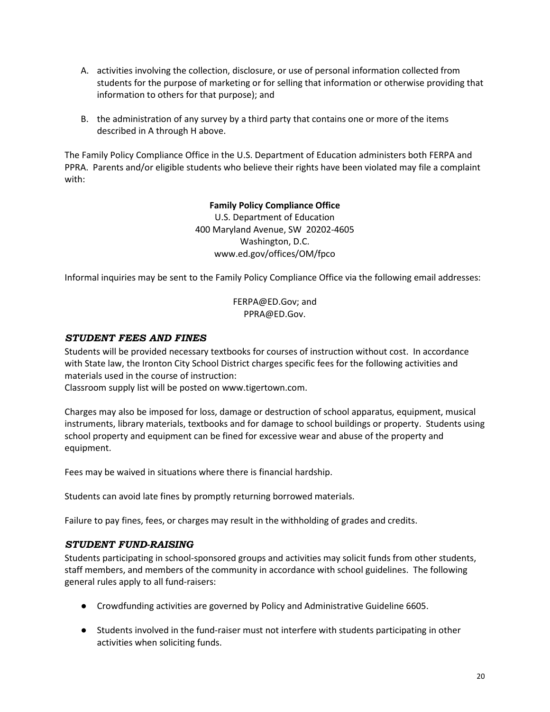- A. activities involving the collection, disclosure, or use of personal information collected from students for the purpose of marketing or for selling that information or otherwise providing that information to others for that purpose); and
- B. the administration of any survey by a third party that contains one or more of the items described in A through H above.

The Family Policy Compliance Office in the U.S. Department of Education administers both FERPA and PPRA. Parents and/or eligible students who believe their rights have been violated may file a complaint with:

## **Family Policy Compliance Office**

U.S. Department of Education 400 Maryland Avenue, SW 20202-4605 Washington, D.C. www.ed.gov/offices/OM/fpco

Informal inquiries may be sent to the Family Policy Compliance Office via the following email addresses:

FERPA@ED.Gov; and PPRA@ED.Gov.

## <span id="page-25-0"></span>*STUDENT FEES AND FINES*

Students will be provided necessary textbooks for courses of instruction without cost. In accordance with State law, the Ironton City School District charges specific fees for the following activities and materials used in the course of instruction:

Classroom supply list will be posted on www.tigertown.com.

Charges may also be imposed for loss, damage or destruction of school apparatus, equipment, musical instruments, library materials, textbooks and for damage to school buildings or property. Students using school property and equipment can be fined for excessive wear and abuse of the property and equipment.

Fees may be waived in situations where there is financial hardship.

Students can avoid late fines by promptly returning borrowed materials.

Failure to pay fines, fees, or charges may result in the withholding of grades and credits.

#### <span id="page-25-1"></span>*STUDENT FUND-RAISING*

Students participating in school-sponsored groups and activities may solicit funds from other students, staff members, and members of the community in accordance with school guidelines. The following general rules apply to all fund-raisers:

- Crowdfunding activities are governed by Policy and Administrative Guideline 6605.
- Students involved in the fund-raiser must not interfere with students participating in other activities when soliciting funds.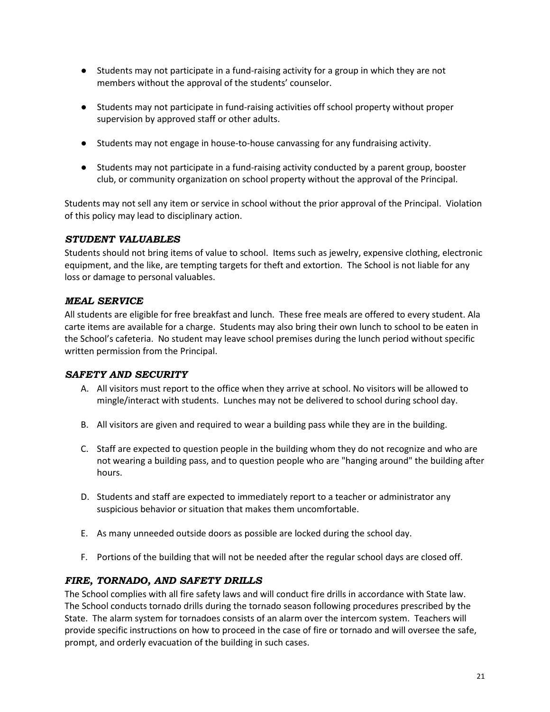- Students may not participate in a fund-raising activity for a group in which they are not members without the approval of the students' counselor.
- Students may not participate in fund-raising activities off school property without proper supervision by approved staff or other adults.
- Students may not engage in house-to-house canvassing for any fundraising activity.
- Students may not participate in a fund-raising activity conducted by a parent group, booster club, or community organization on school property without the approval of the Principal.

Students may not sell any item or service in school without the prior approval of the Principal. Violation of this policy may lead to disciplinary action.

# <span id="page-26-0"></span>*STUDENT VALUABLES*

Students should not bring items of value to school. Items such as jewelry, expensive clothing, electronic equipment, and the like, are tempting targets for theft and extortion. The School is not liable for any loss or damage to personal valuables.

# <span id="page-26-1"></span>*MEAL SERVICE*

All students are eligible for free breakfast and lunch. These free meals are offered to every student. Ala carte items are available for a charge. Students may also bring their own lunch to school to be eaten in the School's cafeteria. No student may leave school premises during the lunch period without specific written permission from the Principal.

## <span id="page-26-2"></span>*SAFETY AND SECURITY*

- A. All visitors must report to the office when they arrive at school. No visitors will be allowed to mingle/interact with students. Lunches may not be delivered to school during school day.
- B. All visitors are given and required to wear a building pass while they are in the building.
- C. Staff are expected to question people in the building whom they do not recognize and who are not wearing a building pass, and to question people who are "hanging around" the building after hours.
- D. Students and staff are expected to immediately report to a teacher or administrator any suspicious behavior or situation that makes them uncomfortable.
- E. As many unneeded outside doors as possible are locked during the school day.
- F. Portions of the building that will not be needed after the regular school days are closed off.

## <span id="page-26-3"></span>*FIRE, TORNADO, AND SAFETY DRILLS*

The School complies with all fire safety laws and will conduct fire drills in accordance with State law. The School conducts tornado drills during the tornado season following procedures prescribed by the State. The alarm system for tornadoes consists of an alarm over the intercom system. Teachers will provide specific instructions on how to proceed in the case of fire or tornado and will oversee the safe, prompt, and orderly evacuation of the building in such cases.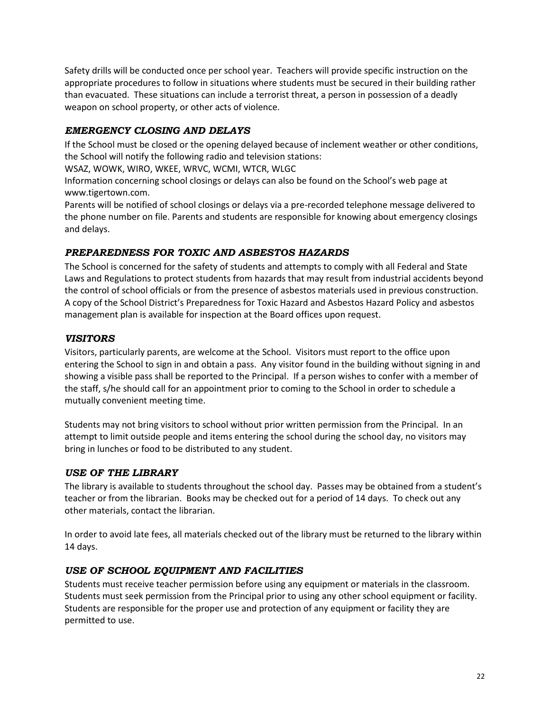Safety drills will be conducted once per school year. Teachers will provide specific instruction on the appropriate procedures to follow in situations where students must be secured in their building rather than evacuated. These situations can include a terrorist threat, a person in possession of a deadly weapon on school property, or other acts of violence.

# <span id="page-27-0"></span>*EMERGENCY CLOSING AND DELAYS*

If the School must be closed or the opening delayed because of inclement weather or other conditions, the School will notify the following radio and television stations:

WSAZ, WOWK, WIRO, WKEE, WRVC, WCMI, WTCR, WLGC

Information concerning school closings or delays can also be found on the School's web page at www.tigertown.com.

Parents will be notified of school closings or delays via a pre-recorded telephone message delivered to the phone number on file. Parents and students are responsible for knowing about emergency closings and delays.

# <span id="page-27-1"></span>*PREPAREDNESS FOR TOXIC AND ASBESTOS HAZARDS*

The School is concerned for the safety of students and attempts to comply with all Federal and State Laws and Regulations to protect students from hazards that may result from industrial accidents beyond the control of school officials or from the presence of asbestos materials used in previous construction. A copy of the School District's Preparedness for Toxic Hazard and Asbestos Hazard Policy and asbestos management plan is available for inspection at the Board offices upon request.

# <span id="page-27-2"></span>*VISITORS*

Visitors, particularly parents, are welcome at the School. Visitors must report to the office upon entering the School to sign in and obtain a pass. Any visitor found in the building without signing in and showing a visible pass shall be reported to the Principal. If a person wishes to confer with a member of the staff, s/he should call for an appointment prior to coming to the School in order to schedule a mutually convenient meeting time.

Students may not bring visitors to school without prior written permission from the Principal. In an attempt to limit outside people and items entering the school during the school day, no visitors may bring in lunches or food to be distributed to any student.

# <span id="page-27-3"></span>*USE OF THE LIBRARY*

The library is available to students throughout the school day. Passes may be obtained from a student's teacher or from the librarian. Books may be checked out for a period of 14 days. To check out any other materials, contact the librarian.

In order to avoid late fees, all materials checked out of the library must be returned to the library within 14 days.

# <span id="page-27-4"></span>*USE OF SCHOOL EQUIPMENT AND FACILITIES*

Students must receive teacher permission before using any equipment or materials in the classroom. Students must seek permission from the Principal prior to using any other school equipment or facility. Students are responsible for the proper use and protection of any equipment or facility they are permitted to use.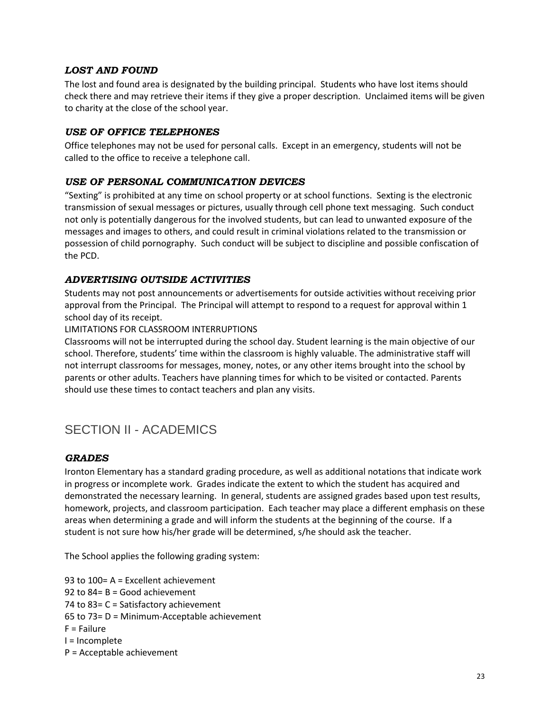## <span id="page-28-0"></span>*LOST AND FOUND*

The lost and found area is designated by the building principal. Students who have lost items should check there and may retrieve their items if they give a proper description. Unclaimed items will be given to charity at the close of the school year.

## <span id="page-28-1"></span>*USE OF OFFICE TELEPHONES*

Office telephones may not be used for personal calls. Except in an emergency, students will not be called to the office to receive a telephone call.

## <span id="page-28-2"></span>*USE OF PERSONAL COMMUNICATION DEVICES*

"Sexting" is prohibited at any time on school property or at school functions. Sexting is the electronic transmission of sexual messages or pictures, usually through cell phone text messaging. Such conduct not only is potentially dangerous for the involved students, but can lead to unwanted exposure of the messages and images to others, and could result in criminal violations related to the transmission or possession of child pornography. Such conduct will be subject to discipline and possible confiscation of the PCD.

## <span id="page-28-3"></span>*ADVERTISING OUTSIDE ACTIVITIES*

Students may not post announcements or advertisements for outside activities without receiving prior approval from the Principal. The Principal will attempt to respond to a request for approval within 1 school day of its receipt.

#### LIMITATIONS FOR CLASSROOM INTERRUPTIONS

Classrooms will not be interrupted during the school day. Student learning is the main objective of our school. Therefore, students' time within the classroom is highly valuable. The administrative staff will not interrupt classrooms for messages, money, notes, or any other items brought into the school by parents or other adults. Teachers have planning times for which to be visited or contacted. Parents should use these times to contact teachers and plan any visits.

# <span id="page-28-4"></span>SECTION II - ACADEMICS

#### <span id="page-28-5"></span>*GRADES*

Ironton Elementary has a standard grading procedure, as well as additional notations that indicate work in progress or incomplete work. Grades indicate the extent to which the student has acquired and demonstrated the necessary learning. In general, students are assigned grades based upon test results, homework, projects, and classroom participation. Each teacher may place a different emphasis on these areas when determining a grade and will inform the students at the beginning of the course. If a student is not sure how his/her grade will be determined, s/he should ask the teacher.

The School applies the following grading system:

93 to 100= A = Excellent achievement 92 to 84= B = Good achievement 74 to 83= C = Satisfactory achievement 65 to 73= D = Minimum-Acceptable achievement F = Failure I = Incomplete P = Acceptable achievement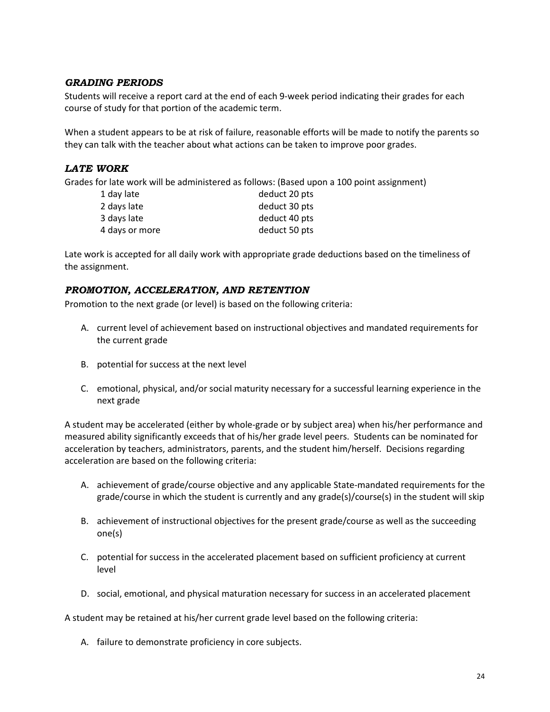### <span id="page-29-0"></span>*GRADING PERIODS*

Students will receive a report card at the end of each 9-week period indicating their grades for each course of study for that portion of the academic term.

When a student appears to be at risk of failure, reasonable efforts will be made to notify the parents so they can talk with the teacher about what actions can be taken to improve poor grades.

## <span id="page-29-1"></span>*LATE WORK*

Grades for late work will be administered as follows: (Based upon a 100 point assignment)

| 1 day late     | deduct 20 pts |
|----------------|---------------|
| 2 days late    | deduct 30 pts |
| 3 days late    | deduct 40 pts |
| 4 days or more | deduct 50 pts |

Late work is accepted for all daily work with appropriate grade deductions based on the timeliness of the assignment.

#### <span id="page-29-2"></span>*PROMOTION, ACCELERATION, AND RETENTION*

Promotion to the next grade (or level) is based on the following criteria:

- A. current level of achievement based on instructional objectives and mandated requirements for the current grade
- B. potential for success at the next level
- C. emotional, physical, and/or social maturity necessary for a successful learning experience in the next grade

A student may be accelerated (either by whole-grade or by subject area) when his/her performance and measured ability significantly exceeds that of his/her grade level peers. Students can be nominated for acceleration by teachers, administrators, parents, and the student him/herself. Decisions regarding acceleration are based on the following criteria:

- A. achievement of grade/course objective and any applicable State-mandated requirements for the grade/course in which the student is currently and any grade(s)/course(s) in the student will skip
- B. achievement of instructional objectives for the present grade/course as well as the succeeding one(s)
- C. potential for success in the accelerated placement based on sufficient proficiency at current level
- D. social, emotional, and physical maturation necessary for success in an accelerated placement

A student may be retained at his/her current grade level based on the following criteria:

A. failure to demonstrate proficiency in core subjects.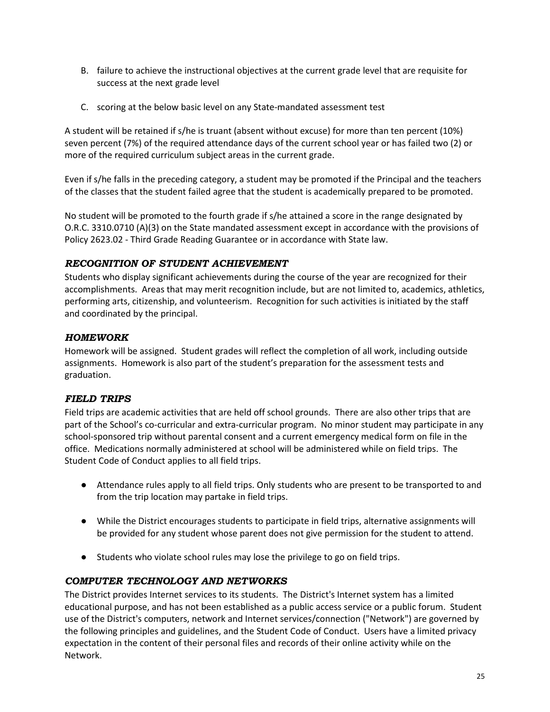- B. failure to achieve the instructional objectives at the current grade level that are requisite for success at the next grade level
- C. scoring at the below basic level on any State-mandated assessment test

A student will be retained if s/he is truant (absent without excuse) for more than ten percent (10%) seven percent (7%) of the required attendance days of the current school year or has failed two (2) or more of the required curriculum subject areas in the current grade.

Even if s/he falls in the preceding category, a student may be promoted if the Principal and the teachers of the classes that the student failed agree that the student is academically prepared to be promoted.

No student will be promoted to the fourth grade if s/he attained a score in the range designated by O.R.C. 3310.0710 (A)(3) on the State mandated assessment except in accordance with the provisions of Policy 2623.02 - Third Grade Reading Guarantee or in accordance with State law.

# <span id="page-30-0"></span>*RECOGNITION OF STUDENT ACHIEVEMENT*

Students who display significant achievements during the course of the year are recognized for their accomplishments. Areas that may merit recognition include, but are not limited to, academics, athletics, performing arts, citizenship, and volunteerism. Recognition for such activities is initiated by the staff and coordinated by the principal.

# <span id="page-30-1"></span>*HOMEWORK*

Homework will be assigned. Student grades will reflect the completion of all work, including outside assignments. Homework is also part of the student's preparation for the assessment tests and graduation.

# <span id="page-30-2"></span>*FIELD TRIPS*

Field trips are academic activities that are held off school grounds. There are also other trips that are part of the School's co-curricular and extra-curricular program. No minor student may participate in any school-sponsored trip without parental consent and a current emergency medical form on file in the office. Medications normally administered at school will be administered while on field trips. The Student Code of Conduct applies to all field trips.

- Attendance rules apply to all field trips. Only students who are present to be transported to and from the trip location may partake in field trips.
- While the District encourages students to participate in field trips, alternative assignments will be provided for any student whose parent does not give permission for the student to attend.
- Students who violate school rules may lose the privilege to go on field trips.

## <span id="page-30-3"></span>*COMPUTER TECHNOLOGY AND NETWORKS*

The District provides Internet services to its students. The District's Internet system has a limited educational purpose, and has not been established as a public access service or a public forum. Student use of the District's computers, network and Internet services/connection ("Network") are governed by the following principles and guidelines, and the Student Code of Conduct. Users have a limited privacy expectation in the content of their personal files and records of their online activity while on the Network.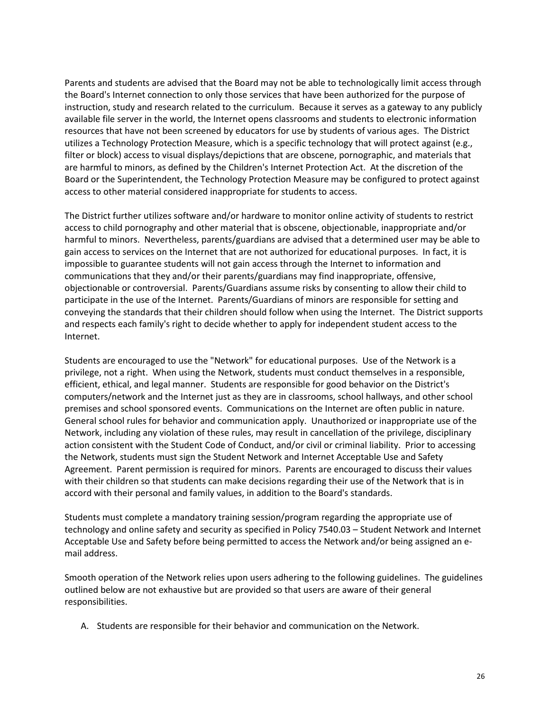Parents and students are advised that the Board may not be able to technologically limit access through the Board's Internet connection to only those services that have been authorized for the purpose of instruction, study and research related to the curriculum. Because it serves as a gateway to any publicly available file server in the world, the Internet opens classrooms and students to electronic information resources that have not been screened by educators for use by students of various ages. The District utilizes a Technology Protection Measure, which is a specific technology that will protect against (e.g., filter or block) access to visual displays/depictions that are obscene, pornographic, and materials that are harmful to minors, as defined by the Children's Internet Protection Act. At the discretion of the Board or the Superintendent, the Technology Protection Measure may be configured to protect against access to other material considered inappropriate for students to access.

The District further utilizes software and/or hardware to monitor online activity of students to restrict access to child pornography and other material that is obscene, objectionable, inappropriate and/or harmful to minors. Nevertheless, parents/guardians are advised that a determined user may be able to gain access to services on the Internet that are not authorized for educational purposes. In fact, it is impossible to guarantee students will not gain access through the Internet to information and communications that they and/or their parents/guardians may find inappropriate, offensive, objectionable or controversial. Parents/Guardians assume risks by consenting to allow their child to participate in the use of the Internet. Parents/Guardians of minors are responsible for setting and conveying the standards that their children should follow when using the Internet. The District supports and respects each family's right to decide whether to apply for independent student access to the Internet.

Students are encouraged to use the "Network" for educational purposes. Use of the Network is a privilege, not a right. When using the Network, students must conduct themselves in a responsible, efficient, ethical, and legal manner. Students are responsible for good behavior on the District's computers/network and the Internet just as they are in classrooms, school hallways, and other school premises and school sponsored events. Communications on the Internet are often public in nature. General school rules for behavior and communication apply. Unauthorized or inappropriate use of the Network, including any violation of these rules, may result in cancellation of the privilege, disciplinary action consistent with the Student Code of Conduct, and/or civil or criminal liability. Prior to accessing the Network, students must sign the Student Network and Internet Acceptable Use and Safety Agreement. Parent permission is required for minors. Parents are encouraged to discuss their values with their children so that students can make decisions regarding their use of the Network that is in accord with their personal and family values, in addition to the Board's standards.

Students must complete a mandatory training session/program regarding the appropriate use of technology and online safety and security as specified in Policy 7540.03 – Student Network and Internet Acceptable Use and Safety before being permitted to access the Network and/or being assigned an email address.

Smooth operation of the Network relies upon users adhering to the following guidelines. The guidelines outlined below are not exhaustive but are provided so that users are aware of their general responsibilities.

A. Students are responsible for their behavior and communication on the Network.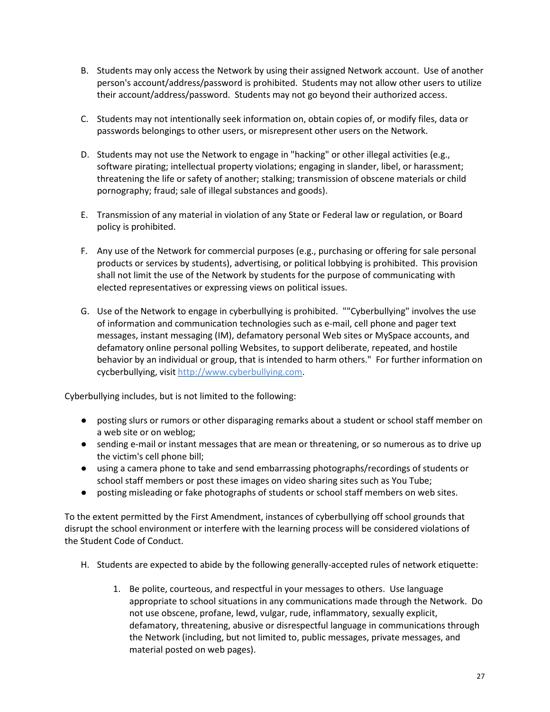- B. Students may only access the Network by using their assigned Network account. Use of another person's account/address/password is prohibited. Students may not allow other users to utilize their account/address/password. Students may not go beyond their authorized access.
- C. Students may not intentionally seek information on, obtain copies of, or modify files, data or passwords belongings to other users, or misrepresent other users on the Network.
- D. Students may not use the Network to engage in "hacking" or other illegal activities (e.g., software pirating; intellectual property violations; engaging in slander, libel, or harassment; threatening the life or safety of another; stalking; transmission of obscene materials or child pornography; fraud; sale of illegal substances and goods).
- E. Transmission of any material in violation of any State or Federal law or regulation, or Board policy is prohibited.
- F. Any use of the Network for commercial purposes (e.g., purchasing or offering for sale personal products or services by students), advertising, or political lobbying is prohibited. This provision shall not limit the use of the Network by students for the purpose of communicating with elected representatives or expressing views on political issues.
- G. Use of the Network to engage in cyberbullying is prohibited. ""Cyberbullying" involves the use of information and communication technologies such as e-mail, cell phone and pager text messages, instant messaging (IM), defamatory personal Web sites or MySpace accounts, and defamatory online personal polling Websites, to support deliberate, repeated, and hostile behavior by an individual or group, that is intended to harm others." For further information on cycberbullying, visit http://www.cyberbullying.com.

Cyberbullying includes, but is not limited to the following:

- posting slurs or rumors or other disparaging remarks about a student or school staff member on a web site or on weblog;
- sending e-mail or instant messages that are mean or threatening, or so numerous as to drive up the victim's cell phone bill;
- using a camera phone to take and send embarrassing photographs/recordings of students or school staff members or post these images on video sharing sites such as You Tube;
- posting misleading or fake photographs of students or school staff members on web sites.

To the extent permitted by the First Amendment, instances of cyberbullying off school grounds that disrupt the school environment or interfere with the learning process will be considered violations of the Student Code of Conduct.

- H. Students are expected to abide by the following generally-accepted rules of network etiquette:
	- 1. Be polite, courteous, and respectful in your messages to others. Use language appropriate to school situations in any communications made through the Network. Do not use obscene, profane, lewd, vulgar, rude, inflammatory, sexually explicit, defamatory, threatening, abusive or disrespectful language in communications through the Network (including, but not limited to, public messages, private messages, and material posted on web pages).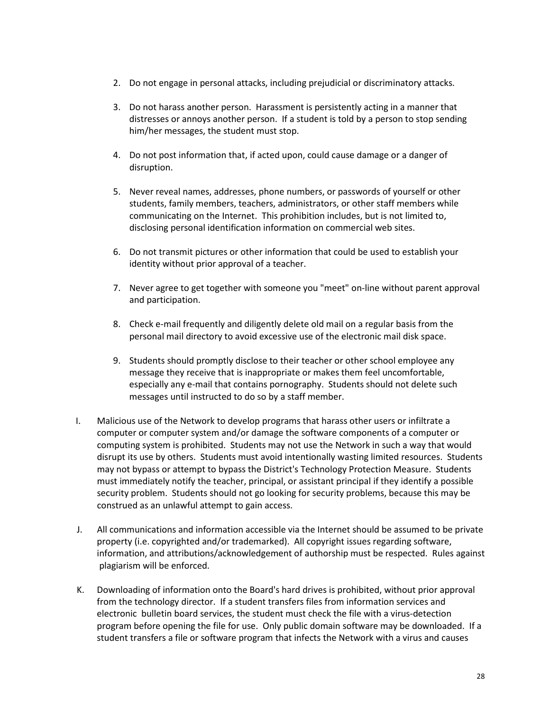- 2. Do not engage in personal attacks, including prejudicial or discriminatory attacks.
- 3. Do not harass another person. Harassment is persistently acting in a manner that distresses or annoys another person. If a student is told by a person to stop sending him/her messages, the student must stop.
- 4. Do not post information that, if acted upon, could cause damage or a danger of disruption.
- 5. Never reveal names, addresses, phone numbers, or passwords of yourself or other students, family members, teachers, administrators, or other staff members while communicating on the Internet. This prohibition includes, but is not limited to, disclosing personal identification information on commercial web sites.
- 6. Do not transmit pictures or other information that could be used to establish your identity without prior approval of a teacher.
- 7. Never agree to get together with someone you "meet" on-line without parent approval and participation.
- 8. Check e-mail frequently and diligently delete old mail on a regular basis from the personal mail directory to avoid excessive use of the electronic mail disk space.
- 9. Students should promptly disclose to their teacher or other school employee any message they receive that is inappropriate or makes them feel uncomfortable, especially any e-mail that contains pornography. Students should not delete such messages until instructed to do so by a staff member.
- I. Malicious use of the Network to develop programs that harass other users or infiltrate a computer or computer system and/or damage the software components of a computer or computing system is prohibited. Students may not use the Network in such a way that would disrupt its use by others. Students must avoid intentionally wasting limited resources. Students may not bypass or attempt to bypass the District's Technology Protection Measure. Students must immediately notify the teacher, principal, or assistant principal if they identify a possible security problem. Students should not go looking for security problems, because this may be construed as an unlawful attempt to gain access.
- J. All communications and information accessible via the Internet should be assumed to be private property (i.e. copyrighted and/or trademarked). All copyright issues regarding software, information, and attributions/acknowledgement of authorship must be respected. Rules against plagiarism will be enforced.
- K. Downloading of information onto the Board's hard drives is prohibited, without prior approval from the technology director. If a student transfers files from information services and electronic bulletin board services, the student must check the file with a virus-detection program before opening the file for use. Only public domain software may be downloaded. If a student transfers a file or software program that infects the Network with a virus and causes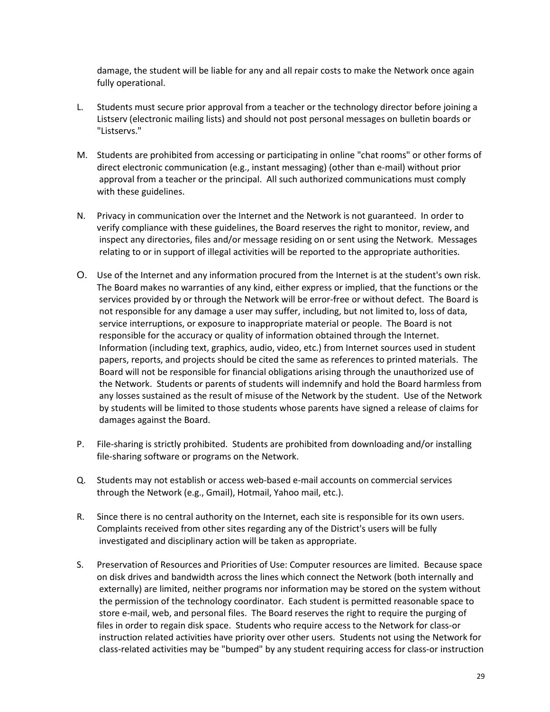damage, the student will be liable for any and all repair costs to make the Network once again fully operational.

- L. Students must secure prior approval from a teacher or the technology director before joining a Listserv (electronic mailing lists) and should not post personal messages on bulletin boards or "Listservs."
- M. Students are prohibited from accessing or participating in online "chat rooms" or other forms of direct electronic communication (e.g., instant messaging) (other than e-mail) without prior approval from a teacher or the principal. All such authorized communications must comply with these guidelines.
- N. Privacy in communication over the Internet and the Network is not guaranteed. In order to verify compliance with these guidelines, the Board reserves the right to monitor, review, and inspect any directories, files and/or message residing on or sent using the Network. Messages relating to or in support of illegal activities will be reported to the appropriate authorities.
- O. Use of the Internet and any information procured from the Internet is at the student's own risk. The Board makes no warranties of any kind, either express or implied, that the functions or the services provided by or through the Network will be error-free or without defect. The Board is not responsible for any damage a user may suffer, including, but not limited to, loss of data, service interruptions, or exposure to inappropriate material or people. The Board is not responsible for the accuracy or quality of information obtained through the Internet. Information (including text, graphics, audio, video, etc.) from Internet sources used in student papers, reports, and projects should be cited the same as references to printed materials. The Board will not be responsible for financial obligations arising through the unauthorized use of the Network. Students or parents of students will indemnify and hold the Board harmless from any losses sustained as the result of misuse of the Network by the student. Use of the Network by students will be limited to those students whose parents have signed a release of claims for damages against the Board.
- P. File-sharing is strictly prohibited. Students are prohibited from downloading and/or installing file-sharing software or programs on the Network.
- Q. Students may not establish or access web-based e-mail accounts on commercial services through the Network (e.g., Gmail), Hotmail, Yahoo mail, etc.).
- R. Since there is no central authority on the Internet, each site is responsible for its own users. Complaints received from other sites regarding any of the District's users will be fully investigated and disciplinary action will be taken as appropriate.
- S. Preservation of Resources and Priorities of Use: Computer resources are limited. Because space on disk drives and bandwidth across the lines which connect the Network (both internally and externally) are limited, neither programs nor information may be stored on the system without the permission of the technology coordinator. Each student is permitted reasonable space to store e-mail, web, and personal files. The Board reserves the right to require the purging of files in order to regain disk space. Students who require access to the Network for class-or instruction related activities have priority over other users. Students not using the Network for class-related activities may be "bumped" by any student requiring access for class-or instruction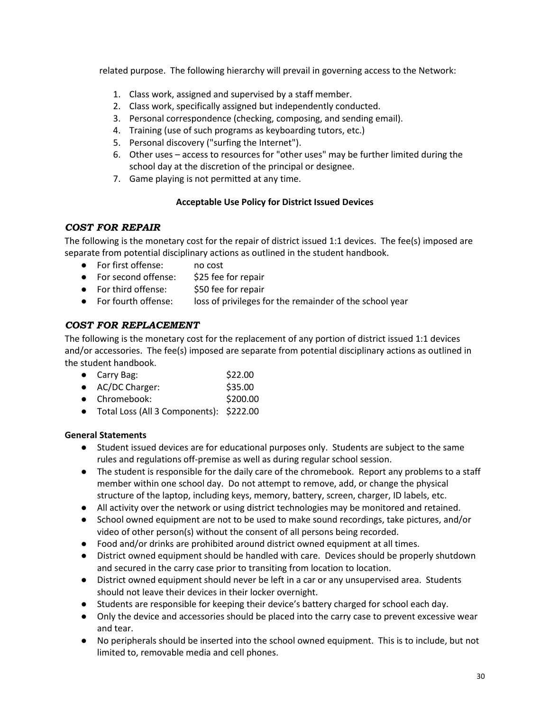related purpose. The following hierarchy will prevail in governing access to the Network:

- 1. Class work, assigned and supervised by a staff member.
- 2. Class work, specifically assigned but independently conducted.
- 3. Personal correspondence (checking, composing, and sending email).
- 4. Training (use of such programs as keyboarding tutors, etc.)
- 5. Personal discovery ("surfing the Internet").
- 6. Other uses access to resources for "other uses" may be further limited during the school day at the discretion of the principal or designee.
- 7. Game playing is not permitted at any time.

# **Acceptable Use Policy for District Issued Devices**

# <span id="page-35-0"></span>*COST FOR REPAIR*

The following is the monetary cost for the repair of district issued 1:1 devices. The fee(s) imposed are separate from potential disciplinary actions as outlined in the student handbook.

- For first offense: no cost
- For second offense: \$25 fee for repair
- For third offense: \$50 fee for repair
- For fourth offense: loss of privileges for the remainder of the school year

# <span id="page-35-1"></span>*COST FOR REPLACEMENT*

The following is the monetary cost for the replacement of any portion of district issued 1:1 devices and/or accessories. The fee(s) imposed are separate from potential disciplinary actions as outlined in the student handbook.

- Carry Bag: \$22.00
- AC/DC Charger: \$35.00
- Chromebook: \$200.00
- Total Loss (All 3 Components): \$222.00

## **General Statements**

- Student issued devices are for educational purposes only. Students are subject to the same rules and regulations off-premise as well as during regular school session.
- The student is responsible for the daily care of the chromebook. Report any problems to a staff member within one school day. Do not attempt to remove, add, or change the physical structure of the laptop, including keys, memory, battery, screen, charger, ID labels, etc.
- All activity over the network or using district technologies may be monitored and retained.
- School owned equipment are not to be used to make sound recordings, take pictures, and/or video of other person(s) without the consent of all persons being recorded.
- Food and/or drinks are prohibited around district owned equipment at all times.
- District owned equipment should be handled with care. Devices should be properly shutdown and secured in the carry case prior to transiting from location to location.
- District owned equipment should never be left in a car or any unsupervised area. Students should not leave their devices in their locker overnight.
- Students are responsible for keeping their device's battery charged for school each day.
- Only the device and accessories should be placed into the carry case to prevent excessive wear and tear.
- No peripherals should be inserted into the school owned equipment. This is to include, but not limited to, removable media and cell phones.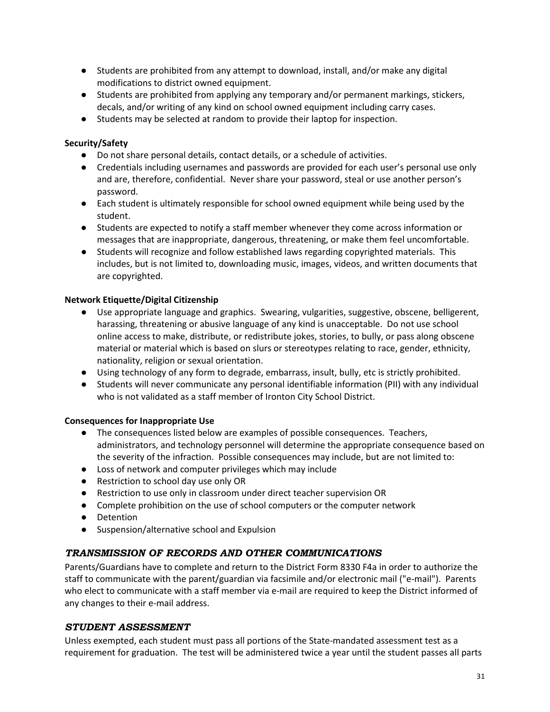- Students are prohibited from any attempt to download, install, and/or make any digital modifications to district owned equipment.
- Students are prohibited from applying any temporary and/or permanent markings, stickers, decals, and/or writing of any kind on school owned equipment including carry cases.
- Students may be selected at random to provide their laptop for inspection.

## **Security/Safety**

- Do not share personal details, contact details, or a schedule of activities.
- Credentials including usernames and passwords are provided for each user's personal use only and are, therefore, confidential. Never share your password, steal or use another person's password.
- Each student is ultimately responsible for school owned equipment while being used by the student.
- Students are expected to notify a staff member whenever they come across information or messages that are inappropriate, dangerous, threatening, or make them feel uncomfortable.
- Students will recognize and follow established laws regarding copyrighted materials. This includes, but is not limited to, downloading music, images, videos, and written documents that are copyrighted.

## **Network Etiquette/Digital Citizenship**

- Use appropriate language and graphics. Swearing, vulgarities, suggestive, obscene, belligerent, harassing, threatening or abusive language of any kind is unacceptable. Do not use school online access to make, distribute, or redistribute jokes, stories, to bully, or pass along obscene material or material which is based on slurs or stereotypes relating to race, gender, ethnicity, nationality, religion or sexual orientation.
- Using technology of any form to degrade, embarrass, insult, bully, etc is strictly prohibited.
- Students will never communicate any personal identifiable information (PII) with any individual who is not validated as a staff member of Ironton City School District.

## **Consequences for Inappropriate Use**

- The consequences listed below are examples of possible consequences. Teachers, administrators, and technology personnel will determine the appropriate consequence based on the severity of the infraction. Possible consequences may include, but are not limited to:
- Loss of network and computer privileges which may include
- Restriction to school day use only OR
- Restriction to use only in classroom under direct teacher supervision OR
- Complete prohibition on the use of school computers or the computer network
- Detention
- Suspension/alternative school and Expulsion

# <span id="page-36-0"></span>*TRANSMISSION OF RECORDS AND OTHER COMMUNICATIONS*

Parents/Guardians have to complete and return to the District Form 8330 F4a in order to authorize the staff to communicate with the parent/guardian via facsimile and/or electronic mail ("e-mail"). Parents who elect to communicate with a staff member via e-mail are required to keep the District informed of any changes to their e-mail address.

## <span id="page-36-1"></span>*STUDENT ASSESSMENT*

Unless exempted, each student must pass all portions of the State-mandated assessment test as a requirement for graduation. The test will be administered twice a year until the student passes all parts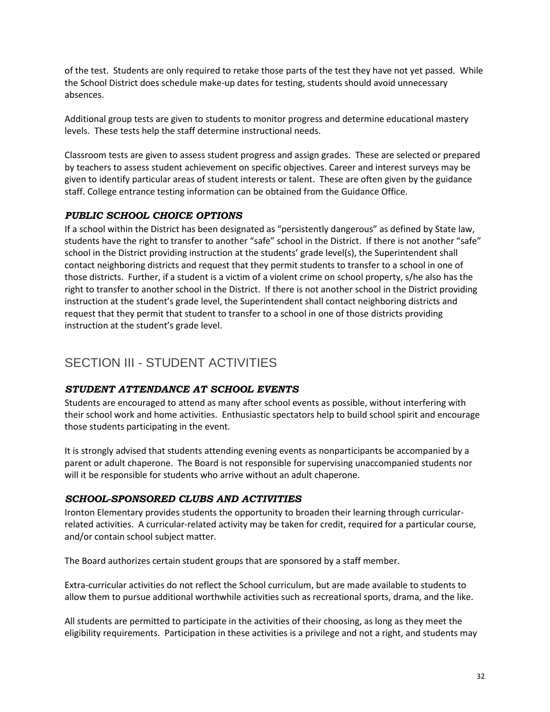of the test. Students are only required to retake those parts of the test they have not yet passed. While the School District does schedule make-up dates for testing, students should avoid unnecessary absences.

Additional group tests are given to students to monitor progress and determine educational mastery levels. These tests help the staff determine instructional needs.

Classroom tests are given to assess student progress and assign grades. These are selected or prepared by teachers to assess student achievement on specific objectives. Career and interest surveys may be given to identify particular areas of student interests or talent. These are often given by the guidance staff. College entrance testing information can be obtained from the Guidance Office.

# <span id="page-37-0"></span>*PUBLIC SCHOOL CHOICE OPTIONS*

If a school within the District has been designated as "persistently dangerous" as defined by State law, students have the right to transfer to another "safe" school in the District. If there is not another "safe" school in the District providing instruction at the students' grade level(s), the Superintendent shall contact neighboring districts and request that they permit students to transfer to a school in one of those districts. Further, if a student is a victim of a violent crime on school property, s/he also has the right to transfer to another school in the District. If there is not another school in the District providing instruction at the student's grade level, the Superintendent shall contact neighboring districts and request that they permit that student to transfer to a school in one of those districts providing instruction at the student's grade level.

# <span id="page-37-1"></span>SECTION III - STUDENT ACTIVITIES

# <span id="page-37-2"></span>*STUDENT ATTENDANCE AT SCHOOL EVENTS*

Students are encouraged to attend as many after school events as possible, without interfering with their school work and home activities. Enthusiastic spectators help to build school spirit and encourage those students participating in the event.

It is strongly advised that students attending evening events as nonparticipants be accompanied by a parent or adult chaperone. The Board is not responsible for supervising unaccompanied students nor will it be responsible for students who arrive without an adult chaperone.

# <span id="page-37-3"></span>*SCHOOL-SPONSORED CLUBS AND ACTIVITIES*

Ironton Elementary provides students the opportunity to broaden their learning through curricularrelated activities. A curricular-related activity may be taken for credit, required for a particular course, and/or contain school subject matter.

The Board authorizes certain student groups that are sponsored by a staff member.

Extra-curricular activities do not reflect the School curriculum, but are made available to students to allow them to pursue additional worthwhile activities such as recreational sports, drama, and the like.

All students are permitted to participate in the activities of their choosing, as long as they meet the eligibility requirements. Participation in these activities is a privilege and not a right, and students may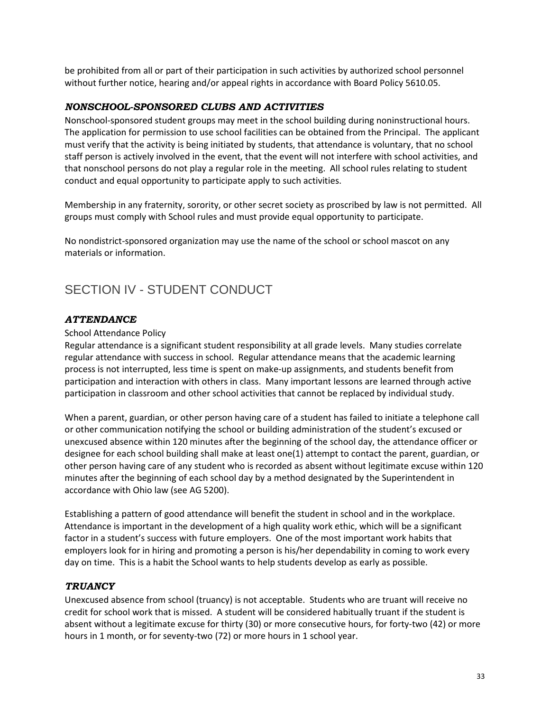be prohibited from all or part of their participation in such activities by authorized school personnel without further notice, hearing and/or appeal rights in accordance with Board Policy 5610.05.

## <span id="page-38-0"></span>*NONSCHOOL-SPONSORED CLUBS AND ACTIVITIES*

Nonschool-sponsored student groups may meet in the school building during noninstructional hours. The application for permission to use school facilities can be obtained from the Principal. The applicant must verify that the activity is being initiated by students, that attendance is voluntary, that no school staff person is actively involved in the event, that the event will not interfere with school activities, and that nonschool persons do not play a regular role in the meeting. All school rules relating to student conduct and equal opportunity to participate apply to such activities.

Membership in any fraternity, sorority, or other secret society as proscribed by law is not permitted. All groups must comply with School rules and must provide equal opportunity to participate.

No nondistrict-sponsored organization may use the name of the school or school mascot on any materials or information.

# <span id="page-38-1"></span>SECTION IV - STUDENT CONDUCT

## <span id="page-38-2"></span>*ATTENDANCE*

#### School Attendance Policy

Regular attendance is a significant student responsibility at all grade levels. Many studies correlate regular attendance with success in school. Regular attendance means that the academic learning process is not interrupted, less time is spent on make-up assignments, and students benefit from participation and interaction with others in class. Many important lessons are learned through active participation in classroom and other school activities that cannot be replaced by individual study.

When a parent, guardian, or other person having care of a student has failed to initiate a telephone call or other communication notifying the school or building administration of the student's excused or unexcused absence within 120 minutes after the beginning of the school day, the attendance officer or designee for each school building shall make at least one(1) attempt to contact the parent, guardian, or other person having care of any student who is recorded as absent without legitimate excuse within 120 minutes after the beginning of each school day by a method designated by the Superintendent in accordance with Ohio law (see AG 5200).

Establishing a pattern of good attendance will benefit the student in school and in the workplace. Attendance is important in the development of a high quality work ethic, which will be a significant factor in a student's success with future employers. One of the most important work habits that employers look for in hiring and promoting a person is his/her dependability in coming to work every day on time. This is a habit the School wants to help students develop as early as possible.

#### <span id="page-38-3"></span>*TRUANCY*

Unexcused absence from school (truancy) is not acceptable. Students who are truant will receive no credit for school work that is missed. A student will be considered habitually truant if the student is absent without a legitimate excuse for thirty (30) or more consecutive hours, for forty-two (42) or more hours in 1 month, or for seventy-two (72) or more hours in 1 school year.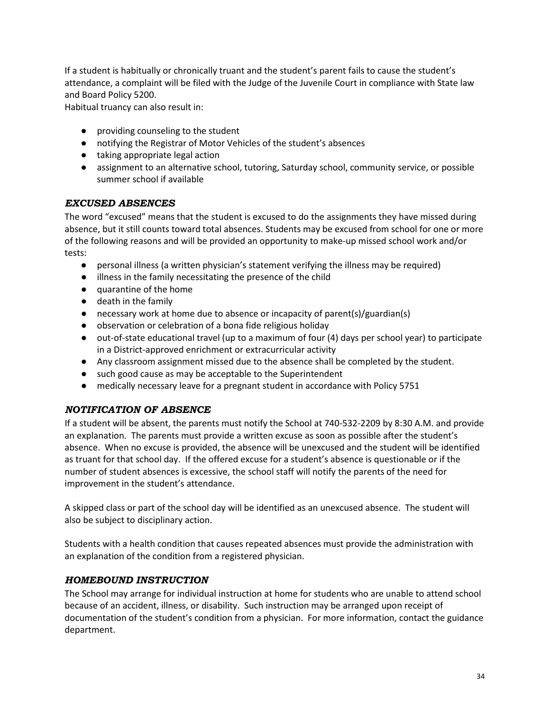If a student is habitually or chronically truant and the student's parent fails to cause the student's attendance, a complaint will be filed with the Judge of the Juvenile Court in compliance with State law and Board Policy 5200.

Habitual truancy can also result in:

- providing counseling to the student
- notifying the Registrar of Motor Vehicles of the student's absences
- taking appropriate legal action
- assignment to an alternative school, tutoring, Saturday school, community service, or possible summer school if available

#### <span id="page-39-0"></span>*EXCUSED ABSENCES*

The word "excused" means that the student is excused to do the assignments they have missed during absence, but it still counts toward total absences. Students may be excused from school for one or more of the following reasons and will be provided an opportunity to make-up missed school work and/or tests:

- personal illness (a written physician's statement verifying the illness may be required)
- illness in the family necessitating the presence of the child
- quarantine of the home
- death in the family
- $\bullet$  necessary work at home due to absence or incapacity of parent(s)/guardian(s)
- observation or celebration of a bona fide religious holiday
- out-of-state educational travel (up to a maximum of four (4) days per school year) to participate in a District-approved enrichment or extracurricular activity
- Any classroom assignment missed due to the absence shall be completed by the student.
- such good cause as may be acceptable to the Superintendent
- medically necessary leave for a pregnant student in accordance with Policy 5751

## <span id="page-39-1"></span>*NOTIFICATION OF ABSENCE*

If a student will be absent, the parents must notify the School at 740-532-2209 by 8:30 A.M. and provide an explanation. The parents must provide a written excuse as soon as possible after the student's absence. When no excuse is provided, the absence will be unexcused and the student will be identified as truant for that school day. If the offered excuse for a student's absence is questionable or if the number of student absences is excessive, the school staff will notify the parents of the need for improvement in the student's attendance.

A skipped class or part of the school day will be identified as an unexcused absence. The student will also be subject to disciplinary action.

Students with a health condition that causes repeated absences must provide the administration with an explanation of the condition from a registered physician.

## <span id="page-39-2"></span>*HOMEBOUND INSTRUCTION*

The School may arrange for individual instruction at home for students who are unable to attend school because of an accident, illness, or disability. Such instruction may be arranged upon receipt of documentation of the student's condition from a physician. For more information, contact the guidance department.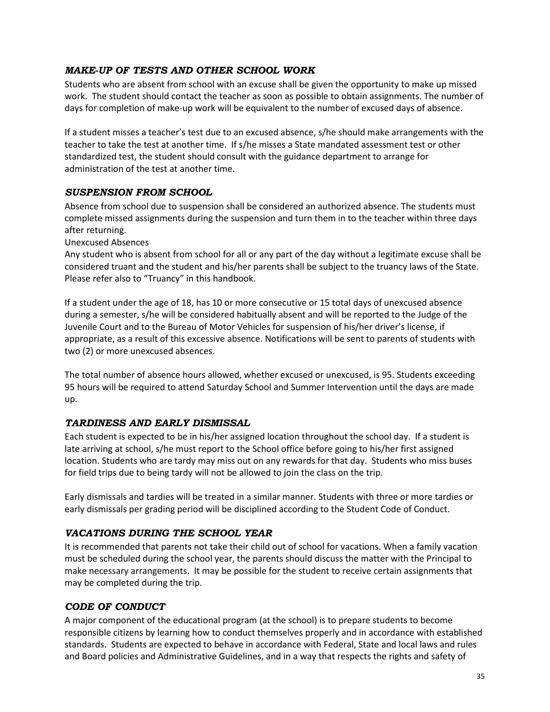# <span id="page-40-0"></span>*MAKE-UP OF TESTS AND OTHER SCHOOL WORK*

Students who are absent from school with an excuse shall be given the opportunity to make up missed work. The student should contact the teacher as soon as possible to obtain assignments. The number of days for completion of make-up work will be equivalent to the number of excused days of absence.

If a student misses a teacher's test due to an excused absence, s/he should make arrangements with the teacher to take the test at another time. If s/he misses a State mandated assessment test or other standardized test, the student should consult with the guidance department to arrange for administration of the test at another time.

## <span id="page-40-1"></span>*SUSPENSION FROM SCHOOL*

Absence from school due to suspension shall be considered an authorized absence. The students must complete missed assignments during the suspension and turn them in to the teacher within three days after returning.

Unexcused Absences

Any student who is absent from school for all or any part of the day without a legitimate excuse shall be considered truant and the student and his/her parents shall be subject to the truancy laws of the State. Please refer also to "Truancy" in this handbook.

If a student under the age of 18, has 10 or more consecutive or 15 total days of unexcused absence during a semester, s/he will be considered habitually absent and will be reported to the Judge of the Juvenile Court and to the Bureau of Motor Vehicles for suspension of his/her driver's license, if appropriate, as a result of this excessive absence. Notifications will be sent to parents of students with two (2) or more unexcused absences.

The total number of absence hours allowed, whether excused or unexcused, is 95. Students exceeding 95 hours will be required to attend Saturday School and Summer Intervention until the days are made up.

#### <span id="page-40-2"></span>*TARDINESS AND EARLY DISMISSAL*

Each student is expected to be in his/her assigned location throughout the school day. If a student is late arriving at school, s/he must report to the School office before going to his/her first assigned location. Students who are tardy may miss out on any rewards for that day. Students who miss buses for field trips due to being tardy will not be allowed to join the class on the trip.

Early dismissals and tardies will be treated in a similar manner. Students with three or more tardies or early dismissals per grading period will be disciplined according to the Student Code of Conduct.

## <span id="page-40-3"></span>*VACATIONS DURING THE SCHOOL YEAR*

It is recommended that parents not take their child out of school for vacations. When a family vacation must be scheduled during the school year, the parents should discuss the matter with the Principal to make necessary arrangements. It may be possible for the student to receive certain assignments that may be completed during the trip.

## <span id="page-40-4"></span>*CODE OF CONDUCT*

A major component of the educational program (at the school) is to prepare students to become responsible citizens by learning how to conduct themselves properly and in accordance with established standards. Students are expected to behave in accordance with Federal, State and local laws and rules and Board policies and Administrative Guidelines, and in a way that respects the rights and safety of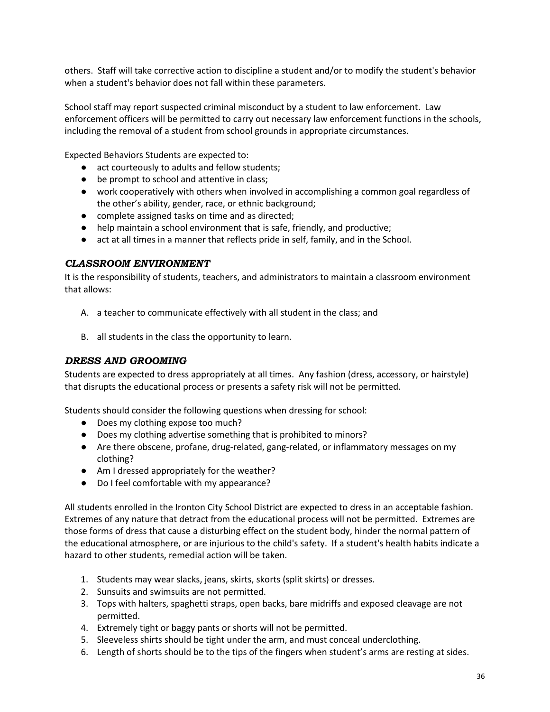others. Staff will take corrective action to discipline a student and/or to modify the student's behavior when a student's behavior does not fall within these parameters.

School staff may report suspected criminal misconduct by a student to law enforcement. Law enforcement officers will be permitted to carry out necessary law enforcement functions in the schools, including the removal of a student from school grounds in appropriate circumstances.

Expected Behaviors Students are expected to:

- act courteously to adults and fellow students;
- be prompt to school and attentive in class;
- work cooperatively with others when involved in accomplishing a common goal regardless of the other's ability, gender, race, or ethnic background;
- complete assigned tasks on time and as directed;
- help maintain a school environment that is safe, friendly, and productive;
- act at all times in a manner that reflects pride in self, family, and in the School.

## <span id="page-41-0"></span>*CLASSROOM ENVIRONMENT*

It is the responsibility of students, teachers, and administrators to maintain a classroom environment that allows:

- A. a teacher to communicate effectively with all student in the class; and
- B. all students in the class the opportunity to learn.

# <span id="page-41-1"></span>*DRESS AND GROOMING*

Students are expected to dress appropriately at all times. Any fashion (dress, accessory, or hairstyle) that disrupts the educational process or presents a safety risk will not be permitted.

Students should consider the following questions when dressing for school:

- Does my clothing expose too much?
- Does my clothing advertise something that is prohibited to minors?
- Are there obscene, profane, drug-related, gang-related, or inflammatory messages on my clothing?
- Am I dressed appropriately for the weather?
- Do I feel comfortable with my appearance?

All students enrolled in the Ironton City School District are expected to dress in an acceptable fashion. Extremes of any nature that detract from the educational process will not be permitted. Extremes are those forms of dress that cause a disturbing effect on the student body, hinder the normal pattern of the educational atmosphere, or are injurious to the child's safety. If a student's health habits indicate a hazard to other students, remedial action will be taken.

- 1. Students may wear slacks, jeans, skirts, skorts (split skirts) or dresses.
- 2. Sunsuits and swimsuits are not permitted.
- 3. Tops with halters, spaghetti straps, open backs, bare midriffs and exposed cleavage are not permitted.
- 4. Extremely tight or baggy pants or shorts will not be permitted.
- 5. Sleeveless shirts should be tight under the arm, and must conceal underclothing.
- 6. Length of shorts should be to the tips of the fingers when student's arms are resting at sides.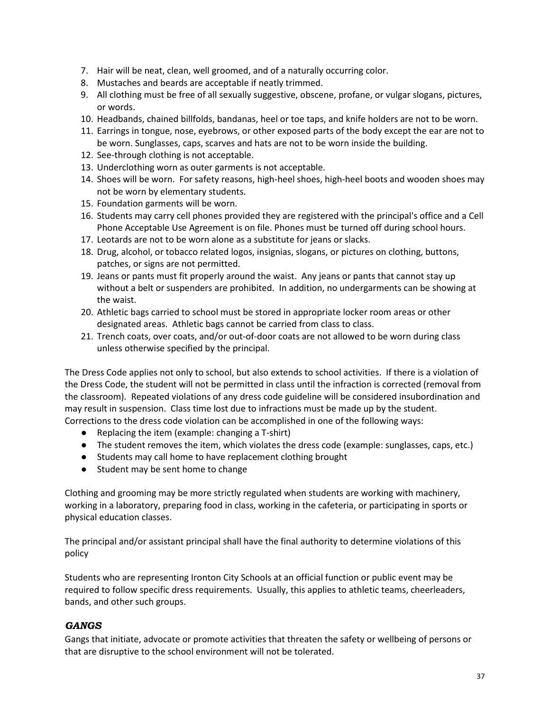- 7. Hair will be neat, clean, well groomed, and of a naturally occurring color.
- 8. Mustaches and beards are acceptable if neatly trimmed.
- 9. All clothing must be free of all sexually suggestive, obscene, profane, or vulgar slogans, pictures, or words.
- 10. Headbands, chained billfolds, bandanas, heel or toe taps, and knife holders are not to be worn.
- 11. Earrings in tongue, nose, eyebrows, or other exposed parts of the body except the ear are not to be worn. Sunglasses, caps, scarves and hats are not to be worn inside the building.
- 12. See-through clothing is not acceptable.
- 13. Underclothing worn as outer garments is not acceptable.
- 14. Shoes will be worn. For safety reasons, high-heel shoes, high-heel boots and wooden shoes may not be worn by elementary students.
- 15. Foundation garments will be worn.
- 16. Students may carry cell phones provided they are registered with the principal's office and a Cell Phone Acceptable Use Agreement is on file. Phones must be turned off during school hours.
- 17. Leotards are not to be worn alone as a substitute for jeans or slacks.
- 18. Drug, alcohol, or tobacco related logos, insignias, slogans, or pictures on clothing, buttons, patches, or signs are not permitted.
- 19. Jeans or pants must fit properly around the waist. Any jeans or pants that cannot stay up without a belt or suspenders are prohibited. In addition, no undergarments can be showing at the waist.
- 20. Athletic bags carried to school must be stored in appropriate locker room areas or other designated areas. Athletic bags cannot be carried from class to class.
- 21. Trench coats, over coats, and/or out-of-door coats are not allowed to be worn during class unless otherwise specified by the principal.

The Dress Code applies not only to school, but also extends to school activities. If there is a violation of the Dress Code, the student will not be permitted in class until the infraction is corrected (removal from the classroom). Repeated violations of any dress code guideline will be considered insubordination and may result in suspension. Class time lost due to infractions must be made up by the student. Corrections to the dress code violation can be accomplished in one of the following ways:

- Replacing the item (example: changing a T-shirt)
- The student removes the item, which violates the dress code (example: sunglasses, caps, etc.)
- Students may call home to have replacement clothing brought
- Student may be sent home to change

Clothing and grooming may be more strictly regulated when students are working with machinery, working in a laboratory, preparing food in class, working in the cafeteria, or participating in sports or physical education classes.

The principal and/or assistant principal shall have the final authority to determine violations of this policy

Students who are representing Ironton City Schools at an official function or public event may be required to follow specific dress requirements. Usually, this applies to athletic teams, cheerleaders, bands, and other such groups.

## <span id="page-42-0"></span>*GANGS*

Gangs that initiate, advocate or promote activities that threaten the safety or wellbeing of persons or that are disruptive to the school environment will not be tolerated.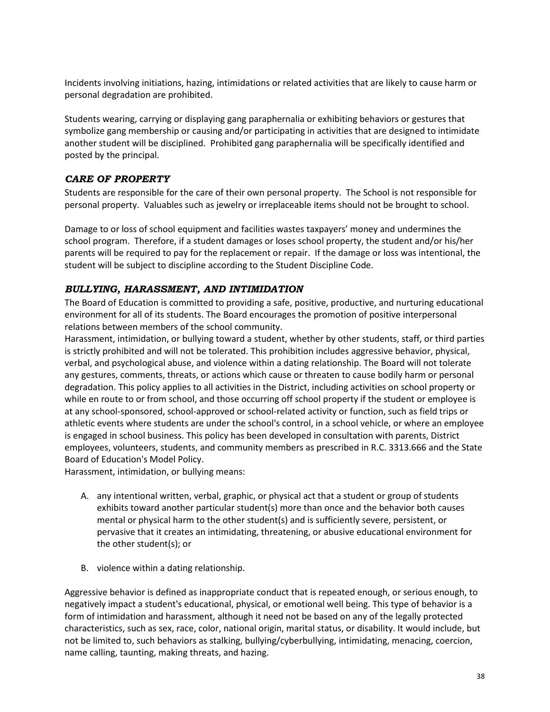Incidents involving initiations, hazing, intimidations or related activities that are likely to cause harm or personal degradation are prohibited.

Students wearing, carrying or displaying gang paraphernalia or exhibiting behaviors or gestures that symbolize gang membership or causing and/or participating in activities that are designed to intimidate another student will be disciplined. Prohibited gang paraphernalia will be specifically identified and posted by the principal.

# <span id="page-43-0"></span>*CARE OF PROPERTY*

Students are responsible for the care of their own personal property. The School is not responsible for personal property. Valuables such as jewelry or irreplaceable items should not be brought to school.

Damage to or loss of school equipment and facilities wastes taxpayers' money and undermines the school program. Therefore, if a student damages or loses school property, the student and/or his/her parents will be required to pay for the replacement or repair. If the damage or loss was intentional, the student will be subject to discipline according to the Student Discipline Code.

# <span id="page-43-1"></span>*BULLYING, HARASSMENT, AND INTIMIDATION*

The Board of Education is committed to providing a safe, positive, productive, and nurturing educational environment for all of its students. The Board encourages the promotion of positive interpersonal relations between members of the school community.

Harassment, intimidation, or bullying toward a student, whether by other students, staff, or third parties is strictly prohibited and will not be tolerated. This prohibition includes aggressive behavior, physical, verbal, and psychological abuse, and violence within a dating relationship. The Board will not tolerate any gestures, comments, threats, or actions which cause or threaten to cause bodily harm or personal degradation. This policy applies to all activities in the District, including activities on school property or while en route to or from school, and those occurring off school property if the student or employee is at any school-sponsored, school-approved or school-related activity or function, such as field trips or athletic events where students are under the school's control, in a school vehicle, or where an employee is engaged in school business. This policy has been developed in consultation with parents, District employees, volunteers, students, and community members as prescribed in R.C. 3313.666 and the State Board of Education's Model Policy.

Harassment, intimidation, or bullying means:

- A. any intentional written, verbal, graphic, or physical act that a student or group of students exhibits toward another particular student(s) more than once and the behavior both causes mental or physical harm to the other student(s) and is sufficiently severe, persistent, or pervasive that it creates an intimidating, threatening, or abusive educational environment for the other student(s); or
- B. violence within a dating relationship.

Aggressive behavior is defined as inappropriate conduct that is repeated enough, or serious enough, to negatively impact a student's educational, physical, or emotional well being. This type of behavior is a form of intimidation and harassment, although it need not be based on any of the legally protected characteristics, such as sex, race, color, national origin, marital status, or disability. It would include, but not be limited to, such behaviors as stalking, bullying/cyberbullying, intimidating, menacing, coercion, name calling, taunting, making threats, and hazing.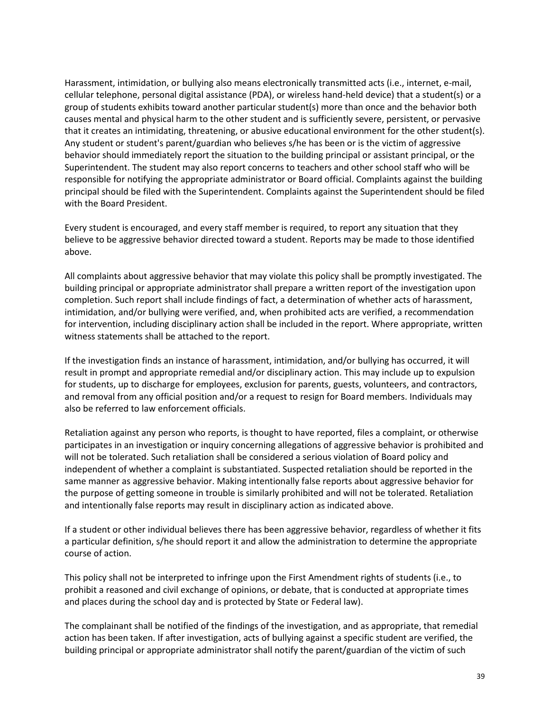Harassment, intimidation, or bullying also means electronically transmitted acts (i.e., internet, e-mail, cellular telephone, personal digital assistance (PDA), or wireless hand-held device) that a student(s) or a group of students exhibits toward another particular student(s) more than once and the behavior both causes mental and physical harm to the other student and is sufficiently severe, persistent, or pervasive that it creates an intimidating, threatening, or abusive educational environment for the other student(s). Any student or student's parent/guardian who believes s/he has been or is the victim of aggressive behavior should immediately report the situation to the building principal or assistant principal, or the Superintendent. The student may also report concerns to teachers and other school staff who will be responsible for notifying the appropriate administrator or Board official. Complaints against the building principal should be filed with the Superintendent. Complaints against the Superintendent should be filed with the Board President.

Every student is encouraged, and every staff member is required, to report any situation that they believe to be aggressive behavior directed toward a student. Reports may be made to those identified above.

All complaints about aggressive behavior that may violate this policy shall be promptly investigated. The building principal or appropriate administrator shall prepare a written report of the investigation upon completion. Such report shall include findings of fact, a determination of whether acts of harassment, intimidation, and/or bullying were verified, and, when prohibited acts are verified, a recommendation for intervention, including disciplinary action shall be included in the report. Where appropriate, written witness statements shall be attached to the report.

If the investigation finds an instance of harassment, intimidation, and/or bullying has occurred, it will result in prompt and appropriate remedial and/or disciplinary action. This may include up to expulsion for students, up to discharge for employees, exclusion for parents, guests, volunteers, and contractors, and removal from any official position and/or a request to resign for Board members. Individuals may also be referred to law enforcement officials.

Retaliation against any person who reports, is thought to have reported, files a complaint, or otherwise participates in an investigation or inquiry concerning allegations of aggressive behavior is prohibited and will not be tolerated. Such retaliation shall be considered a serious violation of Board policy and independent of whether a complaint is substantiated. Suspected retaliation should be reported in the same manner as aggressive behavior. Making intentionally false reports about aggressive behavior for the purpose of getting someone in trouble is similarly prohibited and will not be tolerated. Retaliation and intentionally false reports may result in disciplinary action as indicated above.

If a student or other individual believes there has been aggressive behavior, regardless of whether it fits a particular definition, s/he should report it and allow the administration to determine the appropriate course of action.

This policy shall not be interpreted to infringe upon the First Amendment rights of students (i.e., to prohibit a reasoned and civil exchange of opinions, or debate, that is conducted at appropriate times and places during the school day and is protected by State or Federal law).

The complainant shall be notified of the findings of the investigation, and as appropriate, that remedial action has been taken. If after investigation, acts of bullying against a specific student are verified, the building principal or appropriate administrator shall notify the parent/guardian of the victim of such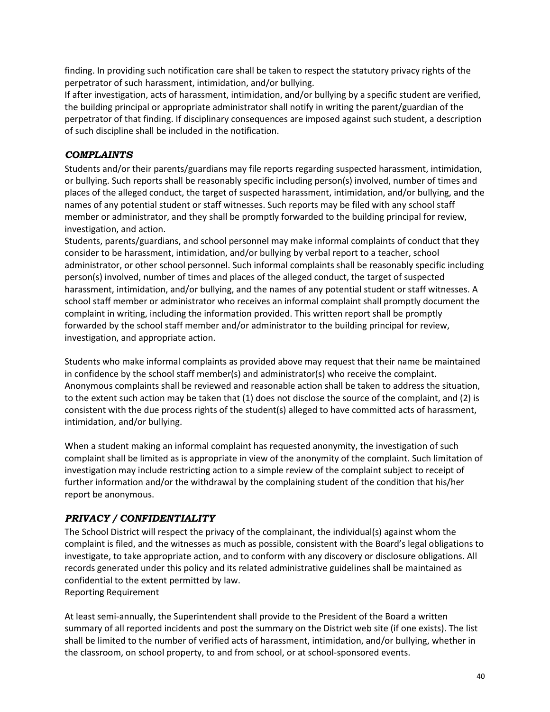finding. In providing such notification care shall be taken to respect the statutory privacy rights of the perpetrator of such harassment, intimidation, and/or bullying.

If after investigation, acts of harassment, intimidation, and/or bullying by a specific student are verified, the building principal or appropriate administrator shall notify in writing the parent/guardian of the perpetrator of that finding. If disciplinary consequences are imposed against such student, a description of such discipline shall be included in the notification.

## <span id="page-45-0"></span>*COMPLAINTS*

Students and/or their parents/guardians may file reports regarding suspected harassment, intimidation, or bullying. Such reports shall be reasonably specific including person(s) involved, number of times and places of the alleged conduct, the target of suspected harassment, intimidation, and/or bullying, and the names of any potential student or staff witnesses. Such reports may be filed with any school staff member or administrator, and they shall be promptly forwarded to the building principal for review, investigation, and action.

Students, parents/guardians, and school personnel may make informal complaints of conduct that they consider to be harassment, intimidation, and/or bullying by verbal report to a teacher, school administrator, or other school personnel. Such informal complaints shall be reasonably specific including person(s) involved, number of times and places of the alleged conduct, the target of suspected harassment, intimidation, and/or bullying, and the names of any potential student or staff witnesses. A school staff member or administrator who receives an informal complaint shall promptly document the complaint in writing, including the information provided. This written report shall be promptly forwarded by the school staff member and/or administrator to the building principal for review, investigation, and appropriate action.

Students who make informal complaints as provided above may request that their name be maintained in confidence by the school staff member(s) and administrator(s) who receive the complaint. Anonymous complaints shall be reviewed and reasonable action shall be taken to address the situation, to the extent such action may be taken that (1) does not disclose the source of the complaint, and (2) is consistent with the due process rights of the student(s) alleged to have committed acts of harassment, intimidation, and/or bullying.

When a student making an informal complaint has requested anonymity, the investigation of such complaint shall be limited as is appropriate in view of the anonymity of the complaint. Such limitation of investigation may include restricting action to a simple review of the complaint subject to receipt of further information and/or the withdrawal by the complaining student of the condition that his/her report be anonymous.

# <span id="page-45-1"></span>*PRIVACY / CONFIDENTIALITY*

The School District will respect the privacy of the complainant, the individual(s) against whom the complaint is filed, and the witnesses as much as possible, consistent with the Board's legal obligations to investigate, to take appropriate action, and to conform with any discovery or disclosure obligations. All records generated under this policy and its related administrative guidelines shall be maintained as confidential to the extent permitted by law. Reporting Requirement

At least semi-annually, the Superintendent shall provide to the President of the Board a written summary of all reported incidents and post the summary on the District web site (if one exists). The list shall be limited to the number of verified acts of harassment, intimidation, and/or bullying, whether in the classroom, on school property, to and from school, or at school-sponsored events.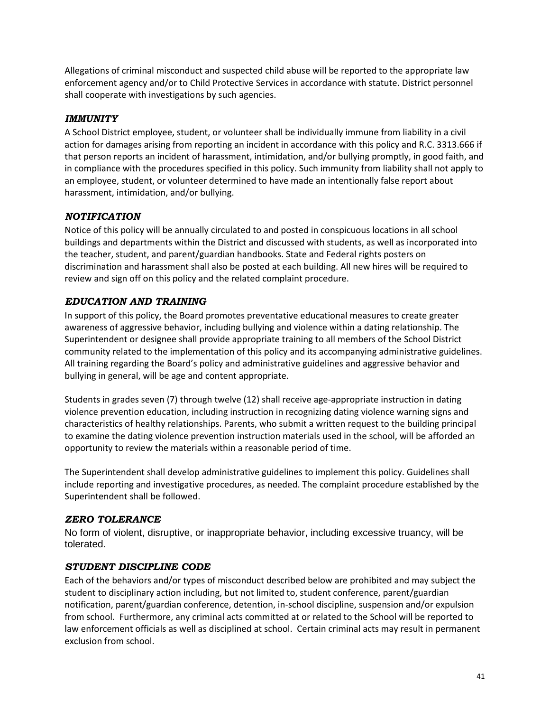Allegations of criminal misconduct and suspected child abuse will be reported to the appropriate law enforcement agency and/or to Child Protective Services in accordance with statute. District personnel shall cooperate with investigations by such agencies.

# <span id="page-46-0"></span>*IMMUNITY*

A School District employee, student, or volunteer shall be individually immune from liability in a civil action for damages arising from reporting an incident in accordance with this policy and R.C. 3313.666 if that person reports an incident of harassment, intimidation, and/or bullying promptly, in good faith, and in compliance with the procedures specified in this policy. Such immunity from liability shall not apply to an employee, student, or volunteer determined to have made an intentionally false report about harassment, intimidation, and/or bullying.

## <span id="page-46-1"></span>*NOTIFICATION*

Notice of this policy will be annually circulated to and posted in conspicuous locations in all school buildings and departments within the District and discussed with students, as well as incorporated into the teacher, student, and parent/guardian handbooks. State and Federal rights posters on discrimination and harassment shall also be posted at each building. All new hires will be required to review and sign off on this policy and the related complaint procedure.

# <span id="page-46-2"></span>*EDUCATION AND TRAINING*

In support of this policy, the Board promotes preventative educational measures to create greater awareness of aggressive behavior, including bullying and violence within a dating relationship. The Superintendent or designee shall provide appropriate training to all members of the School District community related to the implementation of this policy and its accompanying administrative guidelines. All training regarding the Board's policy and administrative guidelines and aggressive behavior and bullying in general, will be age and content appropriate.

Students in grades seven (7) through twelve (12) shall receive age-appropriate instruction in dating violence prevention education, including instruction in recognizing dating violence warning signs and characteristics of healthy relationships. Parents, who submit a written request to the building principal to examine the dating violence prevention instruction materials used in the school, will be afforded an opportunity to review the materials within a reasonable period of time.

The Superintendent shall develop administrative guidelines to implement this policy. Guidelines shall include reporting and investigative procedures, as needed. The complaint procedure established by the Superintendent shall be followed.

## <span id="page-46-3"></span>*ZERO TOLERANCE*

No form of violent, disruptive, or inappropriate behavior, including excessive truancy, will be tolerated.

## <span id="page-46-4"></span>*STUDENT DISCIPLINE CODE*

Each of the behaviors and/or types of misconduct described below are prohibited and may subject the student to disciplinary action including, but not limited to, student conference, parent/guardian notification, parent/guardian conference, detention, in-school discipline, suspension and/or expulsion from school. Furthermore, any criminal acts committed at or related to the School will be reported to law enforcement officials as well as disciplined at school. Certain criminal acts may result in permanent exclusion from school.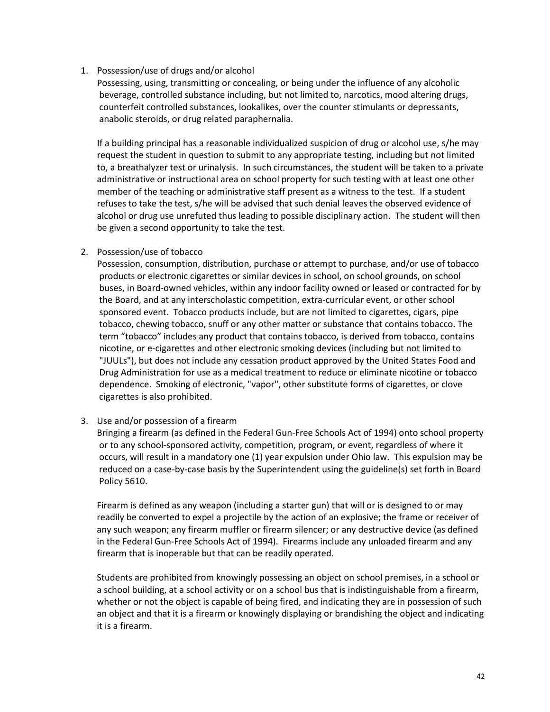#### 1. Possession/use of drugs and/or alcohol

Possessing, using, transmitting or concealing, or being under the influence of any alcoholic beverage, controlled substance including, but not limited to, narcotics, mood altering drugs, counterfeit controlled substances, lookalikes, over the counter stimulants or depressants, anabolic steroids, or drug related paraphernalia.

If a building principal has a reasonable individualized suspicion of drug or alcohol use, s/he may request the student in question to submit to any appropriate testing, including but not limited to, a breathalyzer test or urinalysis. In such circumstances, the student will be taken to a private administrative or instructional area on school property for such testing with at least one other member of the teaching or administrative staff present as a witness to the test. If a student refuses to take the test, s/he will be advised that such denial leaves the observed evidence of alcohol or drug use unrefuted thus leading to possible disciplinary action. The student will then be given a second opportunity to take the test.

#### 2. Possession/use of tobacco

Possession, consumption, distribution, purchase or attempt to purchase, and/or use of tobacco products or electronic cigarettes or similar devices in school, on school grounds, on school buses, in Board-owned vehicles, within any indoor facility owned or leased or contracted for by the Board, and at any interscholastic competition, extra-curricular event, or other school sponsored event. Tobacco products include, but are not limited to cigarettes, cigars, pipe tobacco, chewing tobacco, snuff or any other matter or substance that contains tobacco. The term "tobacco" includes any product that contains tobacco, is derived from tobacco, contains nicotine, or e-cigarettes and other electronic smoking devices (including but not limited to "JUULs"), but does not include any cessation product approved by the United States Food and Drug Administration for use as a medical treatment to reduce or eliminate nicotine or tobacco dependence. Smoking of electronic, "vapor", other substitute forms of cigarettes, or clove cigarettes is also prohibited.

#### 3. Use and/or possession of a firearm

Bringing a firearm (as defined in the Federal Gun-Free Schools Act of 1994) onto school property or to any school-sponsored activity, competition, program, or event, regardless of where it occurs, will result in a mandatory one (1) year expulsion under Ohio law. This expulsion may be reduced on a case-by-case basis by the Superintendent using the guideline(s) set forth in Board Policy 5610.

Firearm is defined as any weapon (including a starter gun) that will or is designed to or may readily be converted to expel a projectile by the action of an explosive; the frame or receiver of any such weapon; any firearm muffler or firearm silencer; or any destructive device (as defined in the Federal Gun-Free Schools Act of 1994). Firearms include any unloaded firearm and any firearm that is inoperable but that can be readily operated.

Students are prohibited from knowingly possessing an object on school premises, in a school or a school building, at a school activity or on a school bus that is indistinguishable from a firearm, whether or not the object is capable of being fired, and indicating they are in possession of such an object and that it is a firearm or knowingly displaying or brandishing the object and indicating it is a firearm.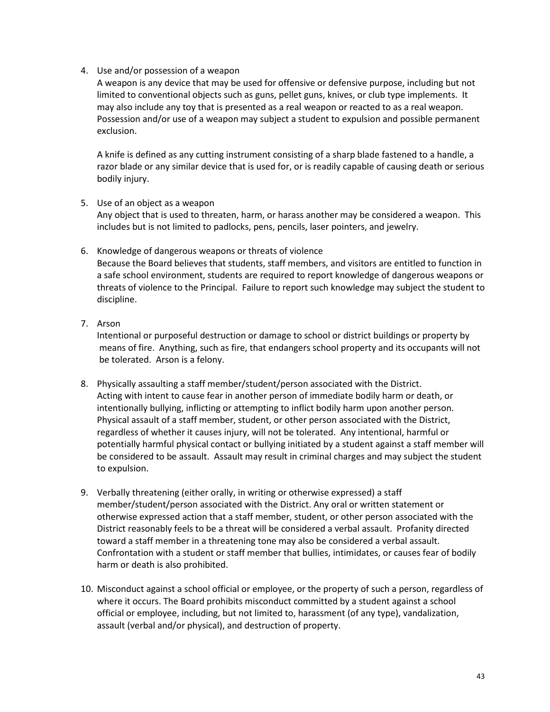#### 4. Use and/or possession of a weapon

A weapon is any device that may be used for offensive or defensive purpose, including but not limited to conventional objects such as guns, pellet guns, knives, or club type implements. It may also include any toy that is presented as a real weapon or reacted to as a real weapon. Possession and/or use of a weapon may subject a student to expulsion and possible permanent exclusion.

A knife is defined as any cutting instrument consisting of a sharp blade fastened to a handle, a razor blade or any similar device that is used for, or is readily capable of causing death or serious bodily injury.

- 5. Use of an object as a weapon Any object that is used to threaten, harm, or harass another may be considered a weapon. This includes but is not limited to padlocks, pens, pencils, laser pointers, and jewelry.
- 6. Knowledge of dangerous weapons or threats of violence Because the Board believes that students, staff members, and visitors are entitled to function in a safe school environment, students are required to report knowledge of dangerous weapons or threats of violence to the Principal. Failure to report such knowledge may subject the student to discipline.
- 7. Arson

Intentional or purposeful destruction or damage to school or district buildings or property by means of fire. Anything, such as fire, that endangers school property and its occupants will not be tolerated. Arson is a felony.

- 8. Physically assaulting a staff member/student/person associated with the District. Acting with intent to cause fear in another person of immediate bodily harm or death, or intentionally bullying, inflicting or attempting to inflict bodily harm upon another person. Physical assault of a staff member, student, or other person associated with the District, regardless of whether it causes injury, will not be tolerated. Any intentional, harmful or potentially harmful physical contact or bullying initiated by a student against a staff member will be considered to be assault. Assault may result in criminal charges and may subject the student to expulsion.
- 9. Verbally threatening (either orally, in writing or otherwise expressed) a staff member/student/person associated with the District. Any oral or written statement or otherwise expressed action that a staff member, student, or other person associated with the District reasonably feels to be a threat will be considered a verbal assault. Profanity directed toward a staff member in a threatening tone may also be considered a verbal assault. Confrontation with a student or staff member that bullies, intimidates, or causes fear of bodily harm or death is also prohibited.
- 10. Misconduct against a school official or employee, or the property of such a person, regardless of where it occurs. The Board prohibits misconduct committed by a student against a school official or employee, including, but not limited to, harassment (of any type), vandalization, assault (verbal and/or physical), and destruction of property.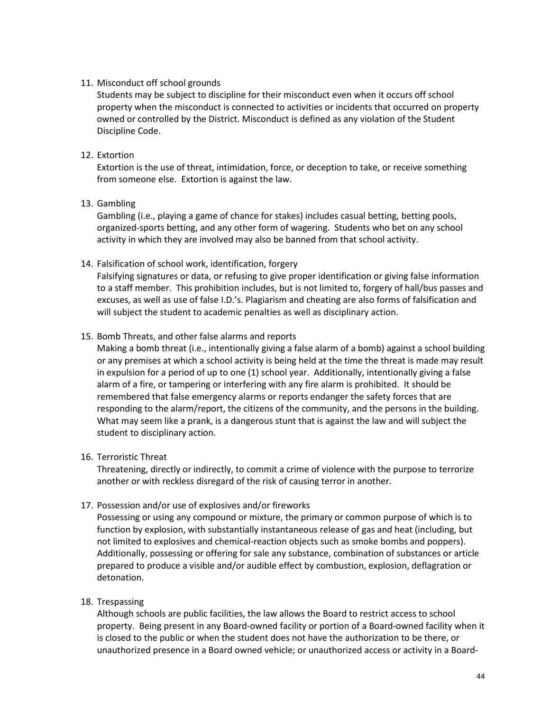#### 11. Misconduct off school grounds

Students may be subject to discipline for their misconduct even when it occurs off school property when the misconduct is connected to activities or incidents that occurred on property owned or controlled by the District. Misconduct is defined as any violation of the Student Discipline Code.

#### 12. Extortion

Extortion is the use of threat, intimidation, force, or deception to take, or receive something from someone else. Extortion is against the law.

#### 13. Gambling

Gambling (i.e., playing a game of chance for stakes) includes casual betting, betting pools, organized-sports betting, and any other form of wagering. Students who bet on any school activity in which they are involved may also be banned from that school activity.

#### 14. Falsification of school work, identification, forgery

Falsifying signatures or data, or refusing to give proper identification or giving false information to a staff member. This prohibition includes, but is not limited to, forgery of hall/bus passes and excuses, as well as use of false I.D.'s. Plagiarism and cheating are also forms of falsification and will subject the student to academic penalties as well as disciplinary action.

#### 15. Bomb Threats, and other false alarms and reports

Making a bomb threat (i.e., intentionally giving a false alarm of a bomb) against a school building or any premises at which a school activity is being held at the time the threat is made may result in expulsion for a period of up to one (1) school year. Additionally, intentionally giving a false alarm of a fire, or tampering or interfering with any fire alarm is prohibited. It should be remembered that false emergency alarms or reports endanger the safety forces that are responding to the alarm/report, the citizens of the community, and the persons in the building. What may seem like a prank, is a dangerous stunt that is against the law and will subject the student to disciplinary action.

#### 16. Terroristic Threat

Threatening, directly or indirectly, to commit a crime of violence with the purpose to terrorize another or with reckless disregard of the risk of causing terror in another.

## 17. Possession and/or use of explosives and/or fireworks

Possessing or using any compound or mixture, the primary or common purpose of which is to function by explosion, with substantially instantaneous release of gas and heat (including, but not limited to explosives and chemical-reaction objects such as smoke bombs and poppers). Additionally, possessing or offering for sale any substance, combination of substances or article prepared to produce a visible and/or audible effect by combustion, explosion, deflagration or detonation.

## 18. Trespassing

Although schools are public facilities, the law allows the Board to restrict access to school property. Being present in any Board-owned facility or portion of a Board-owned facility when it is closed to the public or when the student does not have the authorization to be there, or unauthorized presence in a Board owned vehicle; or unauthorized access or activity in a Board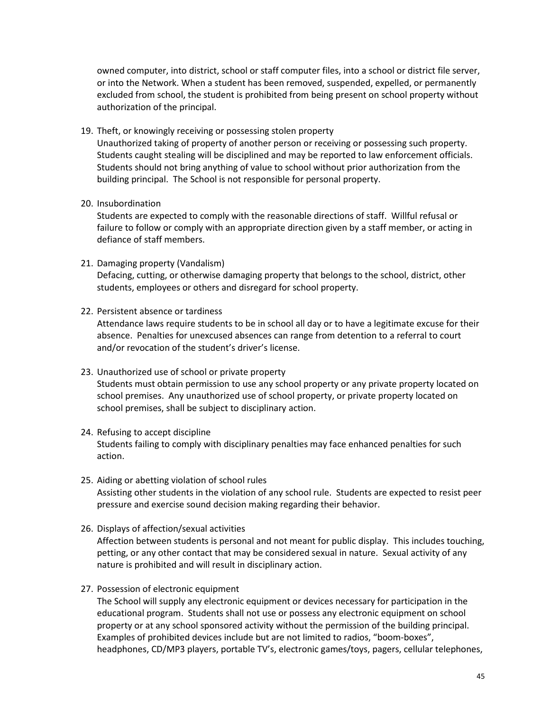owned computer, into district, school or staff computer files, into a school or district file server, or into the Network. When a student has been removed, suspended, expelled, or permanently excluded from school, the student is prohibited from being present on school property without authorization of the principal.

19. Theft, or knowingly receiving or possessing stolen property

Unauthorized taking of property of another person or receiving or possessing such property. Students caught stealing will be disciplined and may be reported to law enforcement officials. Students should not bring anything of value to school without prior authorization from the building principal. The School is not responsible for personal property.

20. Insubordination

Students are expected to comply with the reasonable directions of staff. Willful refusal or failure to follow or comply with an appropriate direction given by a staff member, or acting in defiance of staff members.

- 21. Damaging property (Vandalism) Defacing, cutting, or otherwise damaging property that belongs to the school, district, other students, employees or others and disregard for school property.
- 22. Persistent absence or tardiness

Attendance laws require students to be in school all day or to have a legitimate excuse for their absence. Penalties for unexcused absences can range from detention to a referral to court and/or revocation of the student's driver's license.

- 23. Unauthorized use of school or private property Students must obtain permission to use any school property or any private property located on school premises. Any unauthorized use of school property, or private property located on school premises, shall be subject to disciplinary action.
- 24. Refusing to accept discipline Students failing to comply with disciplinary penalties may face enhanced penalties for such action.
- 25. Aiding or abetting violation of school rules Assisting other students in the violation of any school rule. Students are expected to resist peer pressure and exercise sound decision making regarding their behavior.
- 26. Displays of affection/sexual activities Affection between students is personal and not meant for public display. This includes touching, petting, or any other contact that may be considered sexual in nature. Sexual activity of any nature is prohibited and will result in disciplinary action.
- 27. Possession of electronic equipment

The School will supply any electronic equipment or devices necessary for participation in the educational program. Students shall not use or possess any electronic equipment on school property or at any school sponsored activity without the permission of the building principal. Examples of prohibited devices include but are not limited to radios, "boom-boxes", headphones, CD/MP3 players, portable TV's, electronic games/toys, pagers, cellular telephones,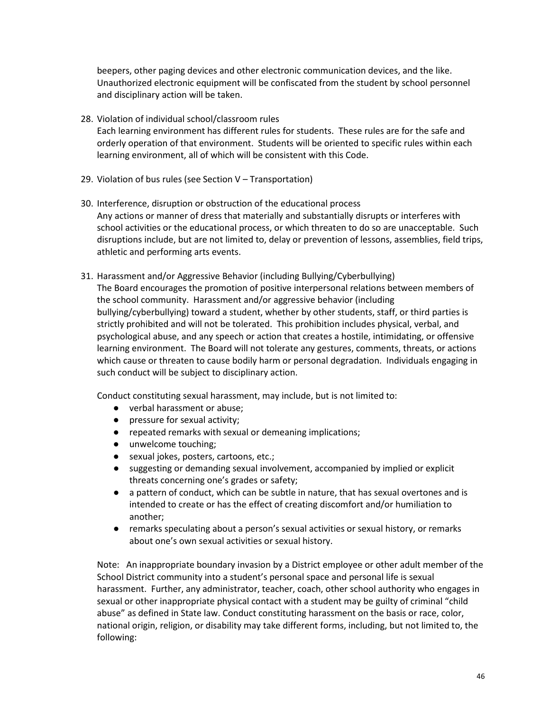beepers, other paging devices and other electronic communication devices, and the like. Unauthorized electronic equipment will be confiscated from the student by school personnel and disciplinary action will be taken.

- 28. Violation of individual school/classroom rules Each learning environment has different rules for students. These rules are for the safe and orderly operation of that environment. Students will be oriented to specific rules within each learning environment, all of which will be consistent with this Code.
- 29. Violation of bus rules (see Section V Transportation)
- 30. Interference, disruption or obstruction of the educational process Any actions or manner of dress that materially and substantially disrupts or interferes with school activities or the educational process, or which threaten to do so are unacceptable. Such disruptions include, but are not limited to, delay or prevention of lessons, assemblies, field trips, athletic and performing arts events.
- 31. Harassment and/or Aggressive Behavior (including Bullying/Cyberbullying) The Board encourages the promotion of positive interpersonal relations between members of the school community. Harassment and/or aggressive behavior (including bullying/cyberbullying) toward a student, whether by other students, staff, or third parties is strictly prohibited and will not be tolerated. This prohibition includes physical, verbal, and psychological abuse, and any speech or action that creates a hostile, intimidating, or offensive learning environment. The Board will not tolerate any gestures, comments, threats, or actions which cause or threaten to cause bodily harm or personal degradation. Individuals engaging in such conduct will be subject to disciplinary action.

Conduct constituting sexual harassment, may include, but is not limited to:

- verbal harassment or abuse;
- pressure for sexual activity;
- repeated remarks with sexual or demeaning implications;
- unwelcome touching;
- sexual jokes, posters, cartoons, etc.;
- suggesting or demanding sexual involvement, accompanied by implied or explicit threats concerning one's grades or safety;
- a pattern of conduct, which can be subtle in nature, that has sexual overtones and is intended to create or has the effect of creating discomfort and/or humiliation to another;
- remarks speculating about a person's sexual activities or sexual history, or remarks about one's own sexual activities or sexual history.

Note: An inappropriate boundary invasion by a District employee or other adult member of the School District community into a student's personal space and personal life is sexual harassment. Further, any administrator, teacher, coach, other school authority who engages in sexual or other inappropriate physical contact with a student may be guilty of criminal "child abuse" as defined in State law. Conduct constituting harassment on the basis or race, color, national origin, religion, or disability may take different forms, including, but not limited to, the following: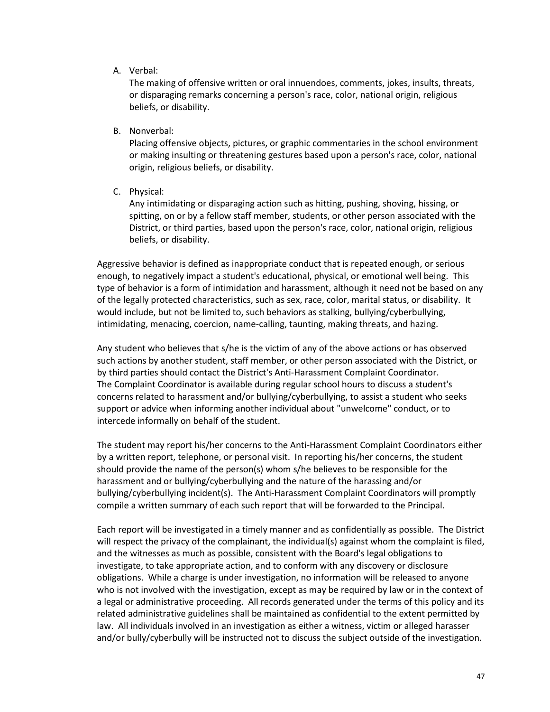#### A. Verbal:

The making of offensive written or oral innuendoes, comments, jokes, insults, threats, or disparaging remarks concerning a person's race, color, national origin, religious beliefs, or disability.

B. Nonverbal:

Placing offensive objects, pictures, or graphic commentaries in the school environment or making insulting or threatening gestures based upon a person's race, color, national origin, religious beliefs, or disability.

C. Physical:

Any intimidating or disparaging action such as hitting, pushing, shoving, hissing, or spitting, on or by a fellow staff member, students, or other person associated with the District, or third parties, based upon the person's race, color, national origin, religious beliefs, or disability.

Aggressive behavior is defined as inappropriate conduct that is repeated enough, or serious enough, to negatively impact a student's educational, physical, or emotional well being. This type of behavior is a form of intimidation and harassment, although it need not be based on any of the legally protected characteristics, such as sex, race, color, marital status, or disability. It would include, but not be limited to, such behaviors as stalking, bullying/cyberbullying, intimidating, menacing, coercion, name-calling, taunting, making threats, and hazing.

Any student who believes that s/he is the victim of any of the above actions or has observed such actions by another student, staff member, or other person associated with the District, or by third parties should contact the District's Anti-Harassment Complaint Coordinator. The Complaint Coordinator is available during regular school hours to discuss a student's concerns related to harassment and/or bullying/cyberbullying, to assist a student who seeks support or advice when informing another individual about "unwelcome" conduct, or to intercede informally on behalf of the student.

The student may report his/her concerns to the Anti-Harassment Complaint Coordinators either by a written report, telephone, or personal visit. In reporting his/her concerns, the student should provide the name of the person(s) whom s/he believes to be responsible for the harassment and or bullying/cyberbullying and the nature of the harassing and/or bullying/cyberbullying incident(s). The Anti-Harassment Complaint Coordinators will promptly compile a written summary of each such report that will be forwarded to the Principal.

Each report will be investigated in a timely manner and as confidentially as possible. The District will respect the privacy of the complainant, the individual(s) against whom the complaint is filed, and the witnesses as much as possible, consistent with the Board's legal obligations to investigate, to take appropriate action, and to conform with any discovery or disclosure obligations. While a charge is under investigation, no information will be released to anyone who is not involved with the investigation, except as may be required by law or in the context of a legal or administrative proceeding. All records generated under the terms of this policy and its related administrative guidelines shall be maintained as confidential to the extent permitted by law. All individuals involved in an investigation as either a witness, victim or alleged harasser and/or bully/cyberbully will be instructed not to discuss the subject outside of the investigation.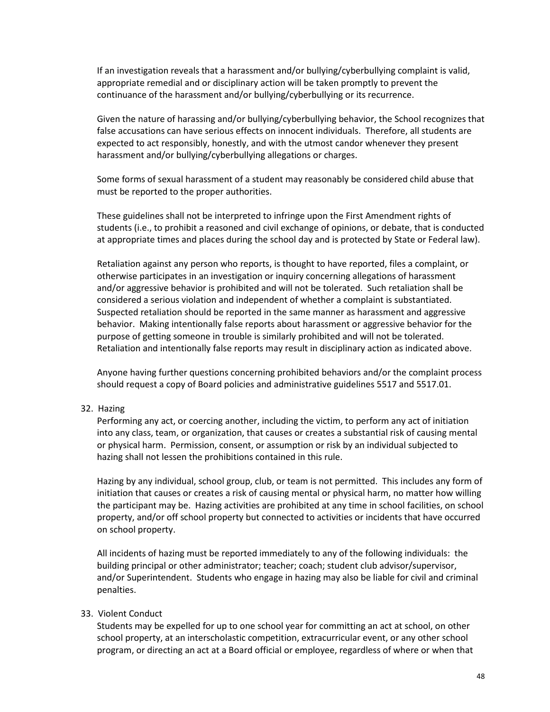If an investigation reveals that a harassment and/or bullying/cyberbullying complaint is valid, appropriate remedial and or disciplinary action will be taken promptly to prevent the continuance of the harassment and/or bullying/cyberbullying or its recurrence.

Given the nature of harassing and/or bullying/cyberbullying behavior, the School recognizes that false accusations can have serious effects on innocent individuals. Therefore, all students are expected to act responsibly, honestly, and with the utmost candor whenever they present harassment and/or bullying/cyberbullying allegations or charges.

Some forms of sexual harassment of a student may reasonably be considered child abuse that must be reported to the proper authorities.

These guidelines shall not be interpreted to infringe upon the First Amendment rights of students (i.e., to prohibit a reasoned and civil exchange of opinions, or debate, that is conducted at appropriate times and places during the school day and is protected by State or Federal law).

Retaliation against any person who reports, is thought to have reported, files a complaint, or otherwise participates in an investigation or inquiry concerning allegations of harassment and/or aggressive behavior is prohibited and will not be tolerated. Such retaliation shall be considered a serious violation and independent of whether a complaint is substantiated. Suspected retaliation should be reported in the same manner as harassment and aggressive behavior. Making intentionally false reports about harassment or aggressive behavior for the purpose of getting someone in trouble is similarly prohibited and will not be tolerated. Retaliation and intentionally false reports may result in disciplinary action as indicated above.

Anyone having further questions concerning prohibited behaviors and/or the complaint process should request a copy of Board policies and administrative guidelines 5517 and 5517.01.

#### 32. Hazing

Performing any act, or coercing another, including the victim, to perform any act of initiation into any class, team, or organization, that causes or creates a substantial risk of causing mental or physical harm. Permission, consent, or assumption or risk by an individual subjected to hazing shall not lessen the prohibitions contained in this rule.

Hazing by any individual, school group, club, or team is not permitted. This includes any form of initiation that causes or creates a risk of causing mental or physical harm, no matter how willing the participant may be. Hazing activities are prohibited at any time in school facilities, on school property, and/or off school property but connected to activities or incidents that have occurred on school property.

All incidents of hazing must be reported immediately to any of the following individuals: the building principal or other administrator; teacher; coach; student club advisor/supervisor, and/or Superintendent. Students who engage in hazing may also be liable for civil and criminal penalties.

#### 33. Violent Conduct

Students may be expelled for up to one school year for committing an act at school, on other school property, at an interscholastic competition, extracurricular event, or any other school program, or directing an act at a Board official or employee, regardless of where or when that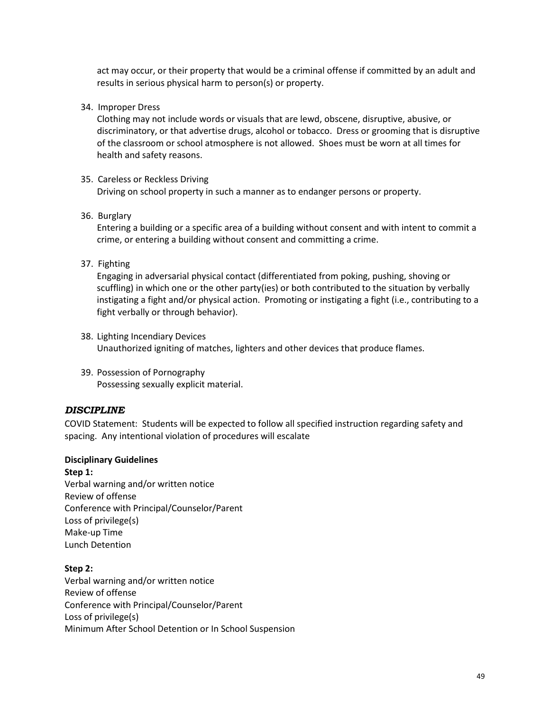act may occur, or their property that would be a criminal offense if committed by an adult and results in serious physical harm to person(s) or property.

34. Improper Dress

Clothing may not include words or visuals that are lewd, obscene, disruptive, abusive, or discriminatory, or that advertise drugs, alcohol or tobacco. Dress or grooming that is disruptive of the classroom or school atmosphere is not allowed. Shoes must be worn at all times for health and safety reasons.

### 35. Careless or Reckless Driving

Driving on school property in such a manner as to endanger persons or property.

36. Burglary

Entering a building or a specific area of a building without consent and with intent to commit a crime, or entering a building without consent and committing a crime.

37. Fighting

Engaging in adversarial physical contact (differentiated from poking, pushing, shoving or scuffling) in which one or the other party(ies) or both contributed to the situation by verbally instigating a fight and/or physical action. Promoting or instigating a fight (i.e., contributing to a fight verbally or through behavior).

- 38. Lighting Incendiary Devices Unauthorized igniting of matches, lighters and other devices that produce flames.
- 39. Possession of Pornography Possessing sexually explicit material.

#### <span id="page-54-0"></span>*DISCIPLINE*

COVID Statement: Students will be expected to follow all specified instruction regarding safety and spacing. Any intentional violation of procedures will escalate

#### **Disciplinary Guidelines**

**Step 1:** Verbal warning and/or written notice Review of offense Conference with Principal/Counselor/Parent Loss of privilege(s) Make-up Time Lunch Detention

**Step 2:** Verbal warning and/or written notice Review of offense Conference with Principal/Counselor/Parent Loss of privilege(s) Minimum After School Detention or In School Suspension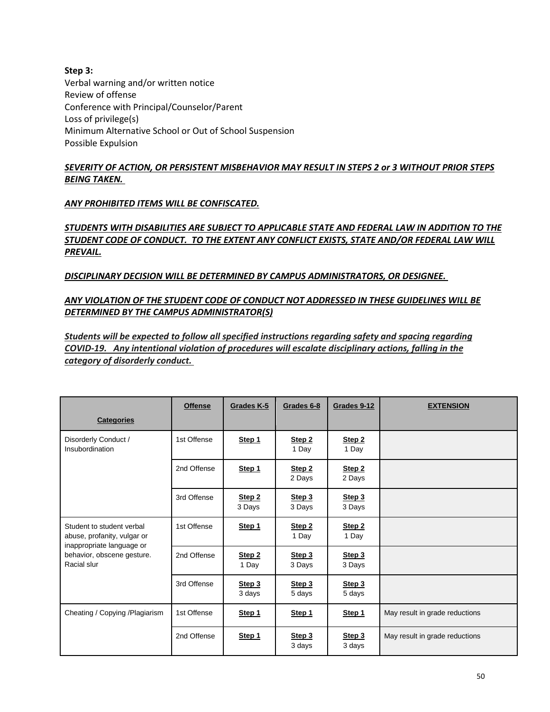**Step 3:** Verbal warning and/or written notice Review of offense Conference with Principal/Counselor/Parent Loss of privilege(s) Minimum Alternative School or Out of School Suspension Possible Expulsion

## *SEVERITY OF ACTION, OR PERSISTENT MISBEHAVIOR MAY RESULT IN STEPS 2 or 3 WITHOUT PRIOR STEPS BEING TAKEN.*

#### *ANY PROHIBITED ITEMS WILL BE CONFISCATED.*

## *STUDENTS WITH DISABILITIES ARE SUBJECT TO APPLICABLE STATE AND FEDERAL LAW IN ADDITION TO THE STUDENT CODE OF CONDUCT. TO THE EXTENT ANY CONFLICT EXISTS, STATE AND/OR FEDERAL LAW WILL PREVAIL.*

*DISCIPLINARY DECISION WILL BE DETERMINED BY CAMPUS ADMINISTRATORS, OR DESIGNEE.*

#### *ANY VIOLATION OF THE STUDENT CODE OF CONDUCT NOT ADDRESSED IN THESE GUIDELINES WILL BE DETERMINED BY THE CAMPUS ADMINISTRATOR(S)*

*Students will be expected to follow all specified instructions regarding safety and spacing regarding COVID-19. Any intentional violation of procedures will escalate disciplinary actions, falling in the category of disorderly conduct.*

|                                                                                       | <b>Offense</b> | Grades K-5                  | Grades 6-8                 | Grades 9-12      | <b>EXTENSION</b>               |
|---------------------------------------------------------------------------------------|----------------|-----------------------------|----------------------------|------------------|--------------------------------|
| <b>Categories</b>                                                                     |                |                             |                            |                  |                                |
| Disorderly Conduct /<br>Insubordination                                               | 1st Offense    | Step 1                      | Step 2<br>1 Day            | Step 2<br>1 Day  |                                |
|                                                                                       | 2nd Offense    | Step 1                      | Step 2<br>2 Days           | Step 2<br>2 Days |                                |
|                                                                                       | 3rd Offense    | Step <sub>2</sub><br>3 Days | Step 3<br>3 Days           | Step 3<br>3 Days |                                |
| Student to student verbal<br>abuse, profanity, vulgar or<br>inappropriate language or | 1st Offense    | Step 1                      | Step <sub>2</sub><br>1 Day | Step 2<br>1 Day  |                                |
| behavior, obscene gesture.<br>Racial slur                                             | 2nd Offense    | Step 2<br>1 Day             | Step 3<br>3 Days           | Step 3<br>3 Days |                                |
|                                                                                       | 3rd Offense    | Step 3<br>3 days            | Step 3<br>5 days           | Step 3<br>5 days |                                |
| Cheating / Copying / Plagiarism                                                       | 1st Offense    | Step 1                      | Step 1                     | Step 1           | May result in grade reductions |
|                                                                                       | 2nd Offense    | Step 1                      | Step 3<br>3 days           | Step 3<br>3 days | May result in grade reductions |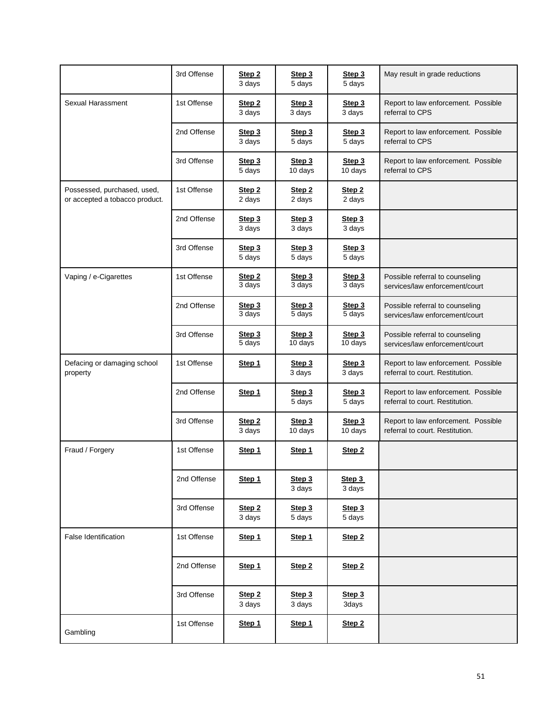|                                                               | 3rd Offense | Step 2<br>3 days            | Step 3<br>5 days            | Step 3<br>5 days              | May result in grade reductions                                         |
|---------------------------------------------------------------|-------------|-----------------------------|-----------------------------|-------------------------------|------------------------------------------------------------------------|
| Sexual Harassment                                             | 1st Offense | Step <sub>2</sub><br>3 days | Step 3<br>3 days            | Step 3<br>3 days              | Report to law enforcement. Possible<br>referral to CPS                 |
|                                                               | 2nd Offense | Step 3<br>3 days            | Step 3<br>5 days            | Step 3<br>5 days              | Report to law enforcement. Possible<br>referral to CPS                 |
|                                                               | 3rd Offense | Step 3<br>5 days            | Step 3<br>10 days           | Step 3<br>10 days             | Report to law enforcement. Possible<br>referral to CPS                 |
| Possessed, purchased, used,<br>or accepted a tobacco product. | 1st Offense | Step <sub>2</sub><br>2 days | Step <sub>2</sub><br>2 days | Step <sub>2</sub><br>2 days   |                                                                        |
|                                                               | 2nd Offense | Step 3<br>3 days            | Step 3<br>3 days            | Step 3<br>3 days              |                                                                        |
|                                                               | 3rd Offense | Step 3<br>5 days            | Step 3<br>5 days            | Step 3<br>5 days              |                                                                        |
| Vaping / e-Cigarettes                                         | 1st Offense | Step <sub>2</sub><br>3 days | Step 3<br>3 days            | Step 3<br>$3$ days            | Possible referral to counseling<br>services/law enforcement/court      |
|                                                               | 2nd Offense | Step 3<br>3 days            | Step 3<br>5 days            | Step 3<br>$\overline{5}$ days | Possible referral to counseling<br>services/law enforcement/court      |
|                                                               | 3rd Offense | Step 3<br>5 days            | Step 3<br>10 days           | Step 3<br>10 days             | Possible referral to counseling<br>services/law enforcement/court      |
| Defacing or damaging school<br>property                       | 1st Offense | Step 1                      | Step 3<br>3 days            | Step 3<br>3 days              | Report to law enforcement. Possible<br>referral to court. Restitution. |
|                                                               | 2nd Offense | Step 1                      | Step 3<br>5 days            | Step 3<br>5 days              | Report to law enforcement. Possible<br>referral to court. Restitution. |
|                                                               | 3rd Offense | Step <sub>2</sub><br>3 days | Step 3<br>10 days           | Step 3<br>10 days             | Report to law enforcement. Possible<br>referral to court. Restitution. |
| Fraud / Forgery                                               | 1st Offense | Step 1                      | Step 1                      | Step <sub>2</sub>             |                                                                        |
|                                                               | 2nd Offense | Step 1                      | Step 3<br>3 days            | Step 3<br>3 days              |                                                                        |
|                                                               | 3rd Offense | Step 2<br>3 days            | Step 3<br>5 days            | Step 3<br>5 days              |                                                                        |
| <b>False Identification</b>                                   | 1st Offense | Step 1                      | Step 1                      | Step <sub>2</sub>             |                                                                        |
|                                                               | 2nd Offense | Step 1                      | Step <sub>2</sub>           | Step <sub>2</sub>             |                                                                        |
|                                                               | 3rd Offense | Step 2<br>3 days            | Step 3<br>3 days            | Step 3<br>3days               |                                                                        |
| Gambling                                                      | 1st Offense | Step 1                      | Step 1                      | Step <sub>2</sub>             |                                                                        |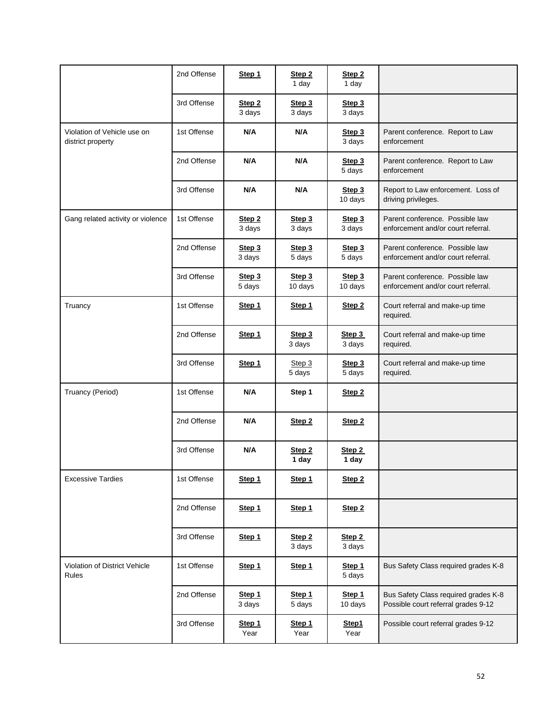|                                                  | 2nd Offense | Step 1                      | Step 2<br>1 day            | Step <sub>2</sub><br>1 day |                                                                             |
|--------------------------------------------------|-------------|-----------------------------|----------------------------|----------------------------|-----------------------------------------------------------------------------|
|                                                  | 3rd Offense | Step <sub>2</sub><br>3 days | Step 3<br>3 days           | Step 3<br>3 days           |                                                                             |
| Violation of Vehicle use on<br>district property | 1st Offense | N/A                         | N/A                        | Step 3<br>3 days           | Parent conference. Report to Law<br>enforcement                             |
|                                                  | 2nd Offense | N/A                         | N/A                        | Step 3<br>5 days           | Parent conference. Report to Law<br>enforcement                             |
|                                                  | 3rd Offense | N/A                         | N/A                        | Step 3<br>10 days          | Report to Law enforcement. Loss of<br>driving privileges.                   |
| Gang related activity or violence                | 1st Offense | Step 2<br>3 days            | Step 3<br>3 days           | Step 3<br>3 days           | Parent conference. Possible law<br>enforcement and/or court referral.       |
|                                                  | 2nd Offense | Step 3<br>3 days            | Step 3<br>5 days           | Step 3<br>5 days           | Parent conference. Possible law<br>enforcement and/or court referral.       |
|                                                  | 3rd Offense | Step 3<br>5 days            | Step 3<br>10 days          | Step 3<br>10 days          | Parent conference. Possible law<br>enforcement and/or court referral.       |
| Truancy                                          | 1st Offense | Step 1                      | Step 1                     | Step <sub>2</sub>          | Court referral and make-up time<br>required.                                |
|                                                  | 2nd Offense | Step 1                      | Step 3<br>3 days           | Step 3<br>3 days           | Court referral and make-up time<br>required.                                |
|                                                  | 3rd Offense | Step 1                      | Step 3<br>5 days           | Step 3<br>5 days           | Court referral and make-up time<br>required.                                |
| Truancy (Period)                                 | 1st Offense | N/A                         | Step 1                     | Step <sub>2</sub>          |                                                                             |
|                                                  | 2nd Offense | N/A                         | Step 2                     | Step <sub>2</sub>          |                                                                             |
|                                                  | 3rd Offense | N/A                         | Step <sub>2</sub><br>1 day | Step 2<br>1 day            |                                                                             |
| <b>Excessive Tardies</b>                         | 1st Offense | Step 1                      | Step 1                     | Step <sub>2</sub>          |                                                                             |
|                                                  | 2nd Offense | Step 1                      | Step 1                     | Step <sub>2</sub>          |                                                                             |
|                                                  | 3rd Offense | Step 1                      | Step 2<br>3 days           | Step 2<br>3 days           |                                                                             |
| Violation of District Vehicle<br><b>Rules</b>    | 1st Offense | Step 1                      | Step 1                     | Step 1<br>5 days           | Bus Safety Class required grades K-8                                        |
|                                                  | 2nd Offense | Step 1<br>3 days            | Step 1<br>5 days           | Step 1<br>10 days          | Bus Safety Class required grades K-8<br>Possible court referral grades 9-12 |
|                                                  | 3rd Offense | Step 1<br>Year              | Step 1<br>Year             | Step1<br>Year              | Possible court referral grades 9-12                                         |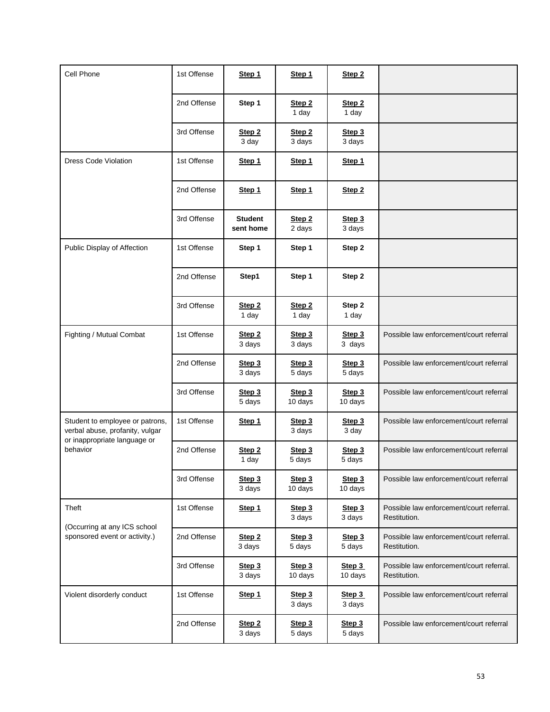| Cell Phone                                                                                                     | 1st Offense | Step 1                      | Step 1                     | Step 2                     |                                                          |
|----------------------------------------------------------------------------------------------------------------|-------------|-----------------------------|----------------------------|----------------------------|----------------------------------------------------------|
|                                                                                                                | 2nd Offense | Step 1                      | Step <sub>2</sub><br>1 day | Step <sub>2</sub><br>1 day |                                                          |
|                                                                                                                | 3rd Offense | Step <sub>2</sub><br>3 day  | Step 2<br>3 days           | Step 3<br>3 days           |                                                          |
| <b>Dress Code Violation</b>                                                                                    | 1st Offense | Step 1                      | Step 1                     | Step 1                     |                                                          |
|                                                                                                                | 2nd Offense | Step 1                      | Step 1                     | Step <sub>2</sub>          |                                                          |
|                                                                                                                | 3rd Offense | <b>Student</b><br>sent home | Step 2<br>2 days           | Step 3<br>3 days           |                                                          |
| Public Display of Affection                                                                                    | 1st Offense | Step 1                      | Step 1                     | Step 2                     |                                                          |
|                                                                                                                | 2nd Offense | Step1                       | Step 1                     | Step 2                     |                                                          |
|                                                                                                                | 3rd Offense | Step <sub>2</sub><br>1 day  | Step <sub>2</sub><br>1 day | Step 2<br>1 day            |                                                          |
| Fighting / Mutual Combat                                                                                       | 1st Offense | Step 2<br>3 days            | Step 3<br>3 days           | Step 3<br>3 days           | Possible law enforcement/court referral                  |
|                                                                                                                | 2nd Offense | Step 3<br>3 days            | Step 3<br>5 days           | Step 3<br>5 days           | Possible law enforcement/court referral                  |
|                                                                                                                | 3rd Offense | Step 3<br>5 days            | Step 3<br>10 days          | Step 3<br>10 days          | Possible law enforcement/court referral                  |
| Student to employee or patrons,<br>verbal abuse, profanity, vulgar<br>or inappropriate language or<br>behavior | 1st Offense | Step 1                      | Step 3<br>3 days           | Step 3<br>3 day            | Possible law enforcement/court referral                  |
|                                                                                                                | 2nd Offense | Step <sub>2</sub><br>1 day  | Step 3<br>5 days           | Step 3<br>5 days           | Possible law enforcement/court referral                  |
|                                                                                                                | 3rd Offense | Step 3<br>3 days            | Step 3<br>10 days          | Step 3<br>10 days          | Possible law enforcement/court referral                  |
| Theft<br>(Occurring at any ICS school<br>sponsored event or activity.)                                         | 1st Offense | Step 1                      | Step 3<br>3 days           | Step 3<br>3 days           | Possible law enforcement/court referral.<br>Restitution. |
|                                                                                                                | 2nd Offense | Step 2<br>3 days            | Step 3<br>5 days           | Step 3<br>5 days           | Possible law enforcement/court referral.<br>Restitution. |
|                                                                                                                | 3rd Offense | Step 3<br>3 days            | Step 3<br>10 days          | Step 3<br>10 days          | Possible law enforcement/court referral.<br>Restitution. |
| Violent disorderly conduct                                                                                     | 1st Offense | Step 1                      | Step 3<br>3 days           | Step 3<br>3 days           | Possible law enforcement/court referral                  |
|                                                                                                                | 2nd Offense | Step <sub>2</sub><br>3 days | Step 3<br>5 days           | Step 3<br>5 days           | Possible law enforcement/court referral                  |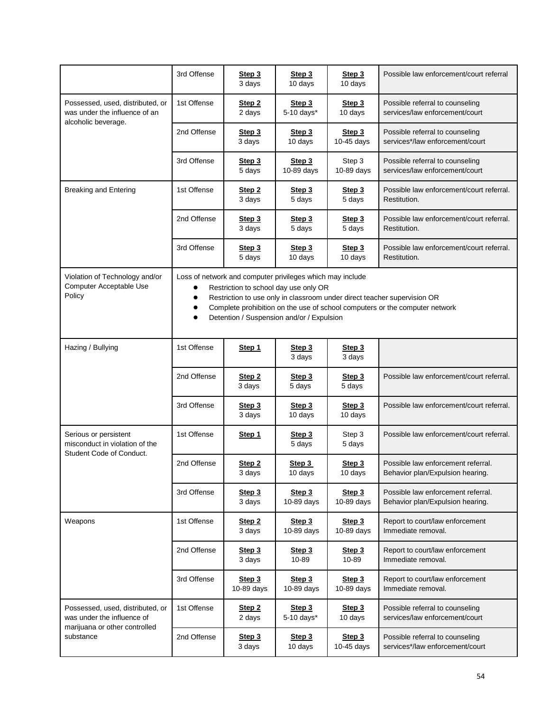|                                                                                                              | 3rd Offense                                                                                                                                                                                                                                                                                                                                                    | Step 3<br>3 days            | Step 3<br>10 days    | Step 3<br>10 days    | Possible law enforcement/court referral                                |  |  |
|--------------------------------------------------------------------------------------------------------------|----------------------------------------------------------------------------------------------------------------------------------------------------------------------------------------------------------------------------------------------------------------------------------------------------------------------------------------------------------------|-----------------------------|----------------------|----------------------|------------------------------------------------------------------------|--|--|
| Possessed, used, distributed, or<br>was under the influence of an<br>alcoholic beverage.                     | 1st Offense                                                                                                                                                                                                                                                                                                                                                    | Step <sub>2</sub><br>2 days | Step 3<br>5-10 days* | Step 3<br>10 days    | Possible referral to counseling<br>services/law enforcement/court      |  |  |
|                                                                                                              | 2nd Offense                                                                                                                                                                                                                                                                                                                                                    | Step 3<br>3 days            | Step 3<br>10 days    | Step 3<br>10-45 days | Possible referral to counseling<br>services*/law enforcement/court     |  |  |
|                                                                                                              | 3rd Offense                                                                                                                                                                                                                                                                                                                                                    | Step 3<br>5 days            | Step 3<br>10-89 days | Step 3<br>10-89 days | Possible referral to counseling<br>services/law enforcement/court      |  |  |
| <b>Breaking and Entering</b>                                                                                 | 1st Offense                                                                                                                                                                                                                                                                                                                                                    | Step 2<br>3 days            | Step 3<br>5 days     | Step 3<br>5 days     | Possible law enforcement/court referral.<br>Restitution.               |  |  |
|                                                                                                              | 2nd Offense                                                                                                                                                                                                                                                                                                                                                    | Step 3<br>3 days            | Step 3<br>5 days     | Step 3<br>5 days     | Possible law enforcement/court referral.<br>Restitution.               |  |  |
|                                                                                                              | 3rd Offense                                                                                                                                                                                                                                                                                                                                                    | Step 3<br>5 days            | Step 3<br>10 days    | Step 3<br>10 days    | Possible law enforcement/court referral.<br>Restitution.               |  |  |
| Violation of Technology and/or<br>Computer Acceptable Use<br>Policy                                          | Loss of network and computer privileges which may include<br>Restriction to school day use only OR<br>$\bullet$<br>Restriction to use only in classroom under direct teacher supervision OR<br>$\bullet$<br>Complete prohibition on the use of school computers or the computer network<br>$\bullet$<br>Detention / Suspension and/or / Expulsion<br>$\bullet$ |                             |                      |                      |                                                                        |  |  |
| Hazing / Bullying                                                                                            | 1st Offense                                                                                                                                                                                                                                                                                                                                                    | Step 1                      | Step 3<br>3 days     | Step 3<br>3 days     |                                                                        |  |  |
|                                                                                                              | 2nd Offense                                                                                                                                                                                                                                                                                                                                                    | Step <sub>2</sub><br>3 days | Step 3<br>5 days     | Step 3<br>5 days     | Possible law enforcement/court referral.                               |  |  |
|                                                                                                              | 3rd Offense                                                                                                                                                                                                                                                                                                                                                    | Step 3<br>3 days            | Step 3<br>10 days    | Step 3<br>10 days    | Possible law enforcement/court referral.                               |  |  |
| Serious or persistent<br>misconduct in violation of the<br>Student Code of Conduct.                          | 1st Offense                                                                                                                                                                                                                                                                                                                                                    | Step 1                      | Step 3<br>5 days     | Step 3<br>5 days     | Possible law enforcement/court referral.                               |  |  |
|                                                                                                              | 2nd Offense                                                                                                                                                                                                                                                                                                                                                    | Step 2<br>3 days            | Step 3<br>10 days    | Step 3<br>10 days    | Possible law enforcement referral.<br>Behavior plan/Expulsion hearing. |  |  |
|                                                                                                              | 3rd Offense                                                                                                                                                                                                                                                                                                                                                    | Step 3<br>3 days            | Step 3<br>10-89 days | Step 3<br>10-89 days | Possible law enforcement referral.<br>Behavior plan/Expulsion hearing. |  |  |
| Weapons                                                                                                      | 1st Offense                                                                                                                                                                                                                                                                                                                                                    | Step <sub>2</sub><br>3 days | Step 3<br>10-89 days | Step 3<br>10-89 days | Report to court/law enforcement<br>Immediate removal.                  |  |  |
|                                                                                                              | 2nd Offense                                                                                                                                                                                                                                                                                                                                                    | Step 3<br>3 days            | Step 3<br>10-89      | Step 3<br>10-89      | Report to court/law enforcement<br>Immediate removal.                  |  |  |
|                                                                                                              | 3rd Offense                                                                                                                                                                                                                                                                                                                                                    | Step 3<br>10-89 days        | Step 3<br>10-89 days | Step 3<br>10-89 days | Report to court/law enforcement<br>Immediate removal.                  |  |  |
| Possessed, used, distributed, or<br>was under the influence of<br>marijuana or other controlled<br>substance | 1st Offense                                                                                                                                                                                                                                                                                                                                                    | Step 2<br>2 days            | Step 3<br>5-10 days* | Step 3<br>10 days    | Possible referral to counseling<br>services/law enforcement/court      |  |  |
|                                                                                                              | 2nd Offense                                                                                                                                                                                                                                                                                                                                                    | Step 3<br>3 days            | Step 3<br>10 days    | Step 3<br>10-45 days | Possible referral to counseling<br>services*/law enforcement/court     |  |  |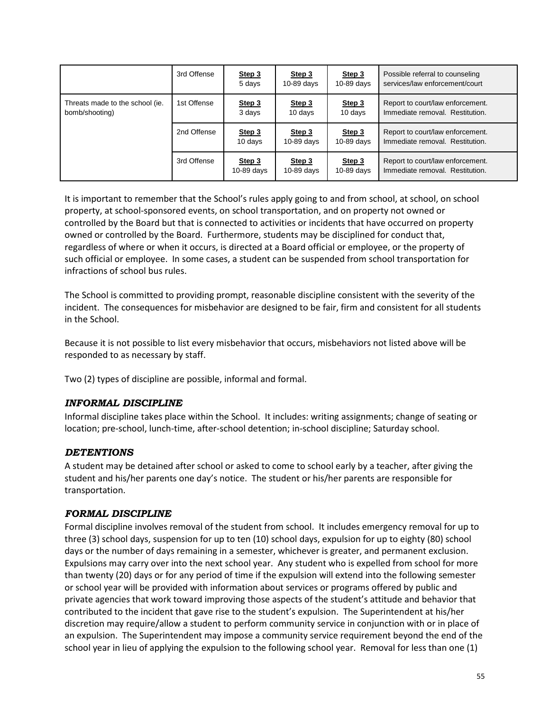|                                                   | 3rd Offense | Step 3<br>5 days     | Step 3<br>$10-89$ days | Step 3<br>$10-89$ days | Possible referral to counseling<br>services/law enforcement/court   |
|---------------------------------------------------|-------------|----------------------|------------------------|------------------------|---------------------------------------------------------------------|
| Threats made to the school (ie.<br>bomb/shooting) | 1st Offense | Step 3<br>3 days     | Step 3<br>10 days      | Step 3<br>10 days      | Report to court/law enforcement.<br>Immediate removal. Restitution. |
|                                                   | 2nd Offense | Step 3<br>10 days    | Step 3<br>$10-89$ days | Step 3<br>$10-89$ days | Report to court/law enforcement.<br>Immediate removal. Restitution. |
|                                                   | 3rd Offense | Step 3<br>10-89 days | Step 3<br>$10-89$ days | Step 3<br>$10-89$ days | Report to court/law enforcement.<br>Immediate removal. Restitution. |

It is important to remember that the School's rules apply going to and from school, at school, on school property, at school-sponsored events, on school transportation, and on property not owned or controlled by the Board but that is connected to activities or incidents that have occurred on property owned or controlled by the Board. Furthermore, students may be disciplined for conduct that, regardless of where or when it occurs, is directed at a Board official or employee, or the property of such official or employee. In some cases, a student can be suspended from school transportation for infractions of school bus rules.

The School is committed to providing prompt, reasonable discipline consistent with the severity of the incident. The consequences for misbehavior are designed to be fair, firm and consistent for all students in the School.

Because it is not possible to list every misbehavior that occurs, misbehaviors not listed above will be responded to as necessary by staff.

Two (2) types of discipline are possible, informal and formal.

## <span id="page-60-0"></span>*INFORMAL DISCIPLINE*

Informal discipline takes place within the School. It includes: writing assignments; change of seating or location; pre-school, lunch-time, after-school detention; in-school discipline; Saturday school.

## <span id="page-60-1"></span>*DETENTIONS*

A student may be detained after school or asked to come to school early by a teacher, after giving the student and his/her parents one day's notice. The student or his/her parents are responsible for transportation.

#### <span id="page-60-2"></span>*FORMAL DISCIPLINE*

Formal discipline involves removal of the student from school. It includes emergency removal for up to three (3) school days, suspension for up to ten (10) school days, expulsion for up to eighty (80) school days or the number of days remaining in a semester, whichever is greater, and permanent exclusion. Expulsions may carry over into the next school year. Any student who is expelled from school for more than twenty (20) days or for any period of time if the expulsion will extend into the following semester or school year will be provided with information about services or programs offered by public and private agencies that work toward improving those aspects of the student's attitude and behavior that contributed to the incident that gave rise to the student's expulsion. The Superintendent at his/her discretion may require/allow a student to perform community service in conjunction with or in place of an expulsion. The Superintendent may impose a community service requirement beyond the end of the school year in lieu of applying the expulsion to the following school year. Removal for less than one (1)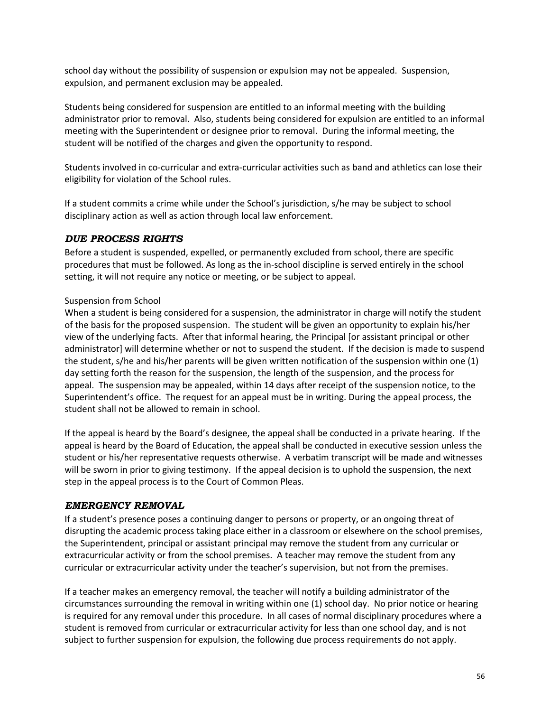school day without the possibility of suspension or expulsion may not be appealed. Suspension, expulsion, and permanent exclusion may be appealed.

Students being considered for suspension are entitled to an informal meeting with the building administrator prior to removal. Also, students being considered for expulsion are entitled to an informal meeting with the Superintendent or designee prior to removal. During the informal meeting, the student will be notified of the charges and given the opportunity to respond.

Students involved in co-curricular and extra-curricular activities such as band and athletics can lose their eligibility for violation of the School rules.

If a student commits a crime while under the School's jurisdiction, s/he may be subject to school disciplinary action as well as action through local law enforcement.

## <span id="page-61-0"></span>*DUE PROCESS RIGHTS*

Before a student is suspended, expelled, or permanently excluded from school, there are specific procedures that must be followed. As long as the in-school discipline is served entirely in the school setting, it will not require any notice or meeting, or be subject to appeal.

#### Suspension from School

When a student is being considered for a suspension, the administrator in charge will notify the student of the basis for the proposed suspension. The student will be given an opportunity to explain his/her view of the underlying facts. After that informal hearing, the Principal [or assistant principal or other administrator] will determine whether or not to suspend the student. If the decision is made to suspend the student, s/he and his/her parents will be given written notification of the suspension within one (1) day setting forth the reason for the suspension, the length of the suspension, and the process for appeal. The suspension may be appealed, within 14 days after receipt of the suspension notice, to the Superintendent's office. The request for an appeal must be in writing. During the appeal process, the student shall not be allowed to remain in school.

If the appeal is heard by the Board's designee, the appeal shall be conducted in a private hearing. If the appeal is heard by the Board of Education, the appeal shall be conducted in executive session unless the student or his/her representative requests otherwise. A verbatim transcript will be made and witnesses will be sworn in prior to giving testimony. If the appeal decision is to uphold the suspension, the next step in the appeal process is to the Court of Common Pleas.

#### <span id="page-61-1"></span>*EMERGENCY REMOVAL*

If a student's presence poses a continuing danger to persons or property, or an ongoing threat of disrupting the academic process taking place either in a classroom or elsewhere on the school premises, the Superintendent, principal or assistant principal may remove the student from any curricular or extracurricular activity or from the school premises. A teacher may remove the student from any curricular or extracurricular activity under the teacher's supervision, but not from the premises.

If a teacher makes an emergency removal, the teacher will notify a building administrator of the circumstances surrounding the removal in writing within one (1) school day. No prior notice or hearing is required for any removal under this procedure. In all cases of normal disciplinary procedures where a student is removed from curricular or extracurricular activity for less than one school day, and is not subject to further suspension for expulsion, the following due process requirements do not apply.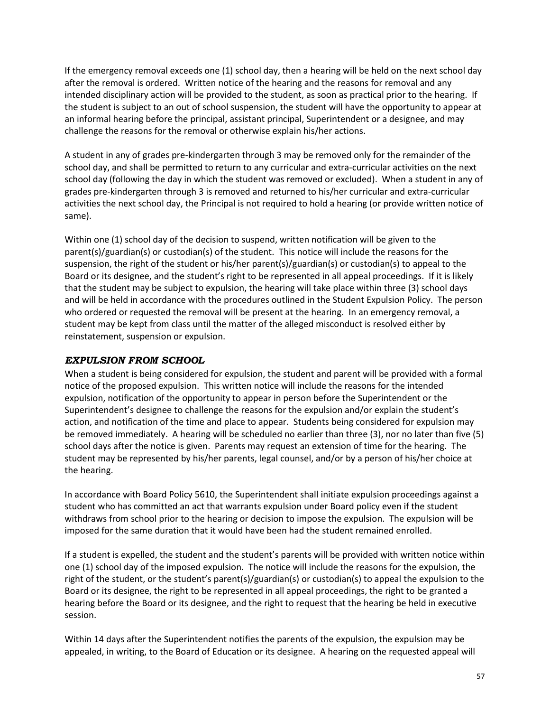If the emergency removal exceeds one (1) school day, then a hearing will be held on the next school day after the removal is ordered. Written notice of the hearing and the reasons for removal and any intended disciplinary action will be provided to the student, as soon as practical prior to the hearing. If the student is subject to an out of school suspension, the student will have the opportunity to appear at an informal hearing before the principal, assistant principal, Superintendent or a designee, and may challenge the reasons for the removal or otherwise explain his/her actions.

A student in any of grades pre-kindergarten through 3 may be removed only for the remainder of the school day, and shall be permitted to return to any curricular and extra-curricular activities on the next school day (following the day in which the student was removed or excluded). When a student in any of grades pre-kindergarten through 3 is removed and returned to his/her curricular and extra-curricular activities the next school day, the Principal is not required to hold a hearing (or provide written notice of same).

Within one (1) school day of the decision to suspend, written notification will be given to the parent(s)/guardian(s) or custodian(s) of the student. This notice will include the reasons for the suspension, the right of the student or his/her parent(s)/guardian(s) or custodian(s) to appeal to the Board or its designee, and the student's right to be represented in all appeal proceedings. If it is likely that the student may be subject to expulsion, the hearing will take place within three (3) school days and will be held in accordance with the procedures outlined in the Student Expulsion Policy. The person who ordered or requested the removal will be present at the hearing. In an emergency removal, a student may be kept from class until the matter of the alleged misconduct is resolved either by reinstatement, suspension or expulsion.

## <span id="page-62-0"></span>*EXPULSION FROM SCHOOL*

When a student is being considered for expulsion, the student and parent will be provided with a formal notice of the proposed expulsion. This written notice will include the reasons for the intended expulsion, notification of the opportunity to appear in person before the Superintendent or the Superintendent's designee to challenge the reasons for the expulsion and/or explain the student's action, and notification of the time and place to appear. Students being considered for expulsion may be removed immediately. A hearing will be scheduled no earlier than three (3), nor no later than five (5) school days after the notice is given. Parents may request an extension of time for the hearing. The student may be represented by his/her parents, legal counsel, and/or by a person of his/her choice at the hearing.

In accordance with Board Policy 5610, the Superintendent shall initiate expulsion proceedings against a student who has committed an act that warrants expulsion under Board policy even if the student withdraws from school prior to the hearing or decision to impose the expulsion. The expulsion will be imposed for the same duration that it would have been had the student remained enrolled.

If a student is expelled, the student and the student's parents will be provided with written notice within one (1) school day of the imposed expulsion. The notice will include the reasons for the expulsion, the right of the student, or the student's parent(s)/guardian(s) or custodian(s) to appeal the expulsion to the Board or its designee, the right to be represented in all appeal proceedings, the right to be granted a hearing before the Board or its designee, and the right to request that the hearing be held in executive session.

Within 14 days after the Superintendent notifies the parents of the expulsion, the expulsion may be appealed, in writing, to the Board of Education or its designee. A hearing on the requested appeal will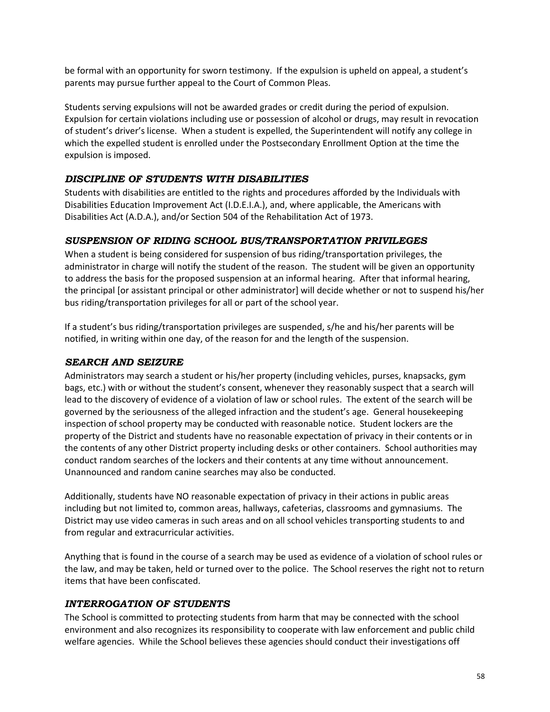be formal with an opportunity for sworn testimony. If the expulsion is upheld on appeal, a student's parents may pursue further appeal to the Court of Common Pleas.

Students serving expulsions will not be awarded grades or credit during the period of expulsion. Expulsion for certain violations including use or possession of alcohol or drugs, may result in revocation of student's driver's license. When a student is expelled, the Superintendent will notify any college in which the expelled student is enrolled under the Postsecondary Enrollment Option at the time the expulsion is imposed.

# <span id="page-63-0"></span>*DISCIPLINE OF STUDENTS WITH DISABILITIES*

Students with disabilities are entitled to the rights and procedures afforded by the Individuals with Disabilities Education Improvement Act (I.D.E.I.A.), and, where applicable, the Americans with Disabilities Act (A.D.A.), and/or Section 504 of the Rehabilitation Act of 1973.

# <span id="page-63-1"></span>*SUSPENSION OF RIDING SCHOOL BUS/TRANSPORTATION PRIVILEGES*

When a student is being considered for suspension of bus riding/transportation privileges, the administrator in charge will notify the student of the reason. The student will be given an opportunity to address the basis for the proposed suspension at an informal hearing. After that informal hearing, the principal [or assistant principal or other administrator] will decide whether or not to suspend his/her bus riding/transportation privileges for all or part of the school year.

If a student's bus riding/transportation privileges are suspended, s/he and his/her parents will be notified, in writing within one day, of the reason for and the length of the suspension.

## <span id="page-63-2"></span>*SEARCH AND SEIZURE*

Administrators may search a student or his/her property (including vehicles, purses, knapsacks, gym bags, etc.) with or without the student's consent, whenever they reasonably suspect that a search will lead to the discovery of evidence of a violation of law or school rules. The extent of the search will be governed by the seriousness of the alleged infraction and the student's age. General housekeeping inspection of school property may be conducted with reasonable notice. Student lockers are the property of the District and students have no reasonable expectation of privacy in their contents or in the contents of any other District property including desks or other containers. School authorities may conduct random searches of the lockers and their contents at any time without announcement. Unannounced and random canine searches may also be conducted.

Additionally, students have NO reasonable expectation of privacy in their actions in public areas including but not limited to, common areas, hallways, cafeterias, classrooms and gymnasiums. The District may use video cameras in such areas and on all school vehicles transporting students to and from regular and extracurricular activities.

Anything that is found in the course of a search may be used as evidence of a violation of school rules or the law, and may be taken, held or turned over to the police. The School reserves the right not to return items that have been confiscated.

## <span id="page-63-3"></span>*INTERROGATION OF STUDENTS*

The School is committed to protecting students from harm that may be connected with the school environment and also recognizes its responsibility to cooperate with law enforcement and public child welfare agencies. While the School believes these agencies should conduct their investigations off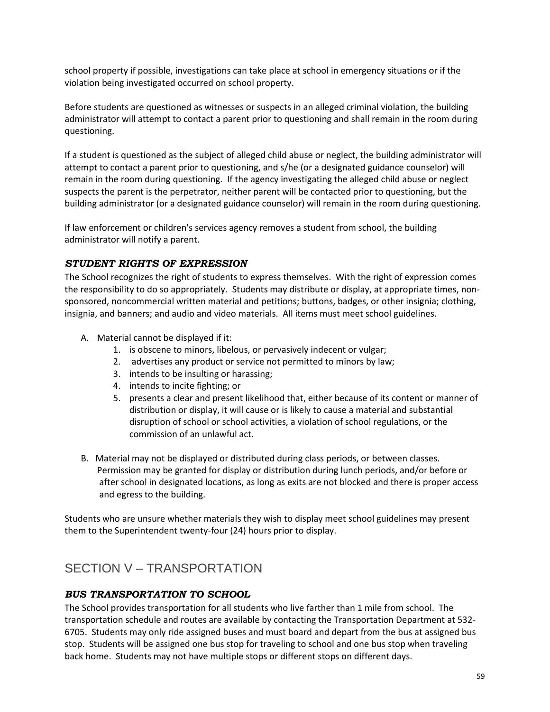school property if possible, investigations can take place at school in emergency situations or if the violation being investigated occurred on school property.

Before students are questioned as witnesses or suspects in an alleged criminal violation, the building administrator will attempt to contact a parent prior to questioning and shall remain in the room during questioning.

If a student is questioned as the subject of alleged child abuse or neglect, the building administrator will attempt to contact a parent prior to questioning, and s/he (or a designated guidance counselor) will remain in the room during questioning. If the agency investigating the alleged child abuse or neglect suspects the parent is the perpetrator, neither parent will be contacted prior to questioning, but the building administrator (or a designated guidance counselor) will remain in the room during questioning.

If law enforcement or children's services agency removes a student from school, the building administrator will notify a parent.

## <span id="page-64-0"></span>*STUDENT RIGHTS OF EXPRESSION*

The School recognizes the right of students to express themselves. With the right of expression comes the responsibility to do so appropriately. Students may distribute or display, at appropriate times, nonsponsored, noncommercial written material and petitions; buttons, badges, or other insignia; clothing, insignia, and banners; and audio and video materials. All items must meet school guidelines.

- A. Material cannot be displayed if it:
	- 1. is obscene to minors, libelous, or pervasively indecent or vulgar;
	- 2. advertises any product or service not permitted to minors by law;
	- 3. intends to be insulting or harassing;
	- 4. intends to incite fighting; or
	- 5. presents a clear and present likelihood that, either because of its content or manner of distribution or display, it will cause or is likely to cause a material and substantial disruption of school or school activities, a violation of school regulations, or the commission of an unlawful act.
- B. Material may not be displayed or distributed during class periods, or between classes. Permission may be granted for display or distribution during lunch periods, and/or before or after school in designated locations, as long as exits are not blocked and there is proper access and egress to the building.

Students who are unsure whether materials they wish to display meet school guidelines may present them to the Superintendent twenty-four (24) hours prior to display.

# <span id="page-64-1"></span>SECTION V – TRANSPORTATION

## <span id="page-64-2"></span>*BUS TRANSPORTATION TO SCHOOL*

The School provides transportation for all students who live farther than 1 mile from school. The transportation schedule and routes are available by contacting the Transportation Department at 532- 6705. Students may only ride assigned buses and must board and depart from the bus at assigned bus stop. Students will be assigned one bus stop for traveling to school and one bus stop when traveling back home. Students may not have multiple stops or different stops on different days.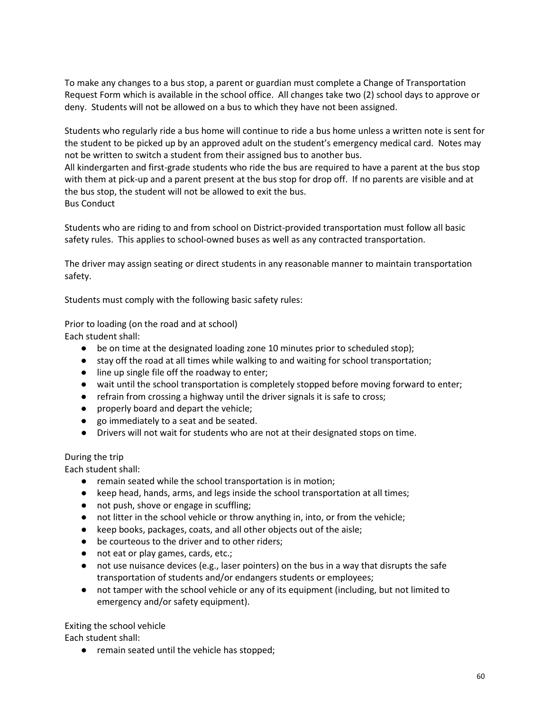To make any changes to a bus stop, a parent or guardian must complete a Change of Transportation Request Form which is available in the school office. All changes take two (2) school days to approve or deny. Students will not be allowed on a bus to which they have not been assigned.

Students who regularly ride a bus home will continue to ride a bus home unless a written note is sent for the student to be picked up by an approved adult on the student's emergency medical card. Notes may not be written to switch a student from their assigned bus to another bus.

All kindergarten and first-grade students who ride the bus are required to have a parent at the bus stop with them at pick-up and a parent present at the bus stop for drop off. If no parents are visible and at the bus stop, the student will not be allowed to exit the bus. Bus Conduct

Students who are riding to and from school on District-provided transportation must follow all basic safety rules. This applies to school-owned buses as well as any contracted transportation.

The driver may assign seating or direct students in any reasonable manner to maintain transportation safety.

Students must comply with the following basic safety rules:

Prior to loading (on the road and at school)

Each student shall:

- be on time at the designated loading zone 10 minutes prior to scheduled stop);
- stay off the road at all times while walking to and waiting for school transportation;
- line up single file off the roadway to enter;
- wait until the school transportation is completely stopped before moving forward to enter;
- refrain from crossing a highway until the driver signals it is safe to cross;
- properly board and depart the vehicle;
- go immediately to a seat and be seated.
- Drivers will not wait for students who are not at their designated stops on time.

#### During the trip

Each student shall:

- remain seated while the school transportation is in motion;
- keep head, hands, arms, and legs inside the school transportation at all times;
- not push, shove or engage in scuffling;
- not litter in the school vehicle or throw anything in, into, or from the vehicle;
- keep books, packages, coats, and all other objects out of the aisle;
- be courteous to the driver and to other riders;
- not eat or play games, cards, etc.;
- not use nuisance devices (e.g., laser pointers) on the bus in a way that disrupts the safe transportation of students and/or endangers students or employees;
- not tamper with the school vehicle or any of its equipment (including, but not limited to emergency and/or safety equipment).

#### Exiting the school vehicle

Each student shall:

● remain seated until the vehicle has stopped;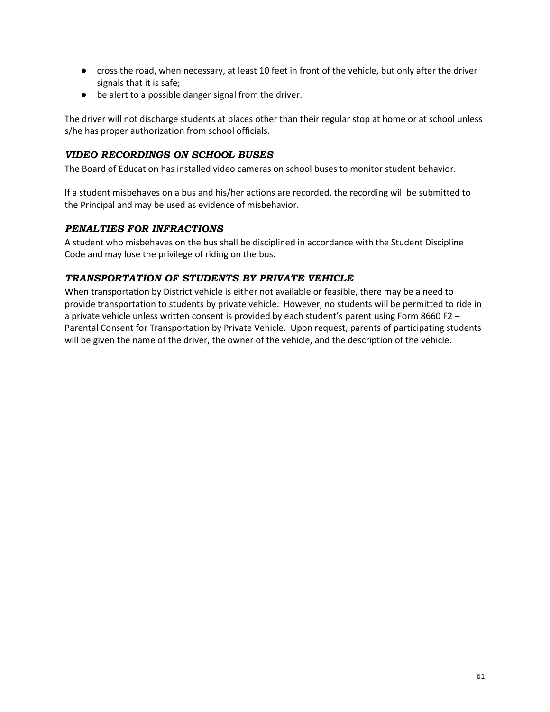- cross the road, when necessary, at least 10 feet in front of the vehicle, but only after the driver signals that it is safe;
- be alert to a possible danger signal from the driver.

The driver will not discharge students at places other than their regular stop at home or at school unless s/he has proper authorization from school officials.

## <span id="page-66-0"></span>*VIDEO RECORDINGS ON SCHOOL BUSES*

The Board of Education has installed video cameras on school buses to monitor student behavior.

If a student misbehaves on a bus and his/her actions are recorded, the recording will be submitted to the Principal and may be used as evidence of misbehavior.

## <span id="page-66-1"></span>*PENALTIES FOR INFRACTIONS*

A student who misbehaves on the bus shall be disciplined in accordance with the Student Discipline Code and may lose the privilege of riding on the bus.

## <span id="page-66-2"></span>*TRANSPORTATION OF STUDENTS BY PRIVATE VEHICLE*

When transportation by District vehicle is either not available or feasible, there may be a need to provide transportation to students by private vehicle. However, no students will be permitted to ride in a private vehicle unless written consent is provided by each student's parent using Form 8660 F2 – Parental Consent for Transportation by Private Vehicle. Upon request, parents of participating students will be given the name of the driver, the owner of the vehicle, and the description of the vehicle.